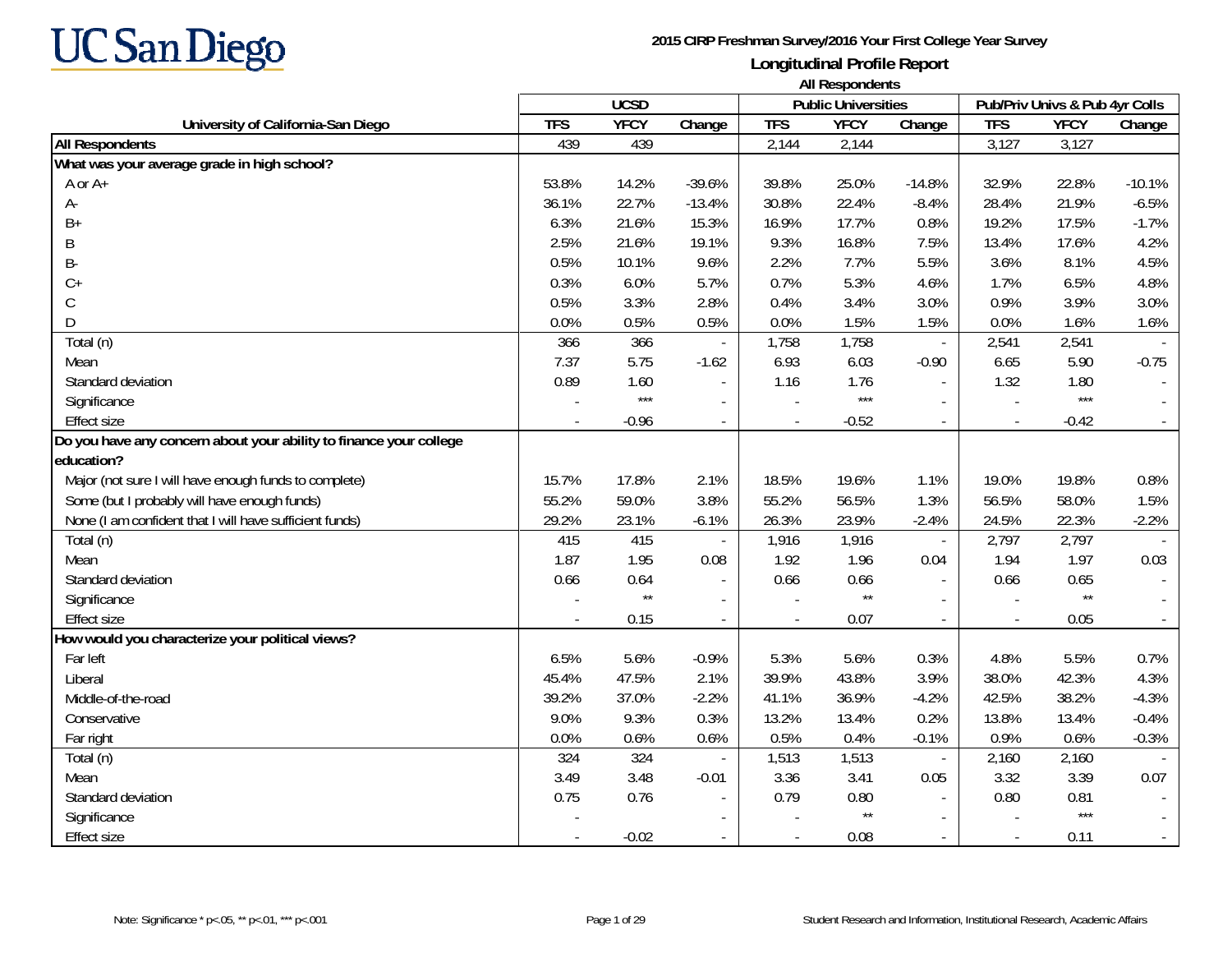

|                                                                    |            | <b>UCSD</b>     |                          |            | <b>THE INDIAN INDIAN</b><br><b>Public Universities</b> |                          |                          | Pub/Priv Univs & Pub 4yr Colls |          |
|--------------------------------------------------------------------|------------|-----------------|--------------------------|------------|--------------------------------------------------------|--------------------------|--------------------------|--------------------------------|----------|
| University of California-San Diego                                 | <b>TFS</b> | <b>YFCY</b>     | Change                   | <b>TFS</b> | <b>YFCY</b>                                            | Change                   | <b>TFS</b>               | <b>YFCY</b>                    | Change   |
| <b>All Respondents</b>                                             | 439        | 439             |                          | 2,144      | 2,144                                                  |                          | 3,127                    | 3,127                          |          |
| What was your average grade in high school?                        |            |                 |                          |            |                                                        |                          |                          |                                |          |
| A or A+                                                            | 53.8%      | 14.2%           | $-39.6%$                 | 39.8%      | 25.0%                                                  | $-14.8%$                 | 32.9%                    | 22.8%                          | $-10.1%$ |
| А-                                                                 | 36.1%      | 22.7%           | $-13.4%$                 | 30.8%      | 22.4%                                                  | $-8.4%$                  | 28.4%                    | 21.9%                          | $-6.5%$  |
| $B+$                                                               | 6.3%       | 21.6%           | 15.3%                    | 16.9%      | 17.7%                                                  | 0.8%                     | 19.2%                    | 17.5%                          | $-1.7%$  |
| B                                                                  | 2.5%       | 21.6%           | 19.1%                    | 9.3%       | 16.8%                                                  | 7.5%                     | 13.4%                    | 17.6%                          | 4.2%     |
| B-                                                                 | 0.5%       | 10.1%           | 9.6%                     | 2.2%       | 7.7%                                                   | 5.5%                     | 3.6%                     | 8.1%                           | 4.5%     |
| $C+$                                                               | 0.3%       | 6.0%            | 5.7%                     | 0.7%       | 5.3%                                                   | 4.6%                     | 1.7%                     | 6.5%                           | 4.8%     |
| С                                                                  | 0.5%       | 3.3%            | 2.8%                     | 0.4%       | 3.4%                                                   | 3.0%                     | 0.9%                     | 3.9%                           | 3.0%     |
| D                                                                  | 0.0%       | 0.5%            | 0.5%                     | 0.0%       | 1.5%                                                   | 1.5%                     | 0.0%                     | 1.6%                           | 1.6%     |
| Total (n)                                                          | 366        | 366             |                          | 1,758      | 1,758                                                  | $\blacksquare$           | 2,541                    | 2,541                          |          |
| Mean                                                               | 7.37       | 5.75            | $-1.62$                  | 6.93       | 6.03                                                   | $-0.90$                  | 6.65                     | 5.90                           | $-0.75$  |
| Standard deviation                                                 | 0.89       | 1.60            |                          | 1.16       | 1.76                                                   |                          | 1.32                     | 1.80                           |          |
| Significance                                                       |            | $***$           |                          |            | $***$                                                  |                          |                          | $***$                          |          |
| <b>Effect size</b>                                                 |            | $-0.96$         | $\blacksquare$           |            | $-0.52$                                                | $\mathbf{r}$             |                          | $-0.42$                        |          |
| Do you have any concern about your ability to finance your college |            |                 |                          |            |                                                        |                          |                          |                                |          |
| education?                                                         |            |                 |                          |            |                                                        |                          |                          |                                |          |
| Major (not sure I will have enough funds to complete)              | 15.7%      | 17.8%           | 2.1%                     | 18.5%      | 19.6%                                                  | 1.1%                     | 19.0%                    | 19.8%                          | 0.8%     |
| Some (but I probably will have enough funds)                       | 55.2%      | 59.0%           | 3.8%                     | 55.2%      | 56.5%                                                  | 1.3%                     | 56.5%                    | 58.0%                          | 1.5%     |
| None (I am confident that I will have sufficient funds)            | 29.2%      | 23.1%           | $-6.1%$                  | 26.3%      | 23.9%                                                  | $-2.4%$                  | 24.5%                    | 22.3%                          | $-2.2%$  |
| Total (n)                                                          | 415        | 415             | $\overline{\phantom{a}}$ | 1,916      | 1,916                                                  | $\blacksquare$           | 2,797                    | 2,797                          |          |
| Mean                                                               | 1.87       | 1.95            | 0.08                     | 1.92       | 1.96                                                   | 0.04                     | 1.94                     | 1.97                           | 0.03     |
| Standard deviation                                                 | 0.66       | 0.64            | $\blacksquare$           | 0.66       | 0.66                                                   |                          | 0.66                     | 0.65                           |          |
| Significance                                                       |            | $^{\star\star}$ | $\blacksquare$           |            | $\star\star$                                           |                          |                          | $\star\star$                   |          |
| <b>Effect size</b>                                                 |            | 0.15            | $\blacksquare$           |            | 0.07                                                   | $\sim$                   | $\overline{\phantom{a}}$ | 0.05                           |          |
| How would you characterize your political views?                   |            |                 |                          |            |                                                        |                          |                          |                                |          |
| Far left                                                           | 6.5%       | 5.6%            | $-0.9%$                  | 5.3%       | 5.6%                                                   | 0.3%                     | 4.8%                     | 5.5%                           | 0.7%     |
| Liberal                                                            | 45.4%      | 47.5%           | 2.1%                     | 39.9%      | 43.8%                                                  | 3.9%                     | 38.0%                    | 42.3%                          | 4.3%     |
| Middle-of-the-road                                                 | 39.2%      | 37.0%           | $-2.2%$                  | 41.1%      | 36.9%                                                  | $-4.2%$                  | 42.5%                    | 38.2%                          | $-4.3%$  |
| Conservative                                                       | 9.0%       | 9.3%            | 0.3%                     | 13.2%      | 13.4%                                                  | 0.2%                     | 13.8%                    | 13.4%                          | $-0.4%$  |
| Far right                                                          | 0.0%       | 0.6%            | 0.6%                     | 0.5%       | 0.4%                                                   | $-0.1%$                  | 0.9%                     | 0.6%                           | $-0.3%$  |
| Total (n)                                                          | 324        | 324             |                          | 1,513      | 1,513                                                  | $\overline{\phantom{a}}$ | 2,160                    | 2,160                          |          |
| Mean                                                               | 3.49       | 3.48            | $-0.01$                  | 3.36       | 3.41                                                   | 0.05                     | 3.32                     | 3.39                           | 0.07     |
| Standard deviation                                                 | 0.75       | 0.76            |                          | 0.79       | 0.80                                                   |                          | 0.80                     | 0.81                           |          |
| Significance                                                       |            |                 |                          |            | $^{\star\star}$                                        |                          |                          | $***$                          |          |
| <b>Effect size</b>                                                 |            | $-0.02$         |                          |            | 0.08                                                   |                          | $\blacksquare$           | 0.11                           |          |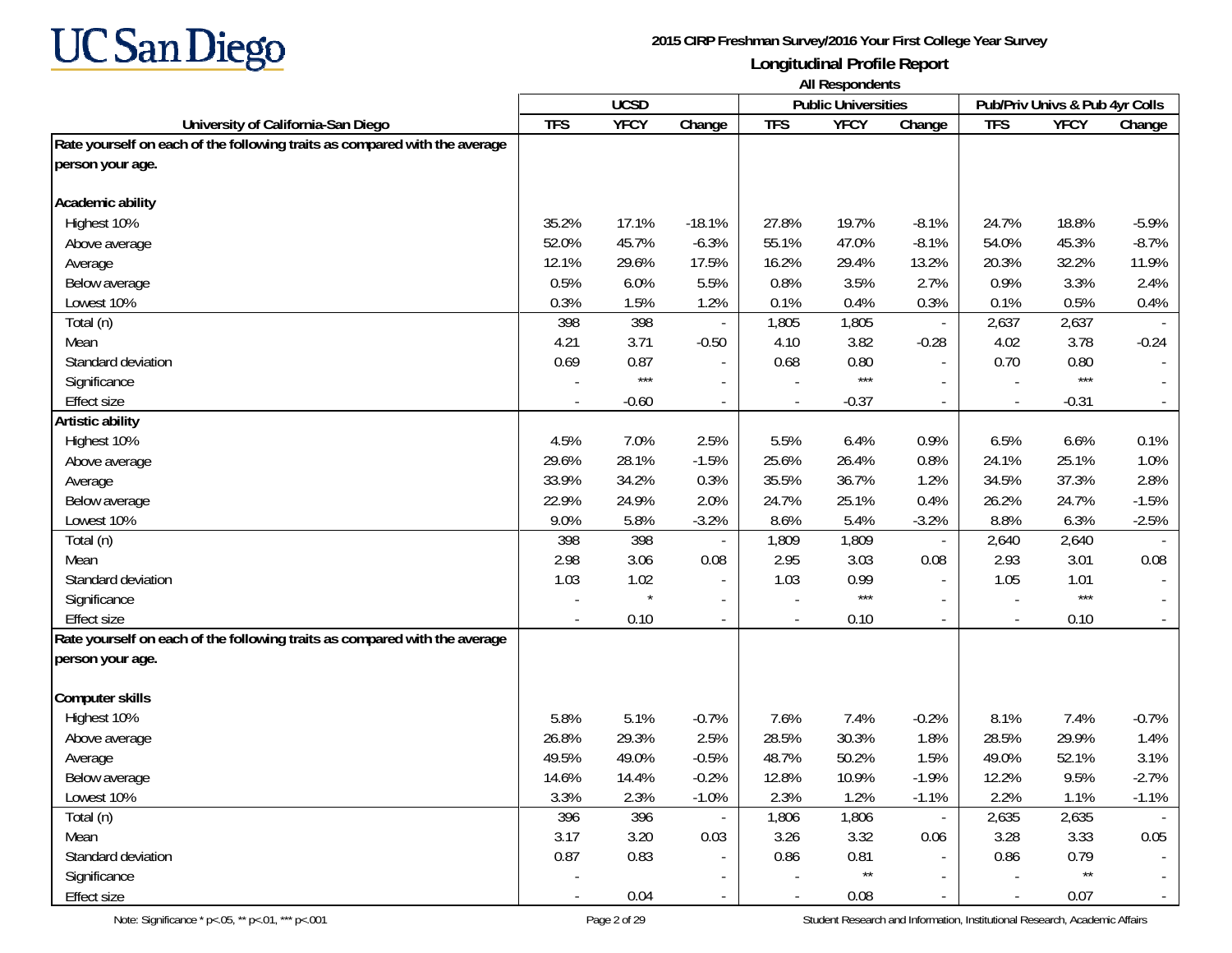

|                                                                            | <b>All Respondents</b> |             |                          |            |                            |                  |                                |              |          |  |  |  |
|----------------------------------------------------------------------------|------------------------|-------------|--------------------------|------------|----------------------------|------------------|--------------------------------|--------------|----------|--|--|--|
|                                                                            |                        | <b>UCSD</b> |                          |            | <b>Public Universities</b> |                  | Pub/Priv Univs & Pub 4yr Colls |              |          |  |  |  |
| University of California-San Diego                                         | <b>TFS</b>             | <b>YFCY</b> | Change                   | <b>TFS</b> | <b>YFCY</b>                | Change           | <b>TFS</b>                     | <b>YFCY</b>  | Change   |  |  |  |
| Rate yourself on each of the following traits as compared with the average |                        |             |                          |            |                            |                  |                                |              |          |  |  |  |
| person your age.                                                           |                        |             |                          |            |                            |                  |                                |              |          |  |  |  |
| Academic ability                                                           |                        |             |                          |            |                            |                  |                                |              |          |  |  |  |
| Highest 10%                                                                | 35.2%                  | 17.1%       | $-18.1%$                 | 27.8%      | 19.7%                      | $-8.1%$          | 24.7%                          | 18.8%        | $-5.9%$  |  |  |  |
| Above average                                                              | 52.0%                  | 45.7%       | $-6.3%$                  | 55.1%      | 47.0%                      | $-8.1%$          | 54.0%                          | 45.3%        | $-8.7%$  |  |  |  |
| Average                                                                    | 12.1%                  | 29.6%       | 17.5%                    | 16.2%      | 29.4%                      | 13.2%            | 20.3%                          | 32.2%        | 11.9%    |  |  |  |
| Below average                                                              | 0.5%                   | 6.0%        | 5.5%                     | 0.8%       | 3.5%                       | 2.7%             | 0.9%                           | 3.3%         | 2.4%     |  |  |  |
| Lowest 10%                                                                 | 0.3%                   | 1.5%        | 1.2%                     | 0.1%       | 0.4%                       | 0.3%             | 0.1%                           | 0.5%         | 0.4%     |  |  |  |
| Total (n)                                                                  | 398                    | 398         |                          | 1,805      | 1,805                      | $\blacksquare$   | 2,637                          | 2,637        |          |  |  |  |
| Mean                                                                       | 4.21                   | 3.71        | $-0.50$                  | 4.10       | 3.82                       | $-0.28$          | 4.02                           | 3.78         | $-0.24$  |  |  |  |
| Standard deviation                                                         | 0.69                   | 0.87        |                          | 0.68       | 0.80                       |                  | 0.70                           | 0.80         |          |  |  |  |
| Significance                                                               |                        | $***$       |                          |            | $***$                      |                  |                                | $***$        |          |  |  |  |
| <b>Effect size</b>                                                         |                        | $-0.60$     |                          |            | $-0.37$                    |                  |                                | $-0.31$      |          |  |  |  |
| Artistic ability                                                           |                        |             |                          |            |                            |                  |                                |              |          |  |  |  |
| Highest 10%                                                                | 4.5%                   | 7.0%        | 2.5%                     | 5.5%       | 6.4%                       | 0.9%             | 6.5%                           | 6.6%         | 0.1%     |  |  |  |
| Above average                                                              | 29.6%                  | 28.1%       | $-1.5%$                  | 25.6%      | 26.4%                      | 0.8%             | 24.1%                          | 25.1%        | 1.0%     |  |  |  |
| Average                                                                    | 33.9%                  | 34.2%       | 0.3%                     | 35.5%      | 36.7%                      | 1.2%             | 34.5%                          | 37.3%        | 2.8%     |  |  |  |
| Below average                                                              | 22.9%                  | 24.9%       | 2.0%                     | 24.7%      | 25.1%                      | 0.4%             | 26.2%                          | 24.7%        | $-1.5%$  |  |  |  |
| Lowest 10%                                                                 | 9.0%                   | 5.8%        | $-3.2%$                  | 8.6%       | 5.4%                       | $-3.2%$          | 8.8%                           | 6.3%         | $-2.5%$  |  |  |  |
| Total (n)                                                                  | 398                    | 398         |                          | 1,809      | 1,809                      |                  | 2,640                          | 2,640        |          |  |  |  |
| Mean                                                                       | 2.98                   | 3.06        | 0.08                     | 2.95       | 3.03                       | 0.08             | 2.93                           | 3.01         | 0.08     |  |  |  |
| Standard deviation                                                         | 1.03                   | 1.02        |                          | 1.03       | 0.99                       |                  | 1.05                           | 1.01         |          |  |  |  |
| Significance                                                               |                        |             |                          |            | $***$                      |                  |                                | $***$        |          |  |  |  |
| <b>Effect size</b>                                                         |                        | 0.10        | $\overline{\phantom{a}}$ |            | 0.10                       | $\sim$           | $\blacksquare$                 | 0.10         |          |  |  |  |
| Rate yourself on each of the following traits as compared with the average |                        |             |                          |            |                            |                  |                                |              |          |  |  |  |
| person your age.                                                           |                        |             |                          |            |                            |                  |                                |              |          |  |  |  |
| <b>Computer skills</b>                                                     |                        |             |                          |            |                            |                  |                                |              |          |  |  |  |
| Highest 10%                                                                | 5.8%                   | 5.1%        | $-0.7%$                  | 7.6%       | 7.4%                       | $-0.2%$          | 8.1%                           | 7.4%         | $-0.7%$  |  |  |  |
| Above average                                                              | 26.8%                  | 29.3%       | 2.5%                     | 28.5%      | 30.3%                      | 1.8%             | 28.5%                          | 29.9%        | 1.4%     |  |  |  |
| Average                                                                    | 49.5%                  | 49.0%       | $-0.5%$                  | 48.7%      | 50.2%                      | 1.5%             | 49.0%                          | 52.1%        | 3.1%     |  |  |  |
| Below average                                                              | 14.6%                  | 14.4%       | $-0.2%$                  | 12.8%      | 10.9%                      | $-1.9%$          | 12.2%                          | 9.5%         | $-2.7\%$ |  |  |  |
| Lowest 10%                                                                 | 3.3%                   | 2.3%        | $-1.0%$                  | 2.3%       | 1.2%                       | $-1.1%$          | 2.2%                           | 1.1%         | $-1.1%$  |  |  |  |
| Total (n)                                                                  | 396                    | 396         |                          | 1,806      | 1,806                      | $\omega_{\rm c}$ | 2,635                          | 2,635        |          |  |  |  |
| Mean                                                                       | 3.17                   | 3.20        | 0.03                     | 3.26       | 3.32                       | 0.06             | 3.28                           | 3.33         | 0.05     |  |  |  |
| Standard deviation                                                         | 0.87                   | 0.83        |                          | 0.86       | 0.81                       | $\sim$           | 0.86                           | 0.79         |          |  |  |  |
| Significance                                                               |                        |             |                          |            | $\star\star$               |                  |                                | $\star\star$ |          |  |  |  |
| Effect size                                                                |                        | 0.04        |                          |            | 0.08                       | $\blacksquare$   | $\overline{\phantom{a}}$       | 0.07         |          |  |  |  |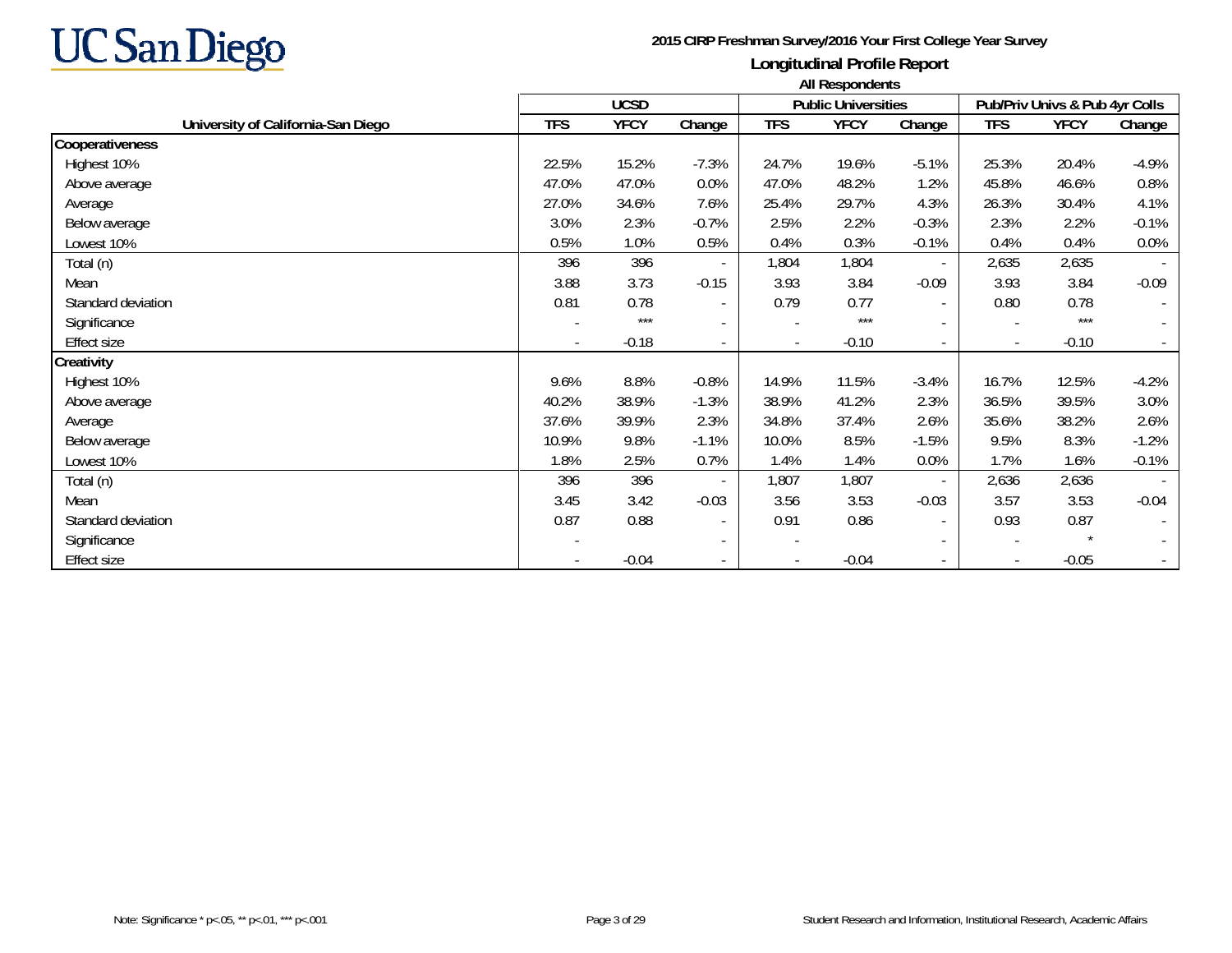

|                                    | All Respondents |             |                          |            |                            |                          |                          |                                |                          |
|------------------------------------|-----------------|-------------|--------------------------|------------|----------------------------|--------------------------|--------------------------|--------------------------------|--------------------------|
|                                    |                 | <b>UCSD</b> |                          |            | <b>Public Universities</b> |                          |                          | Pub/Priv Univs & Pub 4yr Colls |                          |
| University of California-San Diego | <b>TFS</b>      | <b>YFCY</b> | Change                   | <b>TFS</b> | <b>YFCY</b>                | Change                   | <b>TFS</b>               | <b>YFCY</b>                    | Change                   |
| Cooperativeness                    |                 |             |                          |            |                            |                          |                          |                                |                          |
| Highest 10%                        | 22.5%           | 15.2%       | $-7.3%$                  | 24.7%      | 19.6%                      | $-5.1%$                  | 25.3%                    | 20.4%                          | $-4.9%$                  |
| Above average                      | 47.0%           | 47.0%       | 0.0%                     | 47.0%      | 48.2%                      | 1.2%                     | 45.8%                    | 46.6%                          | 0.8%                     |
| Average                            | 27.0%           | 34.6%       | 7.6%                     | 25.4%      | 29.7%                      | 4.3%                     | 26.3%                    | 30.4%                          | 4.1%                     |
| Below average                      | 3.0%            | 2.3%        | $-0.7%$                  | 2.5%       | 2.2%                       | $-0.3%$                  | 2.3%                     | 2.2%                           | $-0.1%$                  |
| Lowest 10%                         | 0.5%            | 1.0%        | 0.5%                     | 0.4%       | 0.3%                       | $-0.1%$                  | 0.4%                     | 0.4%                           | 0.0%                     |
| Total (n)                          | 396             | 396         |                          | 1,804      | 1,804                      | $\sim$                   | 2,635                    | 2,635                          |                          |
| Mean                               | 3.88            | 3.73        | $-0.15$                  | 3.93       | 3.84                       | $-0.09$                  | 3.93                     | 3.84                           | $-0.09$                  |
| Standard deviation                 | 0.81            | 0.78        | $\overline{\phantom{a}}$ | 0.79       | 0.77                       | $\sim$                   | 0.80                     | 0.78                           |                          |
| Significance                       |                 | $***$       | $\overline{\phantom{a}}$ |            | $***$                      | $\sim$                   |                          | $***$                          | $\overline{\phantom{a}}$ |
| <b>Effect size</b>                 |                 | $-0.18$     | $\overline{\phantom{a}}$ |            | $-0.10$                    | $\sim$                   | $\blacksquare$           | $-0.10$                        |                          |
| Creativity                         |                 |             |                          |            |                            |                          |                          |                                |                          |
| Highest 10%                        | 9.6%            | 8.8%        | $-0.8%$                  | 14.9%      | 11.5%                      | $-3.4%$                  | 16.7%                    | 12.5%                          | $-4.2%$                  |
| Above average                      | 40.2%           | 38.9%       | $-1.3%$                  | 38.9%      | 41.2%                      | 2.3%                     | 36.5%                    | 39.5%                          | 3.0%                     |
| Average                            | 37.6%           | 39.9%       | 2.3%                     | 34.8%      | 37.4%                      | 2.6%                     | 35.6%                    | 38.2%                          | 2.6%                     |
| Below average                      | 10.9%           | 9.8%        | $-1.1%$                  | 10.0%      | 8.5%                       | $-1.5%$                  | 9.5%                     | 8.3%                           | $-1.2%$                  |
| Lowest 10%                         | 1.8%            | 2.5%        | 0.7%                     | 1.4%       | 1.4%                       | 0.0%                     | 1.7%                     | 1.6%                           | $-0.1%$                  |
| Total (n)                          | 396             | 396         | $\overline{\phantom{a}}$ | 1,807      | 1,807                      | $\sim$                   | 2,636                    | 2,636                          |                          |
| Mean                               | 3.45            | 3.42        | $-0.03$                  | 3.56       | 3.53                       | $-0.03$                  | 3.57                     | 3.53                           | $-0.04$                  |
| Standard deviation                 | 0.87            | 0.88        | $\overline{\phantom{a}}$ | 0.91       | 0.86                       | $\overline{\phantom{a}}$ | 0.93                     | 0.87                           |                          |
| Significance                       |                 |             | $\overline{\phantom{a}}$ |            |                            | $\sim$                   | $\overline{\phantom{a}}$ |                                |                          |
| <b>Effect size</b>                 |                 | $-0.04$     | $\overline{\phantom{a}}$ |            | $-0.04$                    | $\sim$                   | $\overline{\phantom{a}}$ | $-0.05$                        |                          |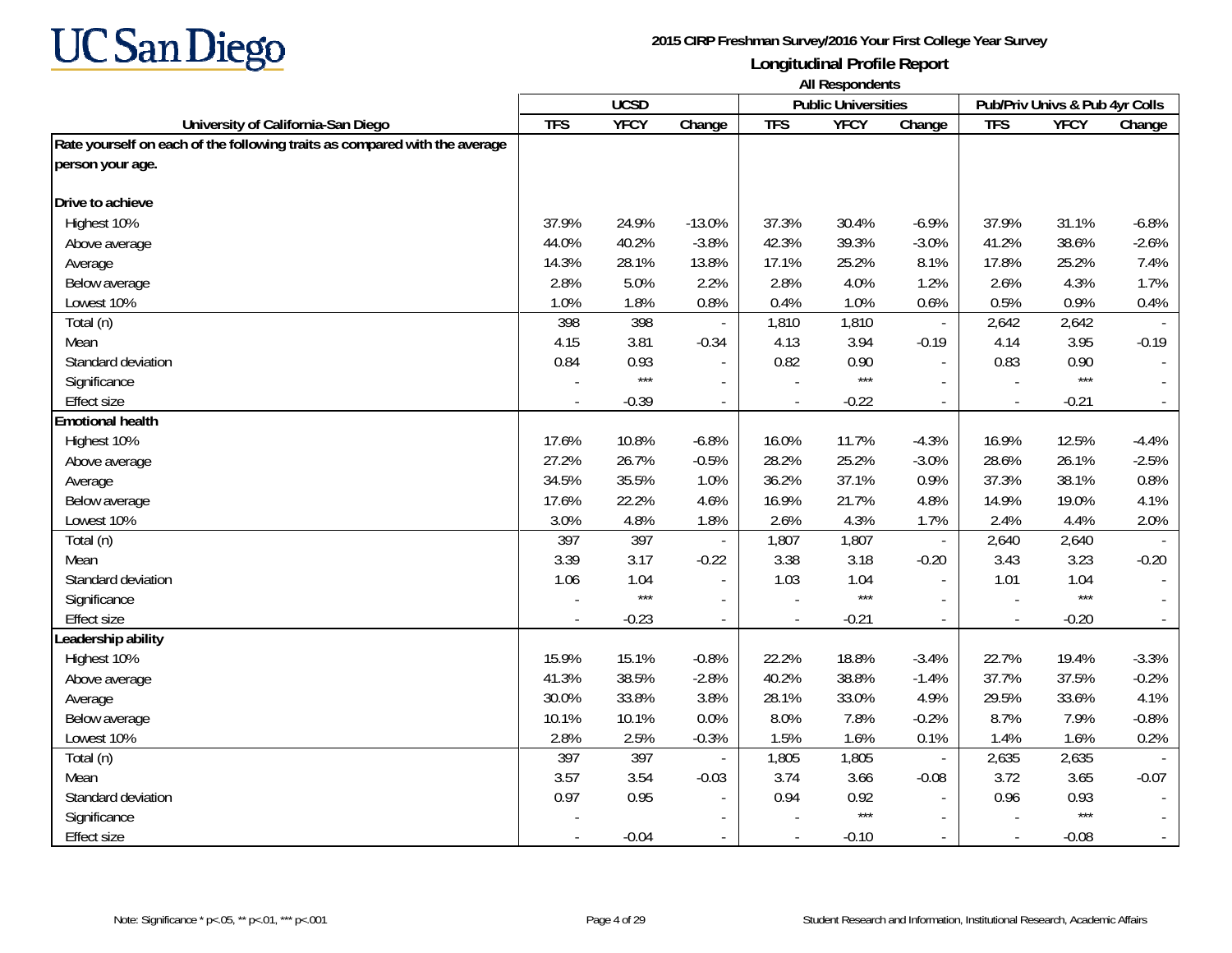

|                                                                            | <b>All Respondents</b> |             |                |            |                            |                                |                |             |         |  |  |
|----------------------------------------------------------------------------|------------------------|-------------|----------------|------------|----------------------------|--------------------------------|----------------|-------------|---------|--|--|
|                                                                            |                        | <b>UCSD</b> |                |            | <b>Public Universities</b> | Pub/Priv Univs & Pub 4yr Colls |                |             |         |  |  |
| University of California-San Diego                                         | <b>TFS</b>             | <b>YFCY</b> | Change         | <b>TFS</b> | <b>YFCY</b>                | Change                         | <b>TFS</b>     | <b>YFCY</b> | Change  |  |  |
| Rate yourself on each of the following traits as compared with the average |                        |             |                |            |                            |                                |                |             |         |  |  |
| person your age.                                                           |                        |             |                |            |                            |                                |                |             |         |  |  |
| Drive to achieve                                                           |                        |             |                |            |                            |                                |                |             |         |  |  |
| Highest 10%                                                                | 37.9%                  | 24.9%       | $-13.0%$       | 37.3%      | 30.4%                      | $-6.9%$                        | 37.9%          | 31.1%       | $-6.8%$ |  |  |
| Above average                                                              | 44.0%                  | 40.2%       | $-3.8%$        | 42.3%      | 39.3%                      | $-3.0%$                        | 41.2%          | 38.6%       | $-2.6%$ |  |  |
| Average                                                                    | 14.3%                  | 28.1%       | 13.8%          | 17.1%      | 25.2%                      | 8.1%                           | 17.8%          | 25.2%       | 7.4%    |  |  |
| Below average                                                              | 2.8%                   | 5.0%        | 2.2%           | 2.8%       | 4.0%                       | 1.2%                           | 2.6%           | 4.3%        | 1.7%    |  |  |
| Lowest 10%                                                                 | 1.0%                   | 1.8%        | 0.8%           | 0.4%       | 1.0%                       | 0.6%                           | 0.5%           | 0.9%        | 0.4%    |  |  |
| Total (n)                                                                  | 398                    | 398         |                | 1,810      | 1,810                      | $\sim$                         | 2,642          | 2,642       |         |  |  |
| Mean                                                                       | 4.15                   | 3.81        | $-0.34$        | 4.13       | 3.94                       | $-0.19$                        | 4.14           | 3.95        | $-0.19$ |  |  |
| Standard deviation                                                         | 0.84                   | 0.93        |                | 0.82       | 0.90                       |                                | 0.83           | 0.90        |         |  |  |
| Significance                                                               |                        | $***$       | $\blacksquare$ |            | $***$                      |                                |                | $***$       |         |  |  |
| <b>Effect size</b>                                                         |                        | $-0.39$     | $\blacksquare$ |            | $-0.22$                    | $\mathbb{L}^{\mathbb{N}}$      | $\overline{a}$ | $-0.21$     | $\sim$  |  |  |
| <b>Emotional health</b>                                                    |                        |             |                |            |                            |                                |                |             |         |  |  |
| Highest 10%                                                                | 17.6%                  | 10.8%       | $-6.8%$        | 16.0%      | 11.7%                      | $-4.3%$                        | 16.9%          | 12.5%       | $-4.4%$ |  |  |
| Above average                                                              | 27.2%                  | 26.7%       | $-0.5%$        | 28.2%      | 25.2%                      | $-3.0%$                        | 28.6%          | 26.1%       | $-2.5%$ |  |  |
| Average                                                                    | 34.5%                  | 35.5%       | 1.0%           | 36.2%      | 37.1%                      | 0.9%                           | 37.3%          | 38.1%       | 0.8%    |  |  |
| Below average                                                              | 17.6%                  | 22.2%       | 4.6%           | 16.9%      | 21.7%                      | 4.8%                           | 14.9%          | 19.0%       | 4.1%    |  |  |
| Lowest 10%                                                                 | 3.0%                   | 4.8%        | 1.8%           | 2.6%       | 4.3%                       | 1.7%                           | 2.4%           | 4.4%        | 2.0%    |  |  |
| Total (n)                                                                  | 397                    | 397         |                | 1,807      | 1,807                      | $\overline{\phantom{a}}$       | 2,640          | 2,640       |         |  |  |
| Mean                                                                       | 3.39                   | 3.17        | $-0.22$        | 3.38       | 3.18                       | $-0.20$                        | 3.43           | 3.23        | $-0.20$ |  |  |
| Standard deviation                                                         | 1.06                   | 1.04        |                | 1.03       | 1.04                       |                                | 1.01           | 1.04        |         |  |  |
| Significance                                                               |                        | $***$       |                |            | $***$                      |                                |                | $***$       |         |  |  |
| <b>Effect size</b>                                                         |                        | $-0.23$     | $\blacksquare$ |            | $-0.21$                    |                                |                | $-0.20$     |         |  |  |
| Leadership ability                                                         |                        |             |                |            |                            |                                |                |             |         |  |  |
| Highest 10%                                                                | 15.9%                  | 15.1%       | $-0.8%$        | 22.2%      | 18.8%                      | $-3.4%$                        | 22.7%          | 19.4%       | $-3.3%$ |  |  |
| Above average                                                              | 41.3%                  | 38.5%       | $-2.8%$        | 40.2%      | 38.8%                      | $-1.4%$                        | 37.7%          | 37.5%       | $-0.2%$ |  |  |
| Average                                                                    | 30.0%                  | 33.8%       | 3.8%           | 28.1%      | 33.0%                      | 4.9%                           | 29.5%          | 33.6%       | 4.1%    |  |  |
| Below average                                                              | 10.1%                  | 10.1%       | 0.0%           | 8.0%       | 7.8%                       | $-0.2%$                        | 8.7%           | 7.9%        | $-0.8%$ |  |  |
| Lowest 10%                                                                 | 2.8%                   | 2.5%        | $-0.3%$        | 1.5%       | 1.6%                       | 0.1%                           | 1.4%           | 1.6%        | 0.2%    |  |  |
| Total (n)                                                                  | 397                    | 397         |                | 1,805      | 1,805                      | $\overline{\phantom{a}}$       | 2,635          | 2,635       |         |  |  |
| Mean                                                                       | 3.57                   | 3.54        | $-0.03$        | 3.74       | 3.66                       | $-0.08$                        | 3.72           | 3.65        | $-0.07$ |  |  |
| Standard deviation                                                         | 0.97                   | 0.95        |                | 0.94       | 0.92                       |                                | 0.96           | 0.93        |         |  |  |
| Significance                                                               |                        |             |                |            | $***$                      | $\sim$                         |                | $***$       |         |  |  |
| <b>Effect size</b>                                                         |                        | $-0.04$     |                |            | $-0.10$                    |                                | $\overline{a}$ | $-0.08$     |         |  |  |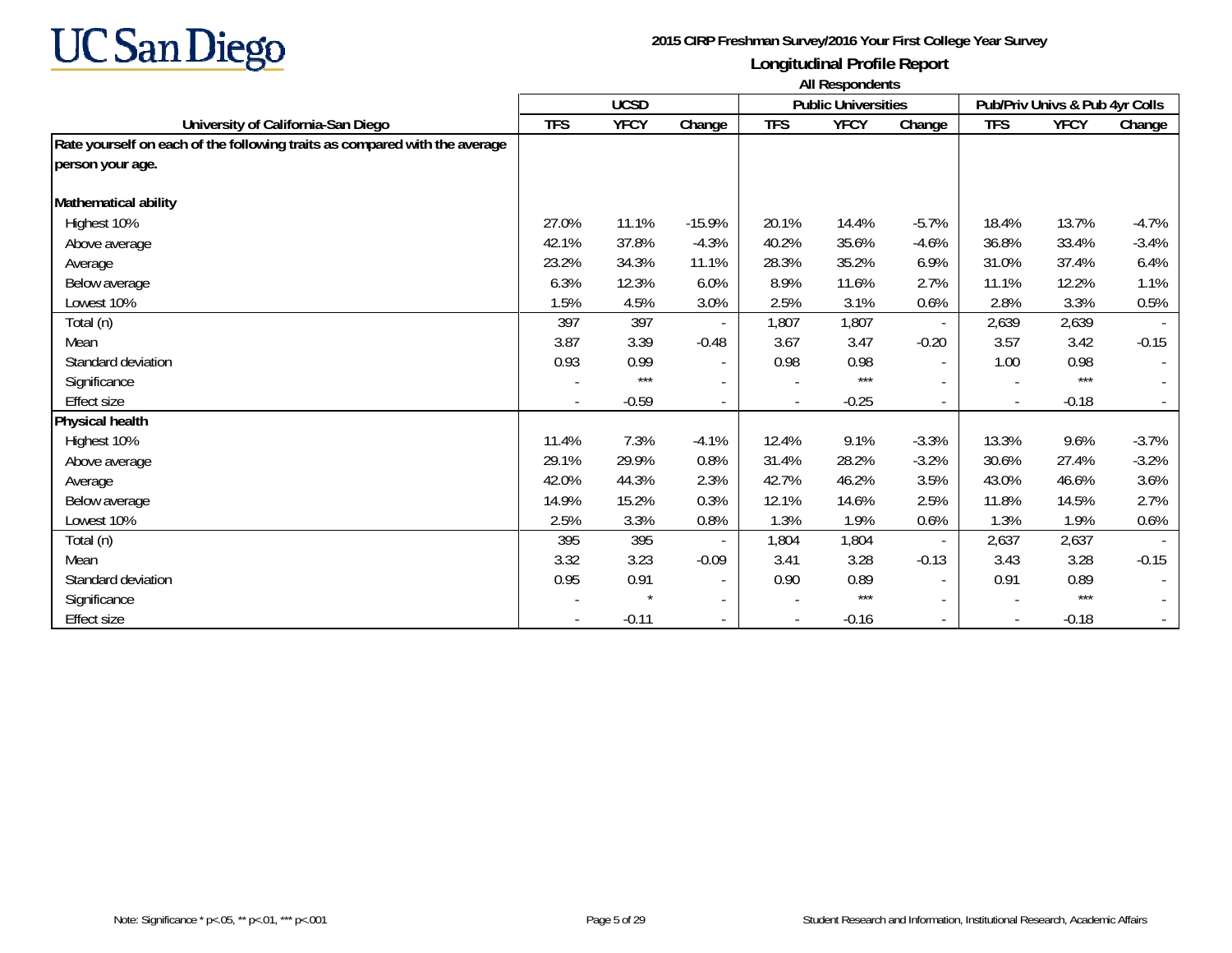

|                                                                            | All Respondents |             |                          |            |                            |                          |                |                                |         |
|----------------------------------------------------------------------------|-----------------|-------------|--------------------------|------------|----------------------------|--------------------------|----------------|--------------------------------|---------|
|                                                                            |                 | <b>UCSD</b> |                          |            | <b>Public Universities</b> |                          |                | Pub/Priv Univs & Pub 4yr Colls |         |
| University of California-San Diego                                         | <b>TFS</b>      | <b>YFCY</b> | Change                   | <b>TFS</b> | <b>YFCY</b>                | Change                   | <b>TFS</b>     | <b>YFCY</b>                    | Change  |
| Rate yourself on each of the following traits as compared with the average |                 |             |                          |            |                            |                          |                |                                |         |
| person your age.                                                           |                 |             |                          |            |                            |                          |                |                                |         |
| <b>Mathematical ability</b>                                                |                 |             |                          |            |                            |                          |                |                                |         |
| Highest 10%                                                                | 27.0%           | 11.1%       | $-15.9%$                 | 20.1%      | 14.4%                      | $-5.7%$                  | 18.4%          | 13.7%                          | $-4.7%$ |
| Above average                                                              | 42.1%           | 37.8%       | $-4.3%$                  | 40.2%      | 35.6%                      | $-4.6%$                  | 36.8%          | 33.4%                          | $-3.4%$ |
| Average                                                                    | 23.2%           | 34.3%       | 11.1%                    | 28.3%      | 35.2%                      | 6.9%                     | 31.0%          | 37.4%                          | 6.4%    |
| Below average                                                              | 6.3%            | 12.3%       | 6.0%                     | 8.9%       | 11.6%                      | 2.7%                     | 11.1%          | 12.2%                          | 1.1%    |
| Lowest 10%                                                                 | 1.5%            | 4.5%        | 3.0%                     | 2.5%       | 3.1%                       | 0.6%                     | 2.8%           | 3.3%                           | 0.5%    |
| Total (n)                                                                  | 397             | 397         |                          | 1,807      | 1,807                      | $\sim$                   | 2,639          | 2,639                          |         |
| Mean                                                                       | 3.87            | 3.39        | $-0.48$                  | 3.67       | 3.47                       | $-0.20$                  | 3.57           | 3.42                           | $-0.15$ |
| Standard deviation                                                         | 0.93            | 0.99        |                          | 0.98       | 0.98                       | $\overline{\phantom{a}}$ | 1.00           | 0.98                           |         |
| Significance                                                               |                 | ***         |                          |            | $***$                      |                          |                | $***$                          |         |
| <b>Effect size</b>                                                         |                 | $-0.59$     | $\blacksquare$           |            | $-0.25$                    | $\overline{\phantom{a}}$ | $\blacksquare$ | $-0.18$                        |         |
| Physical health                                                            |                 |             |                          |            |                            |                          |                |                                |         |
| Highest 10%                                                                | 11.4%           | 7.3%        | $-4.1%$                  | 12.4%      | 9.1%                       | $-3.3%$                  | 13.3%          | 9.6%                           | $-3.7%$ |
| Above average                                                              | 29.1%           | 29.9%       | 0.8%                     | 31.4%      | 28.2%                      | $-3.2%$                  | 30.6%          | 27.4%                          | $-3.2%$ |
| Average                                                                    | 42.0%           | 44.3%       | 2.3%                     | 42.7%      | 46.2%                      | 3.5%                     | 43.0%          | 46.6%                          | 3.6%    |
| Below average                                                              | 14.9%           | 15.2%       | 0.3%                     | 12.1%      | 14.6%                      | 2.5%                     | 11.8%          | 14.5%                          | 2.7%    |
| Lowest 10%                                                                 | 2.5%            | 3.3%        | 0.8%                     | 1.3%       | 1.9%                       | 0.6%                     | 1.3%           | 1.9%                           | 0.6%    |
| Total (n)                                                                  | 395             | 395         |                          | 1,804      | 1,804                      | $\overline{\phantom{a}}$ | 2,637          | 2,637                          |         |
| Mean                                                                       | 3.32            | 3.23        | $-0.09$                  | 3.41       | 3.28                       | $-0.13$                  | 3.43           | 3.28                           | $-0.15$ |
| Standard deviation                                                         | 0.95            | 0.91        |                          | 0.90       | 0.89                       |                          | 0.91           | 0.89                           |         |
| Significance                                                               |                 |             | $\overline{\phantom{a}}$ |            | $***$                      | $\overline{\phantom{a}}$ |                | $***$                          |         |
| Effect size                                                                |                 | $-0.11$     |                          |            | $-0.16$                    |                          |                | $-0.18$                        |         |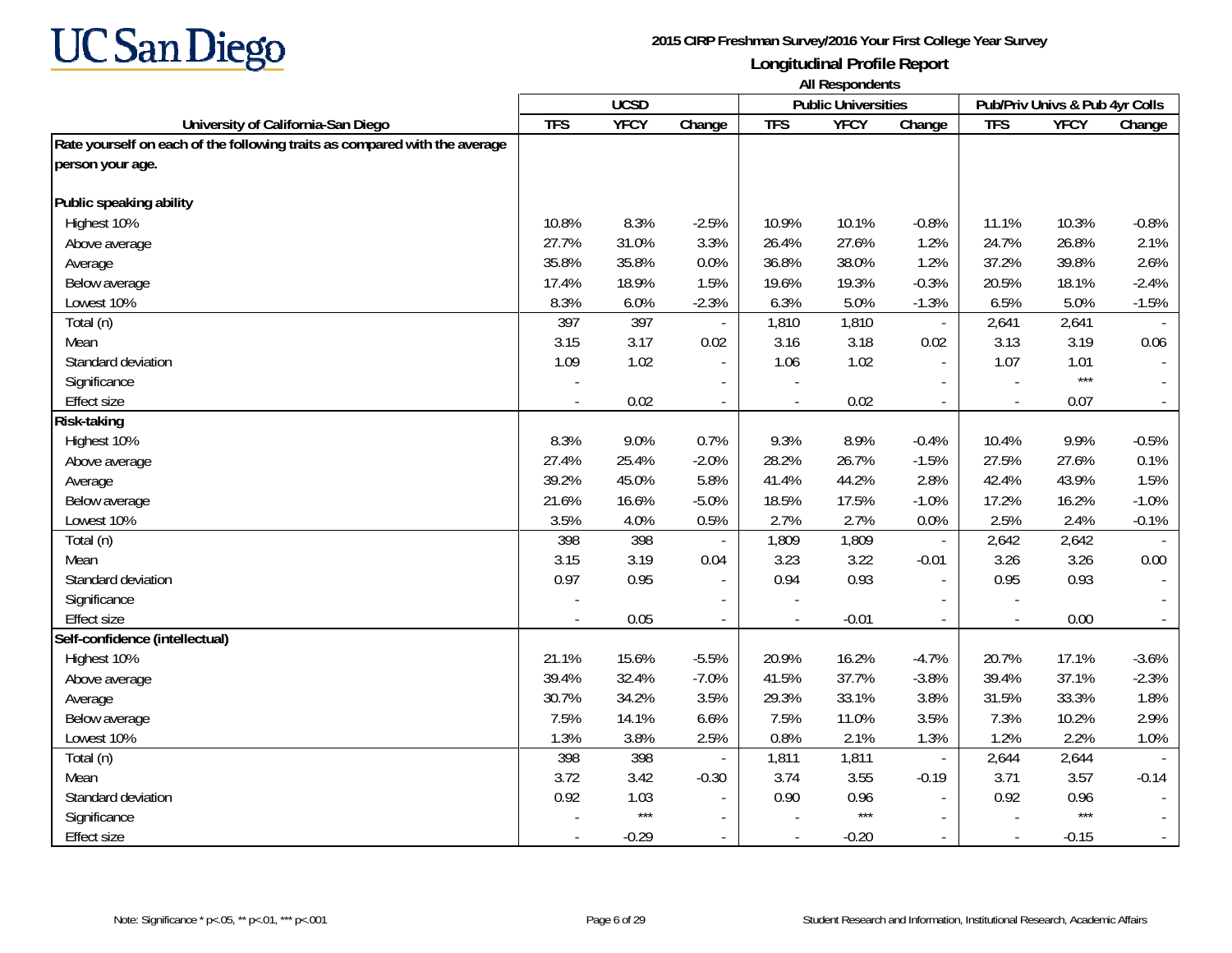

|                                                                            | All Respondents |             |                          |            |                            |                          |                                |             |         |
|----------------------------------------------------------------------------|-----------------|-------------|--------------------------|------------|----------------------------|--------------------------|--------------------------------|-------------|---------|
|                                                                            |                 | <b>UCSD</b> |                          |            | <b>Public Universities</b> |                          | Pub/Priv Univs & Pub 4yr Colls |             |         |
| University of California-San Diego                                         | <b>TFS</b>      | <b>YFCY</b> | Change                   | <b>TFS</b> | <b>YFCY</b>                | Change                   | <b>TFS</b>                     | <b>YFCY</b> | Change  |
| Rate yourself on each of the following traits as compared with the average |                 |             |                          |            |                            |                          |                                |             |         |
| person your age.                                                           |                 |             |                          |            |                            |                          |                                |             |         |
| Public speaking ability                                                    |                 |             |                          |            |                            |                          |                                |             |         |
| Highest 10%                                                                | 10.8%           | 8.3%        | $-2.5%$                  | 10.9%      | 10.1%                      | $-0.8%$                  | 11.1%                          | 10.3%       | $-0.8%$ |
| Above average                                                              | 27.7%           | 31.0%       | 3.3%                     | 26.4%      | 27.6%                      | 1.2%                     | 24.7%                          | 26.8%       | 2.1%    |
| Average                                                                    | 35.8%           | 35.8%       | 0.0%                     | 36.8%      | 38.0%                      | 1.2%                     | 37.2%                          | 39.8%       | 2.6%    |
| Below average                                                              | 17.4%           | 18.9%       | 1.5%                     | 19.6%      | 19.3%                      | $-0.3%$                  | 20.5%                          | 18.1%       | $-2.4%$ |
| Lowest 10%                                                                 | 8.3%            | 6.0%        | $-2.3%$                  | 6.3%       | 5.0%                       | $-1.3%$                  | 6.5%                           | 5.0%        | $-1.5%$ |
| Total (n)                                                                  | 397             | 397         |                          | 1,810      | 1,810                      | $\overline{\phantom{a}}$ | 2,641                          | 2,641       |         |
| Mean                                                                       | 3.15            | 3.17        | 0.02                     | 3.16       | 3.18                       | 0.02                     | 3.13                           | 3.19        | 0.06    |
| Standard deviation                                                         | 1.09            | 1.02        |                          | 1.06       | 1.02                       | $\sim$                   | 1.07                           | 1.01        |         |
| Significance                                                               |                 |             |                          |            |                            |                          |                                | $***$       |         |
| <b>Effect size</b>                                                         |                 | 0.02        | $\overline{\phantom{a}}$ |            | 0.02                       | $\overline{\phantom{a}}$ | $\overline{\phantom{a}}$       | 0.07        | $\sim$  |
| Risk-taking                                                                |                 |             |                          |            |                            |                          |                                |             |         |
| Highest 10%                                                                | 8.3%            | 9.0%        | 0.7%                     | 9.3%       | 8.9%                       | $-0.4%$                  | 10.4%                          | 9.9%        | $-0.5%$ |
| Above average                                                              | 27.4%           | 25.4%       | $-2.0%$                  | 28.2%      | 26.7%                      | $-1.5%$                  | 27.5%                          | 27.6%       | 0.1%    |
| Average                                                                    | 39.2%           | 45.0%       | 5.8%                     | 41.4%      | 44.2%                      | 2.8%                     | 42.4%                          | 43.9%       | 1.5%    |
| Below average                                                              | 21.6%           | 16.6%       | $-5.0%$                  | 18.5%      | 17.5%                      | $-1.0%$                  | 17.2%                          | 16.2%       | $-1.0%$ |
| Lowest 10%                                                                 | 3.5%            | 4.0%        | 0.5%                     | 2.7%       | 2.7%                       | 0.0%                     | 2.5%                           | 2.4%        | $-0.1%$ |
| Total (n)                                                                  | 398             | 398         |                          | 1,809      | 1,809                      | $\overline{\phantom{a}}$ | 2,642                          | 2,642       |         |
| Mean                                                                       | 3.15            | 3.19        | 0.04                     | 3.23       | 3.22                       | $-0.01$                  | 3.26                           | 3.26        | 0.00    |
| Standard deviation                                                         | 0.97            | 0.95        | $\blacksquare$           | 0.94       | 0.93                       | $\sim$                   | 0.95                           | 0.93        |         |
| Significance                                                               |                 |             |                          |            |                            |                          |                                |             |         |
| <b>Effect size</b>                                                         |                 | 0.05        |                          |            | $-0.01$                    | $\blacksquare$           | $\blacksquare$                 | 0.00        |         |
| Self-confidence (intellectual)                                             |                 |             |                          |            |                            |                          |                                |             |         |
| Highest 10%                                                                | 21.1%           | 15.6%       | $-5.5%$                  | 20.9%      | 16.2%                      | $-4.7%$                  | 20.7%                          | 17.1%       | $-3.6%$ |
| Above average                                                              | 39.4%           | 32.4%       | $-7.0%$                  | 41.5%      | 37.7%                      | $-3.8%$                  | 39.4%                          | 37.1%       | $-2.3%$ |
| Average                                                                    | 30.7%           | 34.2%       | 3.5%                     | 29.3%      | 33.1%                      | 3.8%                     | 31.5%                          | 33.3%       | 1.8%    |
| Below average                                                              | 7.5%            | 14.1%       | 6.6%                     | 7.5%       | 11.0%                      | 3.5%                     | 7.3%                           | 10.2%       | 2.9%    |
| Lowest 10%                                                                 | 1.3%            | 3.8%        | 2.5%                     | 0.8%       | 2.1%                       | 1.3%                     | 1.2%                           | 2.2%        | 1.0%    |
| Total (n)                                                                  | 398             | 398         |                          | 1,811      | 1,811                      | $\overline{\phantom{a}}$ | 2,644                          | 2,644       |         |
| Mean                                                                       | 3.72            | 3.42        | $-0.30$                  | 3.74       | 3.55                       | $-0.19$                  | 3.71                           | 3.57        | $-0.14$ |
| Standard deviation                                                         | 0.92            | 1.03        |                          | 0.90       | 0.96                       |                          | 0.92                           | 0.96        |         |
| Significance                                                               |                 | $***$       |                          |            | $***$                      | $\sim$                   |                                | $***$       |         |
| <b>Effect size</b>                                                         |                 | $-0.29$     |                          |            | $-0.20$                    |                          | $\overline{a}$                 | $-0.15$     |         |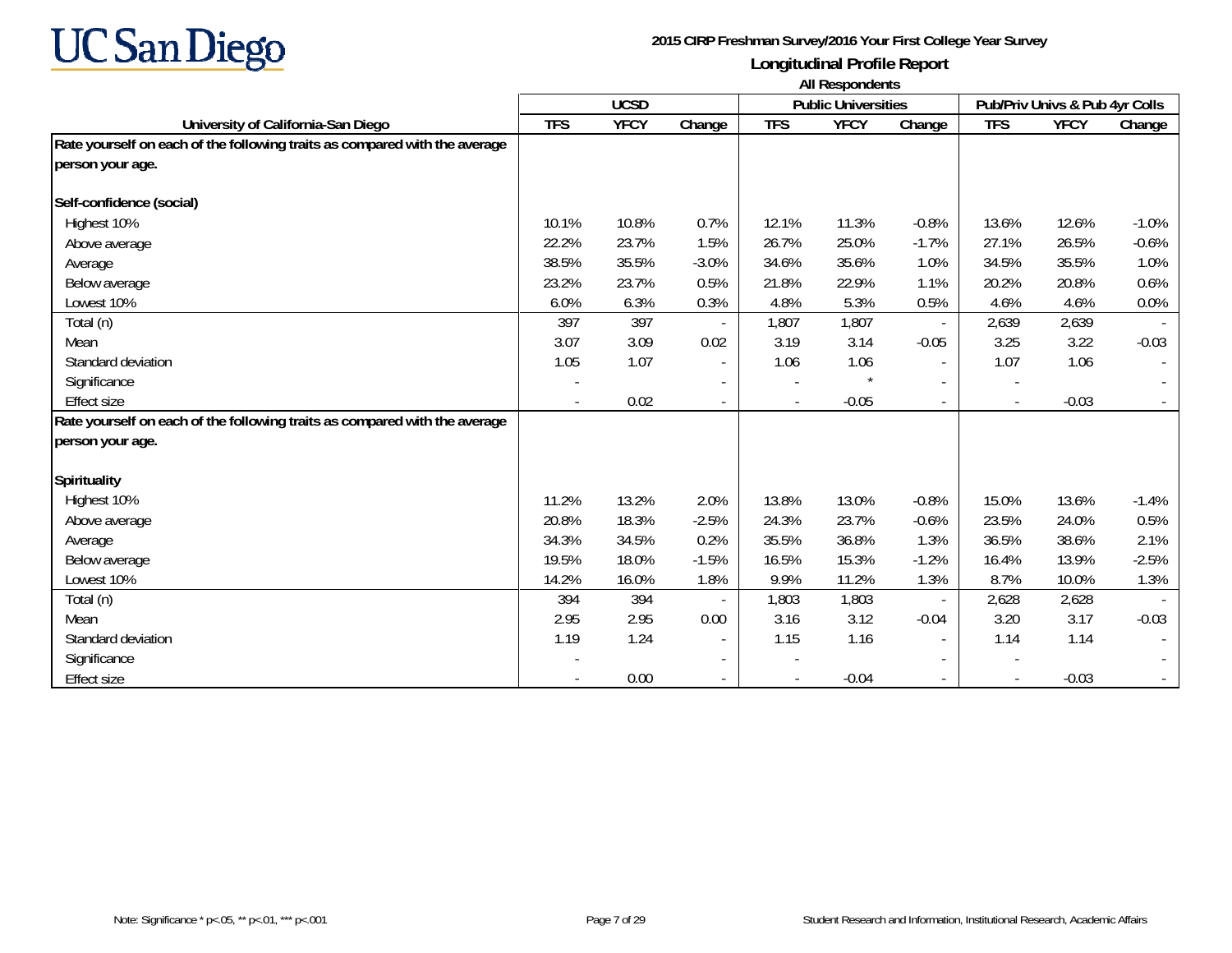

|                                                                            | <b>All Respondents</b> |             |                          |            |                            |                          |                          |                                |         |  |
|----------------------------------------------------------------------------|------------------------|-------------|--------------------------|------------|----------------------------|--------------------------|--------------------------|--------------------------------|---------|--|
|                                                                            |                        | <b>UCSD</b> |                          |            | <b>Public Universities</b> |                          |                          | Pub/Priv Univs & Pub 4yr Colls |         |  |
| University of California-San Diego                                         | <b>TFS</b>             | <b>YFCY</b> | Change                   | <b>TFS</b> | <b>YFCY</b>                | Change                   | <b>TFS</b>               | <b>YFCY</b>                    | Change  |  |
| Rate yourself on each of the following traits as compared with the average |                        |             |                          |            |                            |                          |                          |                                |         |  |
| person your age.                                                           |                        |             |                          |            |                            |                          |                          |                                |         |  |
| Self-confidence (social)                                                   |                        |             |                          |            |                            |                          |                          |                                |         |  |
| Highest 10%                                                                | 10.1%                  | 10.8%       | 0.7%                     | 12.1%      | 11.3%                      | $-0.8%$                  | 13.6%                    | 12.6%                          | $-1.0%$ |  |
| Above average                                                              | 22.2%                  | 23.7%       | 1.5%                     | 26.7%      | 25.0%                      | $-1.7%$                  | 27.1%                    | 26.5%                          | $-0.6%$ |  |
| Average                                                                    | 38.5%                  | 35.5%       | $-3.0%$                  | 34.6%      | 35.6%                      | 1.0%                     | 34.5%                    | 35.5%                          | 1.0%    |  |
| Below average                                                              | 23.2%                  | 23.7%       | 0.5%                     | 21.8%      | 22.9%                      | 1.1%                     | 20.2%                    | 20.8%                          | 0.6%    |  |
| Lowest 10%                                                                 | 6.0%                   | 6.3%        | 0.3%                     | 4.8%       | 5.3%                       | 0.5%                     | 4.6%                     | 4.6%                           | 0.0%    |  |
| Total (n)                                                                  | 397                    | 397         |                          | 1,807      | 1,807                      |                          | 2,639                    | 2,639                          |         |  |
| Mean                                                                       | 3.07                   | 3.09        | 0.02                     | 3.19       | 3.14                       | $-0.05$                  | 3.25                     | 3.22                           | $-0.03$ |  |
| Standard deviation                                                         | 1.05                   | 1.07        | $\overline{\phantom{a}}$ | 1.06       | 1.06                       | $\overline{\phantom{a}}$ | 1.07                     | 1.06                           |         |  |
| Significance                                                               |                        |             | $\overline{\phantom{a}}$ |            |                            | $\overline{\phantom{a}}$ |                          |                                |         |  |
| <b>Effect size</b>                                                         | $\blacksquare$         | 0.02        | $\overline{\phantom{a}}$ |            | $-0.05$                    | $\sim$                   | $\blacksquare$           | $-0.03$                        |         |  |
| Rate yourself on each of the following traits as compared with the average |                        |             |                          |            |                            |                          |                          |                                |         |  |
| person your age.                                                           |                        |             |                          |            |                            |                          |                          |                                |         |  |
| Spirituality                                                               |                        |             |                          |            |                            |                          |                          |                                |         |  |
| Highest 10%                                                                | 11.2%                  | 13.2%       | 2.0%                     | 13.8%      | 13.0%                      | $-0.8%$                  | 15.0%                    | 13.6%                          | $-1.4%$ |  |
| Above average                                                              | 20.8%                  | 18.3%       | $-2.5%$                  | 24.3%      | 23.7%                      | $-0.6%$                  | 23.5%                    | 24.0%                          | 0.5%    |  |
| Average                                                                    | 34.3%                  | 34.5%       | 0.2%                     | 35.5%      | 36.8%                      | 1.3%                     | 36.5%                    | 38.6%                          | 2.1%    |  |
| Below average                                                              | 19.5%                  | 18.0%       | $-1.5%$                  | 16.5%      | 15.3%                      | $-1.2%$                  | 16.4%                    | 13.9%                          | $-2.5%$ |  |
| Lowest 10%                                                                 | 14.2%                  | 16.0%       | 1.8%                     | 9.9%       | 11.2%                      | 1.3%                     | 8.7%                     | 10.0%                          | 1.3%    |  |
| Total (n)                                                                  | 394                    | 394         |                          | 1,803      | 1,803                      | $\overline{\phantom{a}}$ | 2,628                    | 2,628                          |         |  |
| Mean                                                                       | 2.95                   | 2.95        | 0.00                     | 3.16       | 3.12                       | $-0.04$                  | 3.20                     | 3.17                           | $-0.03$ |  |
| Standard deviation                                                         | 1.19                   | 1.24        | $\overline{\phantom{a}}$ | 1.15       | 1.16                       | $\overline{\phantom{a}}$ | 1.14                     | 1.14                           |         |  |
| Significance                                                               |                        |             | $\overline{\phantom{a}}$ |            |                            |                          |                          |                                |         |  |
| Effect size                                                                |                        | 0.00        |                          |            | $-0.04$                    | $\overline{\phantom{a}}$ | $\overline{\phantom{a}}$ | $-0.03$                        |         |  |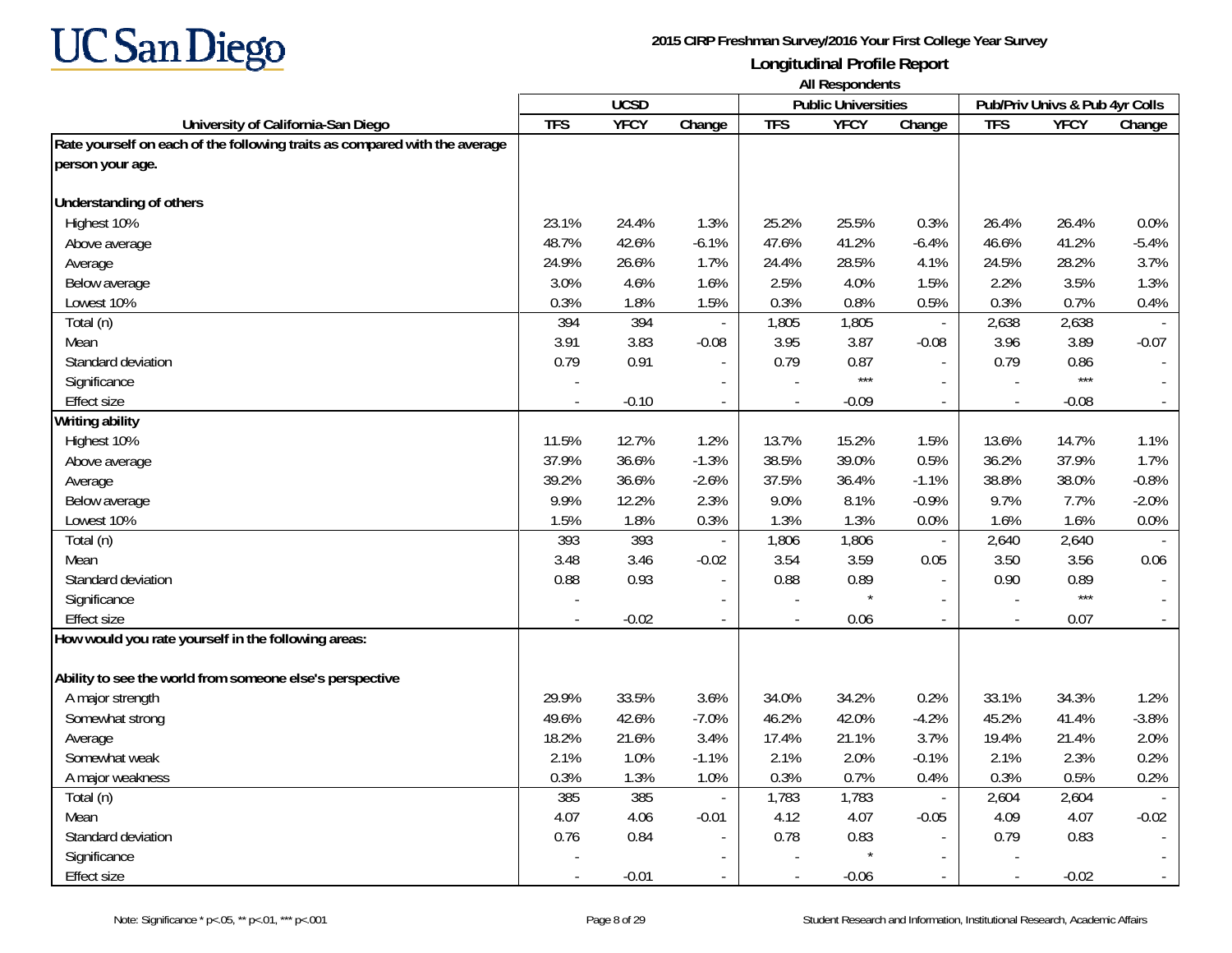

|                                                                            | All Respondents |             |                          |            |                            |                          |                          |                                |                |
|----------------------------------------------------------------------------|-----------------|-------------|--------------------------|------------|----------------------------|--------------------------|--------------------------|--------------------------------|----------------|
|                                                                            |                 | <b>UCSD</b> |                          |            | <b>Public Universities</b> |                          |                          | Pub/Priv Univs & Pub 4yr Colls |                |
| University of California-San Diego                                         | <b>TFS</b>      | <b>YFCY</b> | Change                   | <b>TFS</b> | <b>YFCY</b>                | Change                   | <b>TFS</b>               | <b>YFCY</b>                    | Change         |
| Rate yourself on each of the following traits as compared with the average |                 |             |                          |            |                            |                          |                          |                                |                |
| person your age.                                                           |                 |             |                          |            |                            |                          |                          |                                |                |
| Understanding of others                                                    |                 |             |                          |            |                            |                          |                          |                                |                |
| Highest 10%                                                                | 23.1%           | 24.4%       | 1.3%                     | 25.2%      | 25.5%                      | 0.3%                     | 26.4%                    | 26.4%                          | 0.0%           |
| Above average                                                              | 48.7%           | 42.6%       | $-6.1%$                  | 47.6%      | 41.2%                      | $-6.4%$                  | 46.6%                    | 41.2%                          | $-5.4%$        |
| Average                                                                    | 24.9%           | 26.6%       | 1.7%                     | 24.4%      | 28.5%                      | 4.1%                     | 24.5%                    | 28.2%                          | 3.7%           |
| Below average                                                              | 3.0%            | 4.6%        | 1.6%                     | 2.5%       | 4.0%                       | 1.5%                     | 2.2%                     | 3.5%                           | 1.3%           |
| Lowest 10%                                                                 | 0.3%            | 1.8%        | 1.5%                     | 0.3%       | 0.8%                       | 0.5%                     | 0.3%                     | 0.7%                           | 0.4%           |
| Total (n)                                                                  | 394             | 394         | $\overline{\phantom{a}}$ | 1,805      | 1,805                      | $\overline{\phantom{a}}$ | 2,638                    | 2,638                          |                |
| Mean                                                                       | 3.91            | 3.83        | $-0.08$                  | 3.95       | 3.87                       | $-0.08$                  | 3.96                     | 3.89                           | $-0.07$        |
| Standard deviation                                                         | 0.79            | 0.91        |                          | 0.79       | 0.87                       |                          | 0.79                     | 0.86                           |                |
| Significance                                                               |                 |             |                          |            | $***$                      |                          |                          | $***$                          |                |
| Effect size                                                                |                 | $-0.10$     | $\overline{\phantom{a}}$ |            | $-0.09$                    | $\overline{\phantom{a}}$ | $\overline{\phantom{a}}$ | $-0.08$                        | $\blacksquare$ |
| Writing ability                                                            |                 |             |                          |            |                            |                          |                          |                                |                |
| Highest 10%                                                                | 11.5%           | 12.7%       | 1.2%                     | 13.7%      | 15.2%                      | 1.5%                     | 13.6%                    | 14.7%                          | 1.1%           |
| Above average                                                              | 37.9%           | 36.6%       | $-1.3%$                  | 38.5%      | 39.0%                      | 0.5%                     | 36.2%                    | 37.9%                          | 1.7%           |
| Average                                                                    | 39.2%           | 36.6%       | $-2.6%$                  | 37.5%      | 36.4%                      | $-1.1%$                  | 38.8%                    | 38.0%                          | $-0.8%$        |
| Below average                                                              | 9.9%            | 12.2%       | 2.3%                     | 9.0%       | 8.1%                       | $-0.9%$                  | 9.7%                     | 7.7%                           | $-2.0%$        |
| Lowest 10%                                                                 | 1.5%            | 1.8%        | 0.3%                     | 1.3%       | 1.3%                       | 0.0%                     | 1.6%                     | 1.6%                           | 0.0%           |
| Total (n)                                                                  | 393             | 393         |                          | 1,806      | 1,806                      | $\overline{\phantom{a}}$ | 2,640                    | 2,640                          |                |
| Mean                                                                       | 3.48            | 3.46        | $-0.02$                  | 3.54       | 3.59                       | 0.05                     | 3.50                     | 3.56                           | 0.06           |
| Standard deviation                                                         | 0.88            | 0.93        | $\overline{a}$           | 0.88       | 0.89                       | $\sim$                   | 0.90                     | 0.89                           |                |
| Significance                                                               | $\overline{a}$  |             |                          |            | $\star$                    | $\sim$                   | $\overline{\phantom{a}}$ | $***$                          |                |
| Effect size                                                                |                 | $-0.02$     |                          |            | 0.06                       |                          | $\overline{a}$           | 0.07                           |                |
| How would you rate yourself in the following areas:                        |                 |             |                          |            |                            |                          |                          |                                |                |
| Ability to see the world from someone else's perspective                   |                 |             |                          |            |                            |                          |                          |                                |                |
| A major strength                                                           | 29.9%           | 33.5%       | 3.6%                     | 34.0%      | 34.2%                      | 0.2%                     | 33.1%                    | 34.3%                          | 1.2%           |
| Somewhat strong                                                            | 49.6%           | 42.6%       | $-7.0%$                  | 46.2%      | 42.0%                      | $-4.2%$                  | 45.2%                    | 41.4%                          | $-3.8%$        |
| Average                                                                    | 18.2%           | 21.6%       | 3.4%                     | 17.4%      | 21.1%                      | 3.7%                     | 19.4%                    | 21.4%                          | 2.0%           |
| Somewhat weak                                                              | 2.1%            | 1.0%        | $-1.1%$                  | 2.1%       | 2.0%                       | $-0.1%$                  | 2.1%                     | 2.3%                           | 0.2%           |
| A major weakness                                                           | 0.3%            | 1.3%        | 1.0%                     | 0.3%       | 0.7%                       | 0.4%                     | 0.3%                     | 0.5%                           | 0.2%           |
| Total (n)                                                                  | 385             | 385         |                          | 1,783      | 1,783                      | $\overline{\phantom{a}}$ | 2,604                    | 2,604                          |                |
| Mean                                                                       | 4.07            | 4.06        | $-0.01$                  | 4.12       | 4.07                       | $-0.05$                  | 4.09                     | 4.07                           | $-0.02$        |
| Standard deviation                                                         | 0.76            | 0.84        | $\blacksquare$           | 0.78       | 0.83                       | $\sim$                   | 0.79                     | 0.83                           |                |
| Significance                                                               |                 |             |                          |            |                            | $\sim$                   |                          |                                |                |
| Effect size                                                                | $\sim$          | $-0.01$     | $\overline{\phantom{a}}$ |            | $-0.06$                    | $\sim$                   | $\sim$                   | $-0.02$                        |                |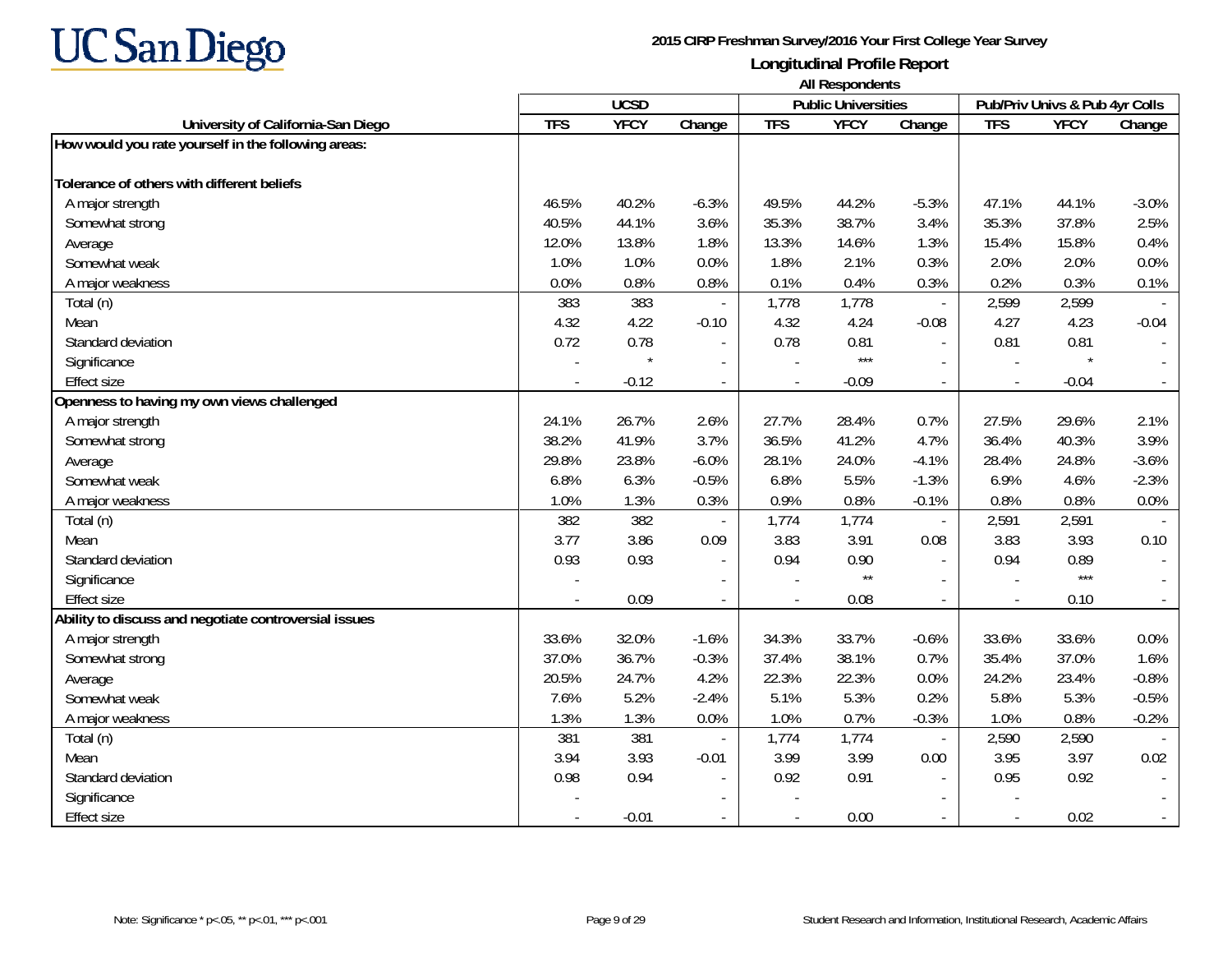

|                                                       | <b>All Respondents</b> |                            |                          |            |                                |                          |                |             |         |
|-------------------------------------------------------|------------------------|----------------------------|--------------------------|------------|--------------------------------|--------------------------|----------------|-------------|---------|
|                                                       |                        | <b>Public Universities</b> |                          |            | Pub/Priv Univs & Pub 4yr Colls |                          |                |             |         |
| University of California-San Diego                    | <b>TFS</b>             | <b>YFCY</b>                | Change                   | <b>TFS</b> | <b>YFCY</b>                    | Change                   | <b>TFS</b>     | <b>YFCY</b> | Change  |
| How would you rate yourself in the following areas:   |                        |                            |                          |            |                                |                          |                |             |         |
| Tolerance of others with different beliefs            |                        |                            |                          |            |                                |                          |                |             |         |
| A major strength                                      | 46.5%                  | 40.2%                      | $-6.3%$                  | 49.5%      | 44.2%                          | $-5.3%$                  | 47.1%          | 44.1%       | $-3.0%$ |
| Somewhat strong                                       | 40.5%                  | 44.1%                      | 3.6%                     | 35.3%      | 38.7%                          | 3.4%                     | 35.3%          | 37.8%       | 2.5%    |
| Average                                               | 12.0%                  | 13.8%                      | 1.8%                     | 13.3%      | 14.6%                          | 1.3%                     | 15.4%          | 15.8%       | 0.4%    |
| Somewhat weak                                         | 1.0%                   | 1.0%                       | 0.0%                     | 1.8%       | 2.1%                           | 0.3%                     | 2.0%           | 2.0%        | 0.0%    |
| A major weakness                                      | 0.0%                   | 0.8%                       | 0.8%                     | 0.1%       | 0.4%                           | 0.3%                     | 0.2%           | 0.3%        | 0.1%    |
| Total (n)                                             | 383                    | 383                        |                          | 1,778      | 1,778                          | $\overline{\phantom{a}}$ | 2,599          | 2,599       |         |
| Mean                                                  | 4.32                   | 4.22                       | $-0.10$                  | 4.32       | 4.24                           | $-0.08$                  | 4.27           | 4.23        | $-0.04$ |
| Standard deviation                                    | 0.72                   | 0.78                       |                          | 0.78       | 0.81                           | $\sim$                   | 0.81           | 0.81        |         |
| Significance                                          |                        |                            | $\overline{\phantom{a}}$ |            | $***$                          |                          | $\overline{a}$ |             |         |
| <b>Effect size</b>                                    |                        | $-0.12$                    | $\overline{\phantom{a}}$ |            | $-0.09$                        | $\blacksquare$           | $\blacksquare$ | $-0.04$     | $\sim$  |
| Openness to having my own views challenged            |                        |                            |                          |            |                                |                          |                |             |         |
| A major strength                                      | 24.1%                  | 26.7%                      | 2.6%                     | 27.7%      | 28.4%                          | 0.7%                     | 27.5%          | 29.6%       | 2.1%    |
| Somewhat strong                                       | 38.2%                  | 41.9%                      | 3.7%                     | 36.5%      | 41.2%                          | 4.7%                     | 36.4%          | 40.3%       | 3.9%    |
| Average                                               | 29.8%                  | 23.8%                      | $-6.0%$                  | 28.1%      | 24.0%                          | $-4.1%$                  | 28.4%          | 24.8%       | $-3.6%$ |
| Somewhat weak                                         | 6.8%                   | 6.3%                       | $-0.5%$                  | 6.8%       | 5.5%                           | $-1.3%$                  | 6.9%           | 4.6%        | $-2.3%$ |
| A major weakness                                      | 1.0%                   | 1.3%                       | 0.3%                     | 0.9%       | 0.8%                           | $-0.1%$                  | 0.8%           | 0.8%        | 0.0%    |
| Total (n)                                             | 382                    | 382                        | $\blacksquare$           | 1,774      | 1,774                          | $\overline{\phantom{a}}$ | 2,591          | 2,591       |         |
| Mean                                                  | 3.77                   | 3.86                       | 0.09                     | 3.83       | 3.91                           | 0.08                     | 3.83           | 3.93        | 0.10    |
| Standard deviation                                    | 0.93                   | 0.93                       | $\blacksquare$           | 0.94       | 0.90                           |                          | 0.94           | 0.89        |         |
| Significance                                          |                        |                            |                          |            | $\star\star$                   |                          |                | $***$       |         |
| <b>Effect size</b>                                    |                        | 0.09                       |                          |            | 0.08                           |                          | $\blacksquare$ | 0.10        |         |
| Ability to discuss and negotiate controversial issues |                        |                            |                          |            |                                |                          |                |             |         |
| A major strength                                      | 33.6%                  | 32.0%                      | $-1.6%$                  | 34.3%      | 33.7%                          | $-0.6%$                  | 33.6%          | 33.6%       | 0.0%    |
| Somewhat strong                                       | 37.0%                  | 36.7%                      | $-0.3%$                  | 37.4%      | 38.1%                          | 0.7%                     | 35.4%          | 37.0%       | 1.6%    |
| Average                                               | 20.5%                  | 24.7%                      | 4.2%                     | 22.3%      | 22.3%                          | 0.0%                     | 24.2%          | 23.4%       | $-0.8%$ |
| Somewhat weak                                         | 7.6%                   | 5.2%                       | $-2.4%$                  | 5.1%       | 5.3%                           | 0.2%                     | 5.8%           | 5.3%        | $-0.5%$ |
| A major weakness                                      | 1.3%                   | 1.3%                       | 0.0%                     | 1.0%       | 0.7%                           | $-0.3%$                  | 1.0%           | 0.8%        | $-0.2%$ |
| Total (n)                                             | 381                    | 381                        |                          | 1,774      | 1,774                          | $\overline{\phantom{a}}$ | 2,590          | 2,590       |         |
| Mean                                                  | 3.94                   | 3.93                       | $-0.01$                  | 3.99       | 3.99                           | 0.00                     | 3.95           | 3.97        | 0.02    |
| Standard deviation                                    | 0.98                   | 0.94                       |                          | 0.92       | 0.91                           |                          | 0.95           | 0.92        |         |
| Significance                                          |                        |                            | $\overline{\phantom{a}}$ |            |                                |                          |                |             |         |
| Effect size                                           |                        | $-0.01$                    |                          |            | 0.00                           |                          | $\blacksquare$ | 0.02        |         |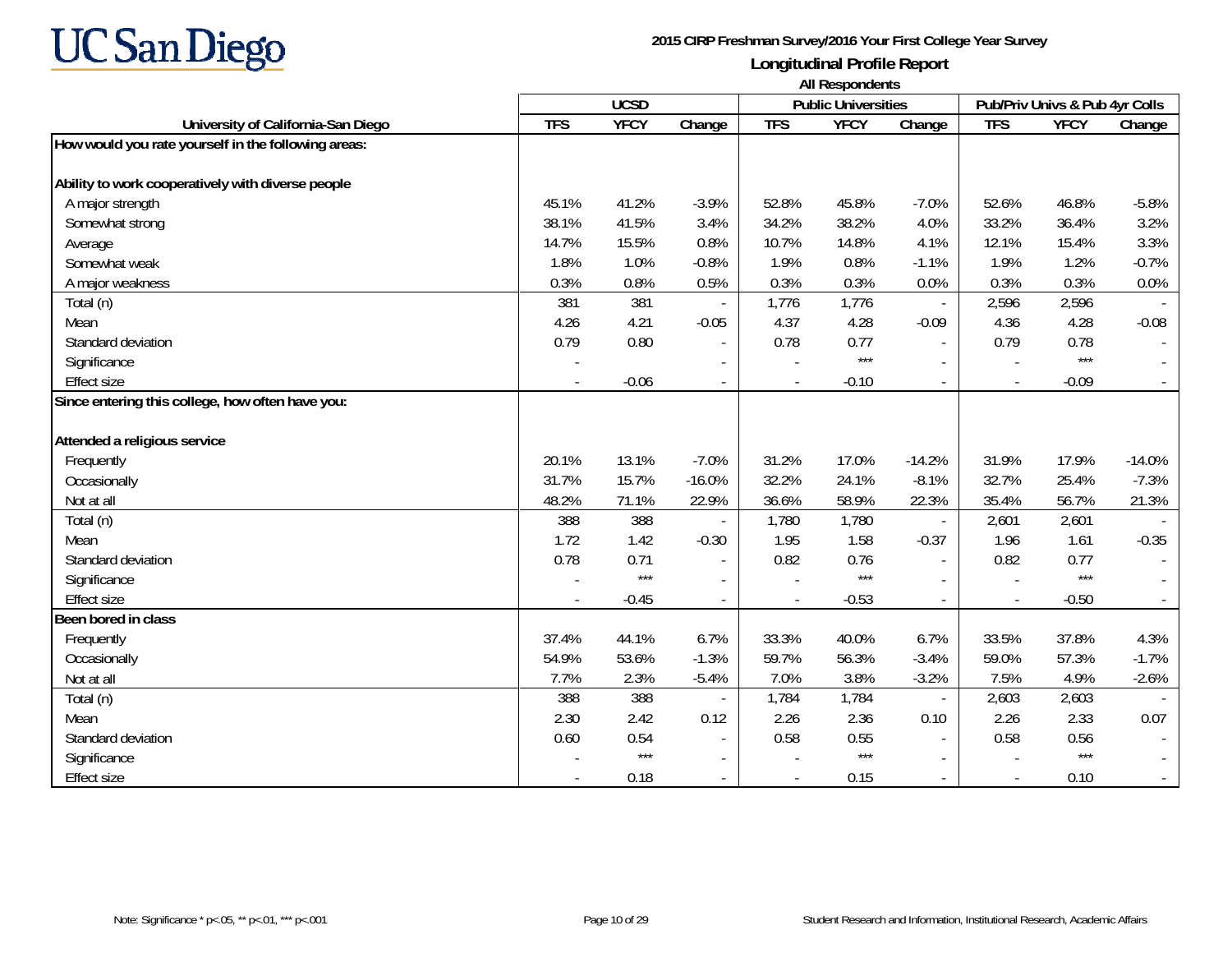

|                                                     | <b>All Respondents</b> |             |                          |            |                            |                          |                                |             |          |
|-----------------------------------------------------|------------------------|-------------|--------------------------|------------|----------------------------|--------------------------|--------------------------------|-------------|----------|
|                                                     |                        | <b>UCSD</b> |                          |            | <b>Public Universities</b> |                          | Pub/Priv Univs & Pub 4yr Colls |             |          |
| University of California-San Diego                  | <b>TFS</b>             | <b>YFCY</b> | $\overline{Change}$      | <b>TFS</b> | <b>YFCY</b>                | Change                   | <b>TFS</b>                     | <b>YFCY</b> | Change   |
| How would you rate yourself in the following areas: |                        |             |                          |            |                            |                          |                                |             |          |
| Ability to work cooperatively with diverse people   |                        |             |                          |            |                            |                          |                                |             |          |
| A major strength                                    | 45.1%                  | 41.2%       | $-3.9%$                  | 52.8%      | 45.8%                      | $-7.0%$                  | 52.6%                          | 46.8%       | $-5.8%$  |
| Somewhat strong                                     | 38.1%                  | 41.5%       | 3.4%                     | 34.2%      | 38.2%                      | 4.0%                     | 33.2%                          | 36.4%       | 3.2%     |
| Average                                             | 14.7%                  | 15.5%       | 0.8%                     | 10.7%      | 14.8%                      | 4.1%                     | 12.1%                          | 15.4%       | 3.3%     |
| Somewhat weak                                       | 1.8%                   | 1.0%        | $-0.8%$                  | 1.9%       | 0.8%                       | $-1.1%$                  | 1.9%                           | 1.2%        | $-0.7%$  |
| A major weakness                                    | 0.3%                   | 0.8%        | 0.5%                     | 0.3%       | 0.3%                       | 0.0%                     | 0.3%                           | 0.3%        | 0.0%     |
| Total (n)                                           | 381                    | 381         |                          | 1,776      | 1,776                      | $\overline{\phantom{a}}$ | 2,596                          | 2,596       |          |
| Mean                                                | 4.26                   | 4.21        | $-0.05$                  | 4.37       | 4.28                       | $-0.09$                  | 4.36                           | 4.28        | $-0.08$  |
| Standard deviation                                  | 0.79                   | 0.80        | $\overline{\phantom{a}}$ | 0.78       | 0.77                       |                          | 0.79                           | 0.78        |          |
| Significance                                        |                        |             | $\blacksquare$           |            | $***$                      |                          |                                | $***$       |          |
| <b>Effect size</b>                                  |                        | $-0.06$     | $\overline{\phantom{a}}$ |            | $-0.10$                    | $\overline{\phantom{a}}$ | $\overline{\phantom{a}}$       | $-0.09$     |          |
| Since entering this college, how often have you:    |                        |             |                          |            |                            |                          |                                |             |          |
| Attended a religious service                        |                        |             |                          |            |                            |                          |                                |             |          |
| Frequently                                          | 20.1%                  | 13.1%       | $-7.0%$                  | 31.2%      | 17.0%                      | $-14.2%$                 | 31.9%                          | 17.9%       | $-14.0%$ |
| Occasionally                                        | 31.7%                  | 15.7%       | $-16.0%$                 | 32.2%      | 24.1%                      | $-8.1%$                  | 32.7%                          | 25.4%       | $-7.3%$  |
| Not at all                                          | 48.2%                  | 71.1%       | 22.9%                    | 36.6%      | 58.9%                      | 22.3%                    | 35.4%                          | 56.7%       | 21.3%    |
| Total (n)                                           | 388                    | 388         |                          | 1,780      | 1,780                      | $\overline{\phantom{a}}$ | 2,601                          | 2,601       |          |
| Mean                                                | 1.72                   | 1.42        | $-0.30$                  | 1.95       | 1.58                       | $-0.37$                  | 1.96                           | 1.61        | $-0.35$  |
| Standard deviation                                  | 0.78                   | 0.71        |                          | 0.82       | 0.76                       | $\sim$                   | 0.82                           | 0.77        |          |
| Significance                                        |                        | $***$       |                          |            | $***$                      |                          |                                | $***$       |          |
| <b>Effect size</b>                                  |                        | $-0.45$     |                          |            | $-0.53$                    |                          | $\overline{\phantom{a}}$       | $-0.50$     |          |
| Been bored in class                                 |                        |             |                          |            |                            |                          |                                |             |          |
| Frequently                                          | 37.4%                  | 44.1%       | 6.7%                     | 33.3%      | 40.0%                      | 6.7%                     | 33.5%                          | 37.8%       | 4.3%     |
| Occasionally                                        | 54.9%                  | 53.6%       | $-1.3%$                  | 59.7%      | 56.3%                      | $-3.4%$                  | 59.0%                          | 57.3%       | $-1.7%$  |
| Not at all                                          | 7.7%                   | 2.3%        | $-5.4%$                  | 7.0%       | 3.8%                       | $-3.2%$                  | 7.5%                           | 4.9%        | $-2.6%$  |
| Total (n)                                           | 388                    | 388         |                          | 1,784      | 1,784                      | $\Box$                   | 2,603                          | 2,603       |          |
| Mean                                                | 2.30                   | 2.42        | 0.12                     | 2.26       | 2.36                       | 0.10                     | 2.26                           | 2.33        | 0.07     |
| Standard deviation                                  | 0.60                   | 0.54        | $\overline{\phantom{a}}$ | 0.58       | 0.55                       | $\sim$                   | 0.58                           | 0.56        |          |
| Significance                                        |                        | $***$       | $\blacksquare$           |            | $***$                      |                          |                                | $***$       |          |
| <b>Effect size</b>                                  |                        | 0.18        | $\overline{\phantom{a}}$ |            | 0.15                       | $\overline{\phantom{a}}$ | $\overline{\phantom{a}}$       | 0.10        |          |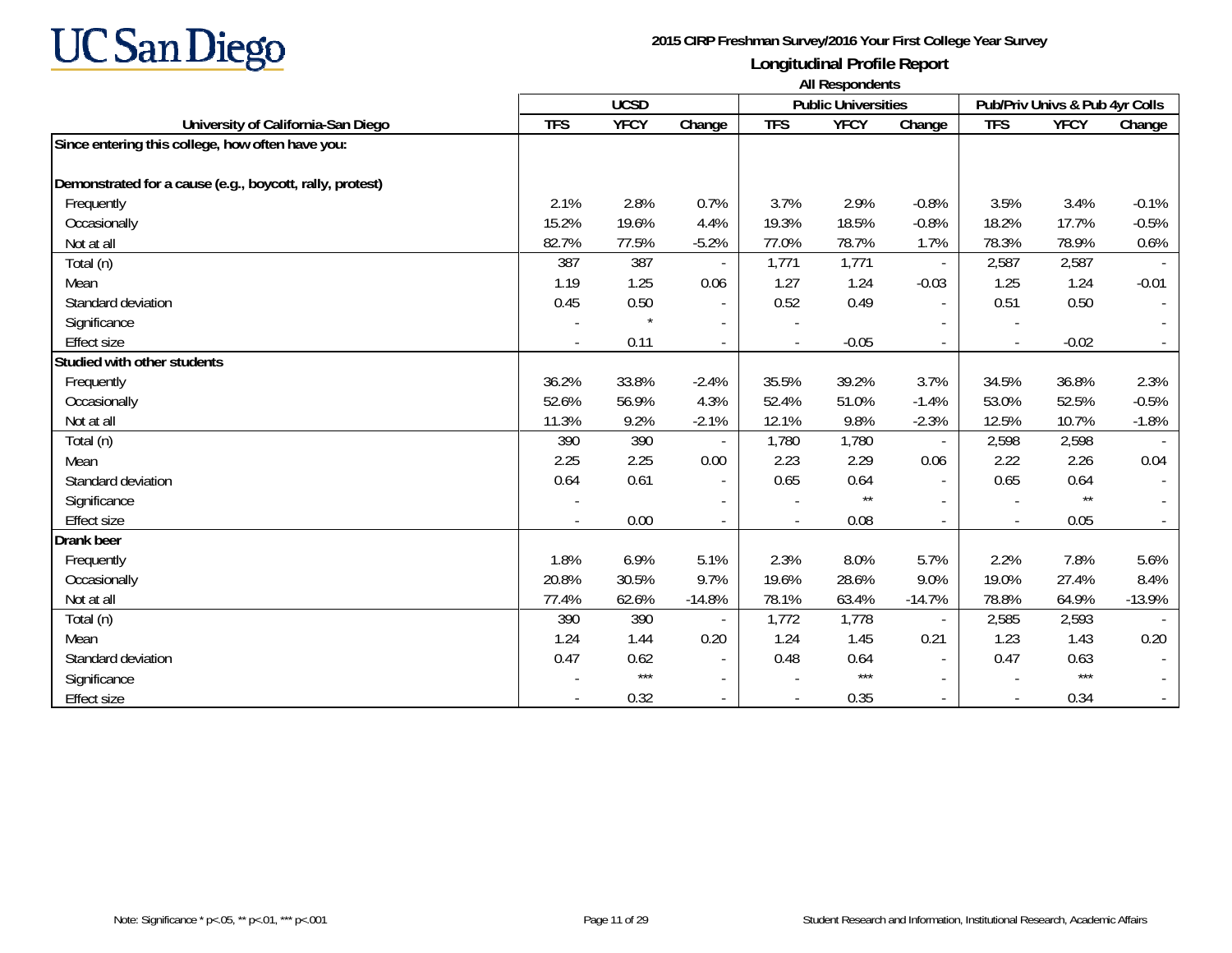

**University of California-San Diego TFS YFCY Change TFS YFCY Change TFS YFCY Change UCSD Public Universities Pub/Priv Univs & Pub 4yr Colls All Respondents Since entering this college, how often have you: Demonstrated for a cause (e.g., boycott, rally, protest)** Frequently 2.1% 2.8% 0.7% 3.7% 2.9% -0.8% 3.5% 3.4% -0.1% Occasionally 15.2% 19.6% 4.4% 19.3% 18.5% -0.8% 18.2% 17.7% -0.5% Not at all 82.7% 77.5% -5.2% 77.0% 78.7% 1.7% 78.3% 78.9% 0.6%Total (n) 387 387 - 1,771 1,771 - 2,587 2,587 -Mean 1.19 1.25 0.06 1.27 1.24 -0.03 1.25 1.24 -0.01 Standard deviation 0.45 0.50 - 0.52 0.49 - 0.51 0.50 - Significance and the state of the state of the state of the state of the state of the state of the state of the state of the state of the state of the state of the state of the state of the state of the state of the state Effect size- 0.02 - 0.11 - 0.11 - 0.05 - 0.02 - 0.02 - 0.02 - 0.02 - 0.02 - 0.02 - 0.02 - 0.02 - 0.02 - 0.02 - 0.02 - 0.02 - 0.02 - 0.02 - 0.02 - 0.02 - 0.02 - 0.02 - 0.02 - 0.02 - 0.02 - 0.02 - 0.02 - 0.02 - 0.02 - 0.02 - 0.02 - 0.0 **Studied with other students** Frequently 36.2% 33.8% -2.4% 35.5% 39.2% 3.7% 34.5% 36.8% 2.3% Occasionally 52.6% 56.9% 4.3% 52.4% 51.0% -1.4% 53.0% 52.5% -0.5% Not at all 11.3% 9.2% -2.1% 12.1% 9.8% -2.3% 12.5% 10.7% -1.8%Total (n) 390 390 - 1,780 1,780 - 2,598 2,598 - Mean 2.25 2.25 0.00 2.23 2.29 0.06 2.22 2.26 0.04 Standard deviation 0.64 0.61 - 0.65 0.64 - 0.65 0.64 - Significance and the set of the set of  $\begin{bmatrix} 1 & 1 & 1 & 1 \end{bmatrix}$  ,  $\begin{bmatrix} 1 & 1 & 1 & 1 \end{bmatrix}$  ,  $\begin{bmatrix} 1 & 1 & 1 & 1 \end{bmatrix}$  ,  $\begin{bmatrix} 1 & 1 & 1 & 1 \end{bmatrix}$  ,  $\begin{bmatrix} 1 & 1 & 1 \end{bmatrix}$  ,  $\begin{bmatrix} 1 & 1 & 1 \end{bmatrix}$  ,  $\begin{bmatrix} 1 & 1 & 1 \end{bmatrix$ Effect size- 0.08 - 0.05 - 0.07 - 0.08 - 0.07 - 0.05 - 0.07 - 0.07 - 0.07 - 0.07 - 0.07 - 0.07 - 0.07 - 0.07 - 0.07 - 0.0 **Drank beer** Frequently 1.8% 6.9% 5.1% 2.3% 8.0% 5.7% 2.2% 7.8% 5.6% Occasionally 20.8% 30.5% 9.7% 19.6% 28.6% 9.0% 19.0% 27.4% 8.4% Not at all 77.4% 62.6% -14.8% 78.1% 63.4% -14.7% 78.8% 64.9% -13.9%Total (n) 390 390 - 1,772 1,778 - 2,585 2,593 - Mean 1.24 1.44 0.20 1.24 1.45 0.21 1.23 1.43 0.20 Standard deviation 0.47 0.62 - 0.48 0.64 - 0.47 0.63 - Significance - \*\*\* - - \*\*\* - - \*\*\* - - \*\*\* - - \*\*\* - - \*\*\* - - \*\*\* - - \*\*\* - - \*\*\* - - \*\*\* - - \*\*\* - - \*\*\* - -Effect size- 0.32 - - 0.35 - - 0.34 -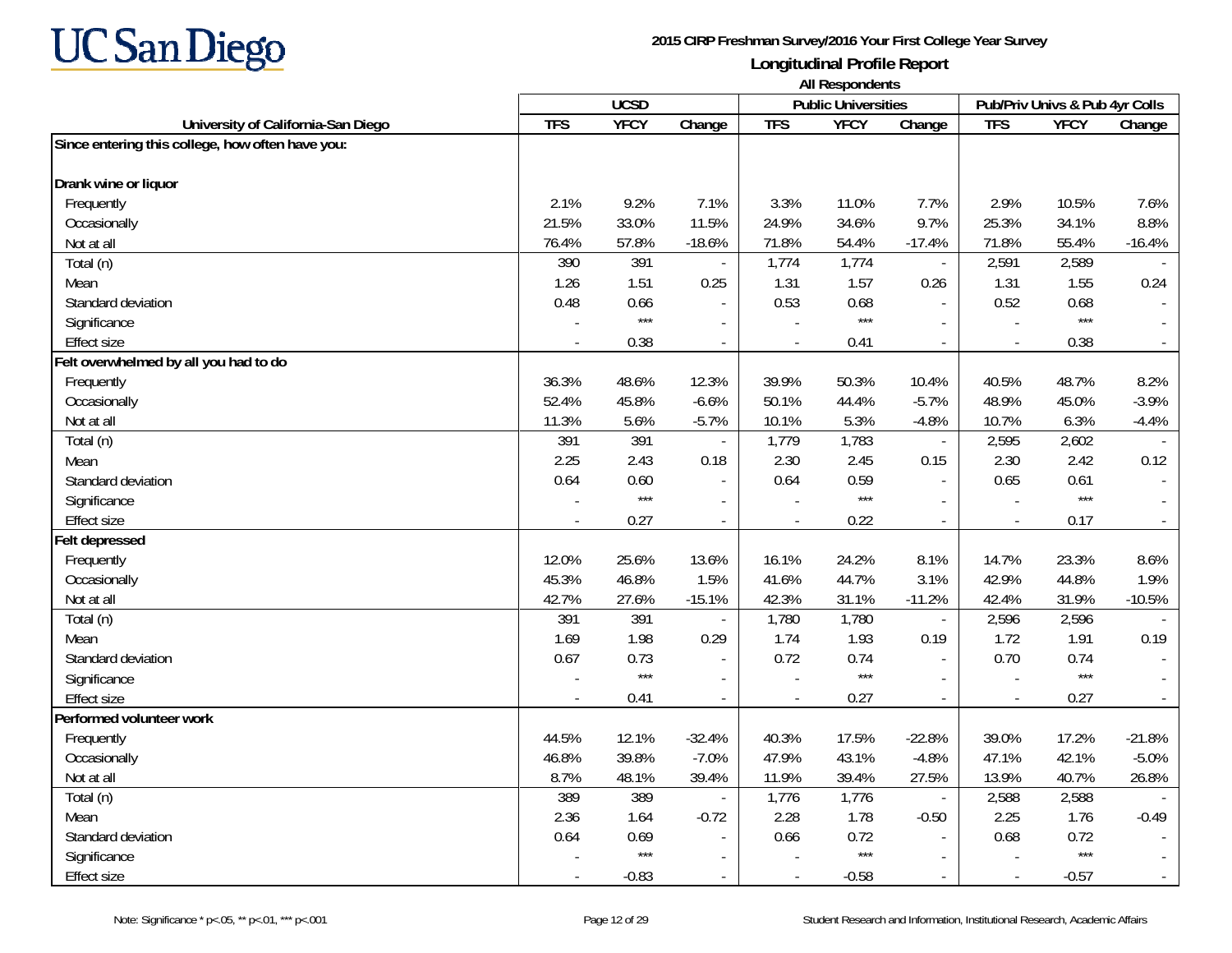

**University of California-San Diego TFS YFCY Change TFS YFCY Change TFS YFCY Change UCSD Public Universities Pub/Priv Univs & Pub 4yr Colls All Respondents Since entering this college, how often have you: Drank wine or liquor** Frequently 2.1% 9.2% 7.1% 3.3% 11.0% 7.7% 2.9% 10.5% 7.6% Occasionally 21.5% 33.0% 11.5% 24.9% 34.6% 9.7% 25.3% 34.1% 8.8% Not at all 76.4% 57.8% -18.6% 71.8% 54.4% -17.4% 71.8% 55.4% -16.4%Total (n) 390 391 - | 1,774 1,774 - | 2,581 2,589 --Mean 1.26 1.51 0.25 1.31 1.57 0.26 1.31 1.55 0.24 Standard deviation0.48 0.66 - | 0.53 0.68 - | 0.52 0.68 - | 0.52 0.68 - | 0.52 0.68 - | 0.52 0.68 - | 0.52 0.68 - | 0.52 0.68 - | Significance and the set of the set of the set of the set of the set of the set of the set of the set of the set of the set of the set of the set of the set of the set of the set of the set of the set of the set of the se Effect size - 0.38 - - 0.41 - - 0.38 - **Felt overwhelmed by all you had to do** Frequently 36.3% 48.6% 12.3% 39.9% 50.3% 10.4% 40.5% 48.7% 8.2% Occasionally 52.4% 45.8% -6.6% 50.1% 44.4% -5.7% 48.9% 45.0% -3.9% Not at all 11.3% 5.6% -5.7% 10.1% 5.3% -4.8% 10.7% 6.3% -4.4%Total (n) 391 391 - 1,779 1,783 - 2,595 2,602 - Mean 2.25 2.43 0.18 2.30 2.45 0.15 2.30 2.42 0.12 Standard deviation0.64 0.60 - ∥ 0.64 0.64 0.64 0.59 - ∥ 0.65 0.61 -Significance and the set of the set of the set of the set of the set of the set of the set of the set of the set of the set of the set of the set of the set of the set of the set of the set of the set of the set of the se Effect size - 0.27 - - 0.22 - - 0.17 - **Felt depressed** Frequently 12.0% 25.6% 13.6% 16.1% 24.2% 8.1% 14.7% 23.3% 8.6% Occasionally 45.3% 46.8% 1.5% 41.6% 44.7% 3.1% 42.9% 44.8% 1.9% Not at all 42.7% 27.6% -15.1% 42.3% 31.1% -11.2% 42.4% 31.9% -10.5%Total (n) 391 - | 1,780 1,780 - | 2,596 2,596 -Mean 1.69 1.98 0.29 1.74 1.93 0.19 1.72 1.91 0.19 Standard deviation 0.67 0.73 - 0.72 0.74 - 0.70 0.74 - Significance - \*\*\* - - \*\*\* - - \*\*\* - - \*\*\* - - \*\*\* - - \*\*\* - - \*\*\* - - \*\*\* - - \*\*\* - - \*\*\* - - \*\*\* - - \*\*\* - -Effect size - 0.41 - - 0.27 - - 0.27 - **Performed volunteer work** Frequently 44.5% 12.1% -32.4% 40.3% 17.5% -22.8% 39.0% 17.2% -21.8% Occasionally 46.8% 39.8% -7.0% 47.9% 43.1% -4.8% 47.1% 42.1% -5.0% Not at all 8.7% 48.1% 39.4% 11.9% 39.4% 27.5% 13.9% 40.7% 26.8%Total (n) 389 389 - 1,776 1,776 - 2,588 2,588 - Mean 2.36 1.64 -0.72 2.28 1.78 -0.50 2.25 1.76 -0.49 Standard deviation0.64 0.69 - ∥ 0.66 0.72 - 0.68 0.72 -Significance and the set of the set of the set of the set of the set of the set of the set of the set of the set of the set of the set of the set of the set of the set of the set of the set of the set of the set of the se Effect size- -0.83 - - -0.58 - - -0.57 -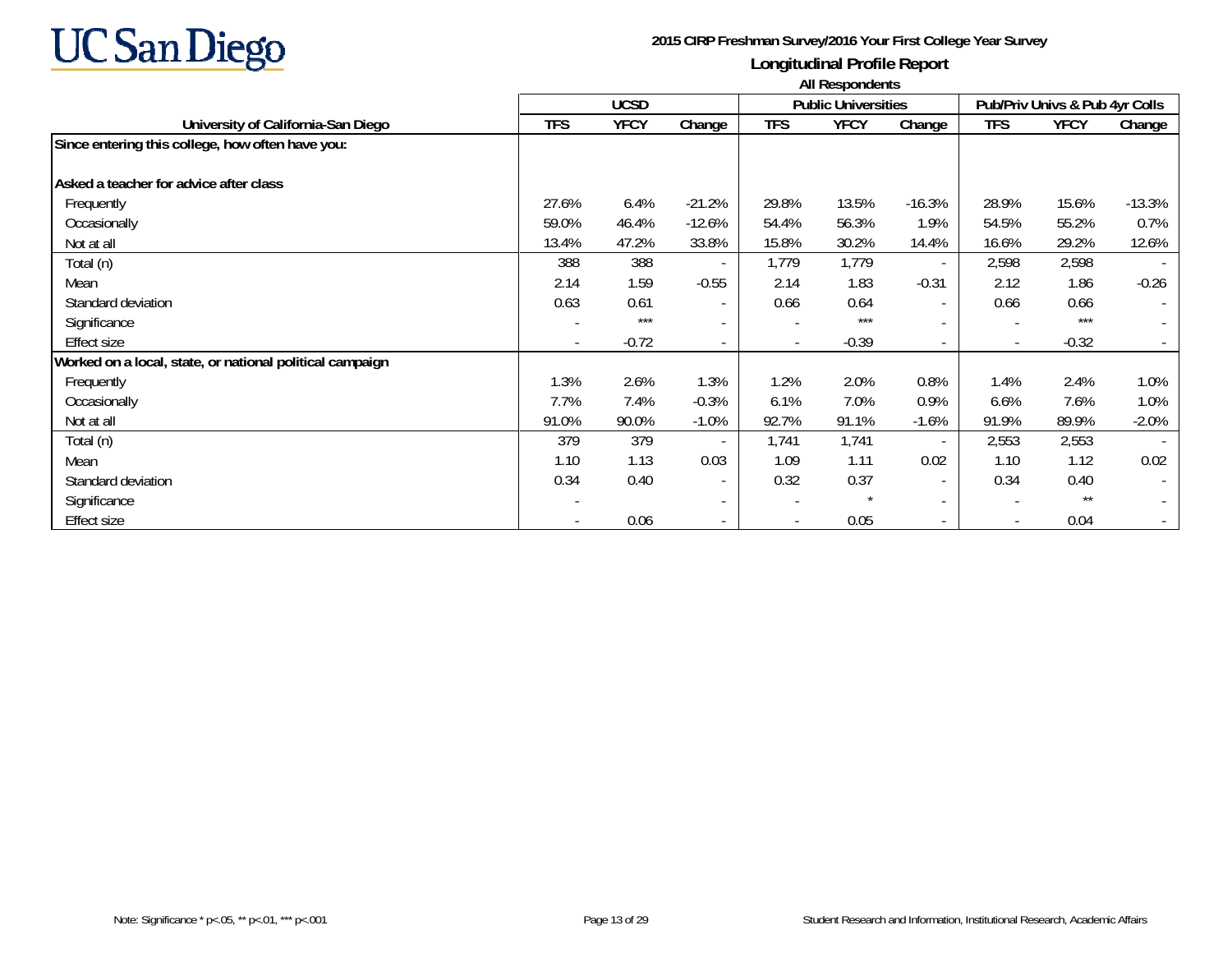

|                                                          | <b>All Respondents</b> |             |                          |                          |                            |                          |                          |                                |          |  |
|----------------------------------------------------------|------------------------|-------------|--------------------------|--------------------------|----------------------------|--------------------------|--------------------------|--------------------------------|----------|--|
|                                                          |                        | <b>UCSD</b> |                          |                          | <b>Public Universities</b> |                          |                          | Pub/Priv Univs & Pub 4yr Colls |          |  |
| University of California-San Diego                       | <b>TFS</b>             | <b>YFCY</b> | Change                   | <b>TFS</b>               | <b>YFCY</b>                | Change                   | <b>TFS</b>               | <b>YFCY</b>                    | Change   |  |
| Since entering this college, how often have you:         |                        |             |                          |                          |                            |                          |                          |                                |          |  |
| Asked a teacher for advice after class                   |                        |             |                          |                          |                            |                          |                          |                                |          |  |
| Frequently                                               | 27.6%                  | 6.4%        | $-21.2%$                 | 29.8%                    | 13.5%                      | $-16.3%$                 | 28.9%                    | 15.6%                          | $-13.3%$ |  |
| Occasionally                                             | 59.0%                  | 46.4%       | $-12.6%$                 | 54.4%                    | 56.3%                      | 1.9%                     | 54.5%                    | 55.2%                          | 0.7%     |  |
| Not at all                                               | 13.4%                  | 47.2%       | 33.8%                    | 15.8%                    | 30.2%                      | 14.4%                    | 16.6%                    | 29.2%                          | 12.6%    |  |
| Total (n)                                                | 388                    | 388         |                          | 1,779                    | 1,779                      | $\overline{\phantom{a}}$ | 2,598                    | 2,598                          |          |  |
| Mean                                                     | 2.14                   | 1.59        | $-0.55$                  | 2.14                     | 1.83                       | $-0.31$                  | 2.12                     | 1.86                           | $-0.26$  |  |
| Standard deviation                                       | 0.63                   | 0.61        | $\overline{\phantom{a}}$ | 0.66                     | 0.64                       | $\overline{\phantom{a}}$ | 0.66                     | 0.66                           |          |  |
| Significance                                             |                        | $***$       | $\overline{\phantom{a}}$ |                          | $***$                      | $\sim$                   |                          | $***$                          |          |  |
| Effect size                                              |                        | $-0.72$     | $\overline{\phantom{a}}$ |                          | $-0.39$                    | $\sim$                   | $\overline{\phantom{a}}$ | $-0.32$                        |          |  |
| Worked on a local, state, or national political campaign |                        |             |                          |                          |                            |                          |                          |                                |          |  |
| Frequently                                               | 1.3%                   | 2.6%        | 1.3%                     | 1.2%                     | 2.0%                       | 0.8%                     | 1.4%                     | 2.4%                           | 1.0%     |  |
| Occasionally                                             | 7.7%                   | 7.4%        | $-0.3%$                  | 6.1%                     | 7.0%                       | 0.9%                     | 6.6%                     | 7.6%                           | 1.0%     |  |
| Not at all                                               | 91.0%                  | 90.0%       | $-1.0%$                  | 92.7%                    | 91.1%                      | $-1.6%$                  | 91.9%                    | 89.9%                          | $-2.0%$  |  |
| Total (n)                                                | 379                    | 379         |                          | 1,741                    | 1,741                      | $\overline{\phantom{a}}$ | 2,553                    | 2,553                          |          |  |
| Mean                                                     | 1.10                   | 1.13        | 0.03                     | 1.09                     | 1.11                       | 0.02                     | 1.10                     | 1.12                           | 0.02     |  |
| Standard deviation                                       | 0.34                   | 0.40        | $\overline{\phantom{a}}$ | 0.32                     | 0.37                       | $\overline{\phantom{a}}$ | 0.34                     | 0.40                           |          |  |
| Significance                                             |                        |             | $\overline{\phantom{a}}$ | $\overline{\phantom{a}}$ |                            | $\overline{\phantom{a}}$ |                          | $***$                          |          |  |
| Effect size                                              |                        | 0.06        | $\overline{\phantom{a}}$ |                          | 0.05                       | $\sim$                   | $\overline{\phantom{a}}$ | 0.04                           |          |  |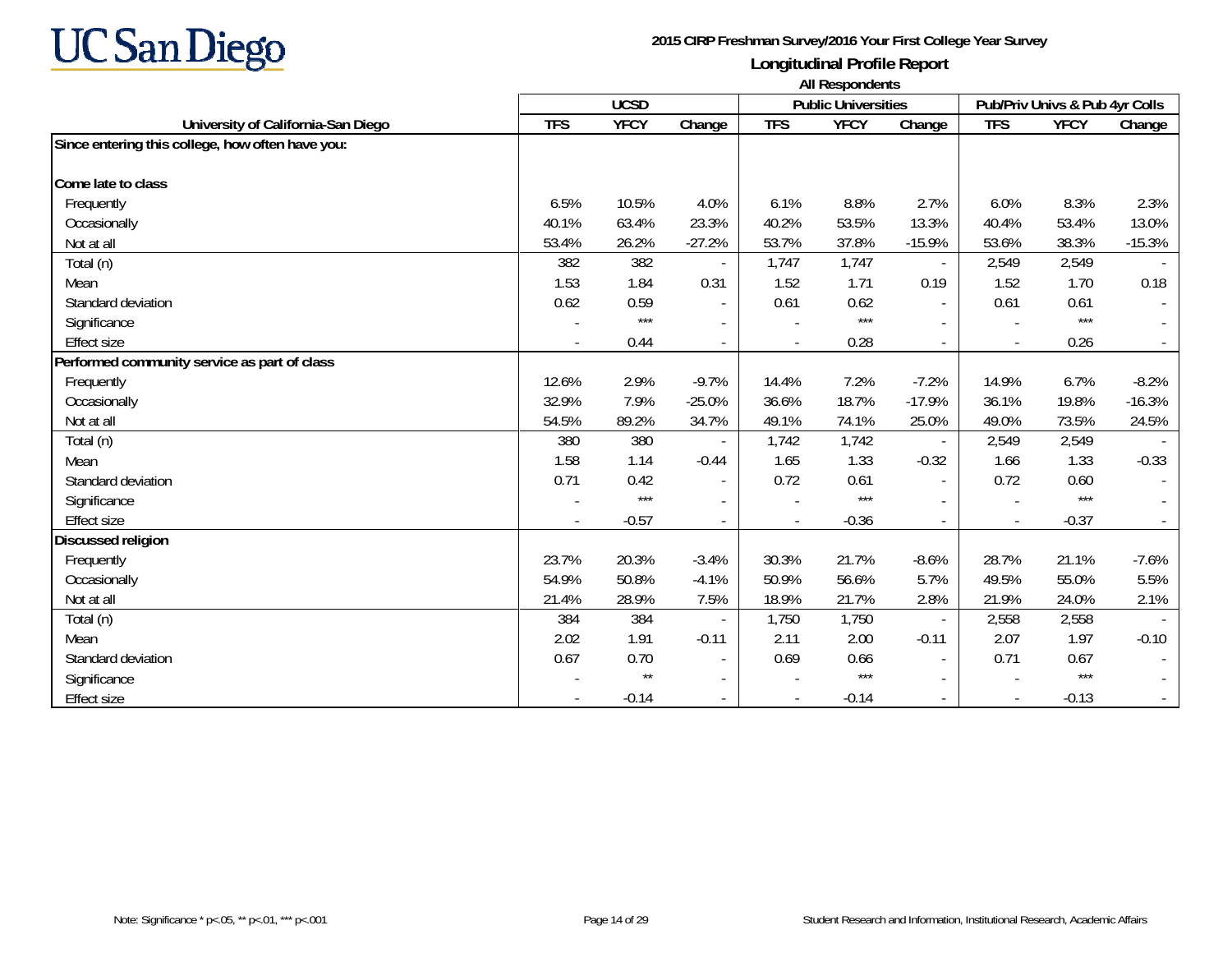

|                                                  | <b>All Respondents</b> |              |                          |            |                            |                          |                          |                                |          |
|--------------------------------------------------|------------------------|--------------|--------------------------|------------|----------------------------|--------------------------|--------------------------|--------------------------------|----------|
|                                                  |                        | <b>UCSD</b>  |                          |            | <b>Public Universities</b> |                          |                          | Pub/Priv Univs & Pub 4yr Colls |          |
| University of California-San Diego               | <b>TFS</b>             | <b>YFCY</b>  | Change                   | <b>TFS</b> | <b>YFCY</b>                | Change                   | <b>TFS</b>               | <b>YFCY</b>                    | Change   |
| Since entering this college, how often have you: |                        |              |                          |            |                            |                          |                          |                                |          |
| Come late to class                               |                        |              |                          |            |                            |                          |                          |                                |          |
| Frequently                                       | 6.5%                   | 10.5%        | 4.0%                     | 6.1%       | 8.8%                       | 2.7%                     | 6.0%                     | 8.3%                           | 2.3%     |
| Occasionally                                     | 40.1%                  | 63.4%        | 23.3%                    | 40.2%      | 53.5%                      | 13.3%                    | 40.4%                    | 53.4%                          | 13.0%    |
| Not at all                                       | 53.4%                  | 26.2%        | $-27.2%$                 | 53.7%      | 37.8%                      | $-15.9%$                 | 53.6%                    | 38.3%                          | $-15.3%$ |
| Total (n)                                        | 382                    | 382          |                          | 1,747      | 1,747                      | $\overline{\phantom{a}}$ | 2,549                    | 2,549                          |          |
| Mean                                             | 1.53                   | 1.84         | 0.31                     | 1.52       | 1.71                       | 0.19                     | 1.52                     | 1.70                           | 0.18     |
| Standard deviation                               | 0.62                   | 0.59         | $\overline{\phantom{a}}$ | 0.61       | 0.62                       | $\overline{\phantom{a}}$ | 0.61                     | 0.61                           |          |
| Significance                                     |                        | $***$        |                          |            | $***$                      |                          |                          | $***$                          |          |
| <b>Effect size</b>                               |                        | 0.44         |                          |            | 0.28                       | $\sim$                   |                          | 0.26                           |          |
| Performed community service as part of class     |                        |              |                          |            |                            |                          |                          |                                |          |
| Frequently                                       | 12.6%                  | 2.9%         | $-9.7%$                  | 14.4%      | 7.2%                       | $-7.2%$                  | 14.9%                    | 6.7%                           | $-8.2%$  |
| Occasionally                                     | 32.9%                  | 7.9%         | $-25.0%$                 | 36.6%      | 18.7%                      | $-17.9%$                 | 36.1%                    | 19.8%                          | $-16.3%$ |
| Not at all                                       | 54.5%                  | 89.2%        | 34.7%                    | 49.1%      | 74.1%                      | 25.0%                    | 49.0%                    | 73.5%                          | 24.5%    |
| Total (n)                                        | 380                    | 380          |                          | 1,742      | 1,742                      |                          | 2,549                    | 2,549                          |          |
| Mean                                             | 1.58                   | 1.14         | $-0.44$                  | 1.65       | 1.33                       | $-0.32$                  | 1.66                     | 1.33                           | $-0.33$  |
| Standard deviation                               | 0.71                   | 0.42         | $\overline{\phantom{a}}$ | 0.72       | 0.61                       |                          | 0.72                     | 0.60                           |          |
| Significance                                     |                        | $***$        | $\overline{\phantom{a}}$ |            | $***$                      |                          |                          | $***$                          |          |
| <b>Effect size</b>                               |                        | $-0.57$      |                          |            | $-0.36$                    | $\overline{a}$           | $\overline{\phantom{a}}$ | $-0.37$                        |          |
| Discussed religion                               |                        |              |                          |            |                            |                          |                          |                                |          |
| Frequently                                       | 23.7%                  | 20.3%        | $-3.4%$                  | 30.3%      | 21.7%                      | $-8.6%$                  | 28.7%                    | 21.1%                          | $-7.6%$  |
| Occasionally                                     | 54.9%                  | 50.8%        | $-4.1%$                  | 50.9%      | 56.6%                      | 5.7%                     | 49.5%                    | 55.0%                          | 5.5%     |
| Not at all                                       | 21.4%                  | 28.9%        | 7.5%                     | 18.9%      | 21.7%                      | 2.8%                     | 21.9%                    | 24.0%                          | 2.1%     |
| Total (n)                                        | 384                    | 384          |                          | 1,750      | 1,750                      |                          | 2,558                    | 2,558                          |          |
| Mean                                             | 2.02                   | 1.91         | $-0.11$                  | 2.11       | 2.00                       | $-0.11$                  | 2.07                     | 1.97                           | $-0.10$  |
| Standard deviation                               | 0.67                   | 0.70         | $\overline{\phantom{a}}$ | 0.69       | 0.66                       | $\sim$                   | 0.71                     | 0.67                           |          |
| Significance                                     |                        | $\star\star$ | $\overline{\phantom{a}}$ |            | $***$                      | $\sim$                   |                          | $***$                          |          |
| <b>Effect size</b>                               |                        | $-0.14$      |                          |            | $-0.14$                    |                          | $\overline{\phantom{a}}$ | $-0.13$                        |          |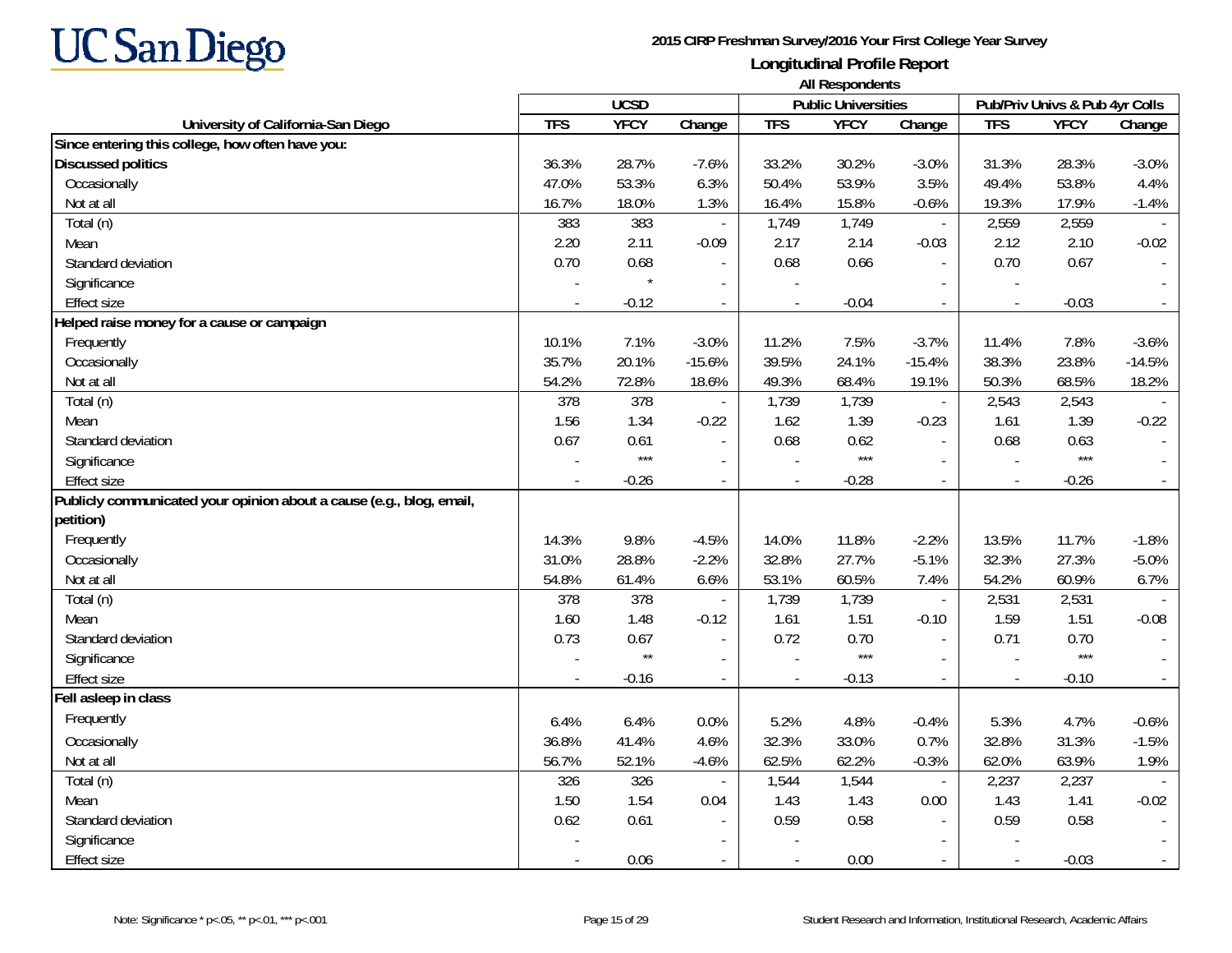

|                                                                      | <b>UCSD</b> |              |                          |                | 1.00<br><b>Public Universities</b> |                          | Pub/Priv Univs & Pub 4yr Colls |             |          |
|----------------------------------------------------------------------|-------------|--------------|--------------------------|----------------|------------------------------------|--------------------------|--------------------------------|-------------|----------|
| University of California-San Diego                                   | <b>TFS</b>  | <b>YFCY</b>  | Change                   | <b>TFS</b>     | <b>YFCY</b>                        | Change                   | <b>TFS</b>                     | <b>YFCY</b> | Change   |
| Since entering this college, how often have you:                     |             |              |                          |                |                                    |                          |                                |             |          |
| <b>Discussed politics</b>                                            | 36.3%       | 28.7%        | $-7.6%$                  | 33.2%          | 30.2%                              | $-3.0%$                  | 31.3%                          | 28.3%       | $-3.0%$  |
| Occasionally                                                         | 47.0%       | 53.3%        | 6.3%                     | 50.4%          | 53.9%                              | 3.5%                     | 49.4%                          | 53.8%       | 4.4%     |
| Not at all                                                           | 16.7%       | 18.0%        | 1.3%                     | 16.4%          | 15.8%                              | $-0.6%$                  | 19.3%                          | 17.9%       | $-1.4%$  |
| Total (n)                                                            | 383         | 383          | $\blacksquare$           | 1,749          | 1,749                              | $\sim$                   | 2,559                          | 2,559       |          |
| Mean                                                                 | 2.20        | 2.11         | $-0.09$                  | 2.17           | 2.14                               | $-0.03$                  | 2.12                           | 2.10        | $-0.02$  |
| Standard deviation                                                   | 0.70        | 0.68         |                          | 0.68           | 0.66                               |                          | 0.70                           | 0.67        |          |
| Significance                                                         |             |              | $\overline{\phantom{a}}$ |                |                                    |                          |                                |             |          |
| <b>Effect size</b>                                                   |             | $-0.12$      | $\overline{\phantom{a}}$ |                | $-0.04$                            | $\overline{\phantom{a}}$ | $\frac{1}{2}$                  | $-0.03$     |          |
| Helped raise money for a cause or campaign                           |             |              |                          |                |                                    |                          |                                |             |          |
| Frequently                                                           | 10.1%       | 7.1%         | $-3.0%$                  | 11.2%          | 7.5%                               | $-3.7%$                  | 11.4%                          | 7.8%        | $-3.6%$  |
| Occasionally                                                         | 35.7%       | 20.1%        | $-15.6%$                 | 39.5%          | 24.1%                              | $-15.4%$                 | 38.3%                          | 23.8%       | $-14.5%$ |
| Not at all                                                           | 54.2%       | 72.8%        | 18.6%                    | 49.3%          | 68.4%                              | 19.1%                    | 50.3%                          | 68.5%       | 18.2%    |
| Total (n)                                                            | 378         | 378          |                          | 1,739          | 1,739                              |                          | 2,543                          | 2,543       |          |
| Mean                                                                 | 1.56        | 1.34         | $-0.22$                  | 1.62           | 1.39                               | $-0.23$                  | 1.61                           | 1.39        | $-0.22$  |
| Standard deviation                                                   | 0.67        | 0.61         | $\blacksquare$           | 0.68           | 0.62                               |                          | 0.68                           | 0.63        |          |
| Significance                                                         |             | $***$        | $\blacksquare$           |                | $***$                              |                          |                                | $***$       |          |
| <b>Effect size</b>                                                   |             | $-0.26$      |                          |                | $-0.28$                            |                          |                                | $-0.26$     |          |
| Publicly communicated your opinion about a cause (e.g., blog, email, |             |              |                          |                |                                    |                          |                                |             |          |
| petition)                                                            |             |              |                          |                |                                    |                          |                                |             |          |
| Frequently                                                           | 14.3%       | 9.8%         | $-4.5%$                  | 14.0%          | 11.8%                              | $-2.2%$                  | 13.5%                          | 11.7%       | $-1.8%$  |
| Occasionally                                                         | 31.0%       | 28.8%        | $-2.2%$                  | 32.8%          | 27.7%                              | $-5.1%$                  | 32.3%                          | 27.3%       | $-5.0%$  |
| Not at all                                                           | 54.8%       | 61.4%        | 6.6%                     | 53.1%          | 60.5%                              | 7.4%                     | 54.2%                          | 60.9%       | 6.7%     |
| Total (n)                                                            | 378         | 378          | $\overline{\phantom{a}}$ | 1,739          | 1,739                              | $\overline{\phantom{a}}$ | 2,531                          | 2,531       |          |
| Mean                                                                 | 1.60        | 1.48         | $-0.12$                  | 1.61           | 1.51                               | $-0.10$                  | 1.59                           | 1.51        | $-0.08$  |
| Standard deviation                                                   | 0.73        | 0.67         | $\overline{\phantom{a}}$ | 0.72           | 0.70                               | $\sim$                   | 0.71                           | 0.70        |          |
| Significance                                                         |             | $\star\star$ | $\sim$                   |                | $***$                              |                          |                                | $***$       |          |
| <b>Effect size</b>                                                   |             | $-0.16$      | $\blacksquare$           | $\overline{a}$ | $-0.13$                            |                          | ÷,                             | $-0.10$     |          |
| Fell asleep in class                                                 |             |              |                          |                |                                    |                          |                                |             |          |
| Frequently                                                           | 6.4%        | 6.4%         | 0.0%                     | 5.2%           | 4.8%                               | $-0.4%$                  | 5.3%                           | 4.7%        | $-0.6%$  |
| Occasionally                                                         | 36.8%       | 41.4%        | 4.6%                     | 32.3%          | 33.0%                              | 0.7%                     | 32.8%                          | 31.3%       | $-1.5%$  |
| Not at all                                                           | 56.7%       | 52.1%        | $-4.6%$                  | 62.5%          | 62.2%                              | $-0.3%$                  | 62.0%                          | 63.9%       | 1.9%     |
| Total (n)                                                            | 326         | 326          |                          | 1,544          | 1,544                              | $\overline{\phantom{a}}$ | 2,237                          | 2,237       |          |
| Mean                                                                 | 1.50        | 1.54         | 0.04                     | 1.43           | 1.43                               | 0.00                     | 1.43                           | 1.41        | $-0.02$  |
| Standard deviation                                                   | 0.62        | 0.61         | $\blacksquare$           | 0.59           | 0.58                               |                          | 0.59                           | 0.58        |          |
| Significance                                                         |             |              | $\overline{\phantom{a}}$ |                |                                    |                          |                                |             |          |
| Effect size                                                          |             | 0.06         |                          |                | 0.00                               |                          | $\overline{\phantom{a}}$       | $-0.03$     |          |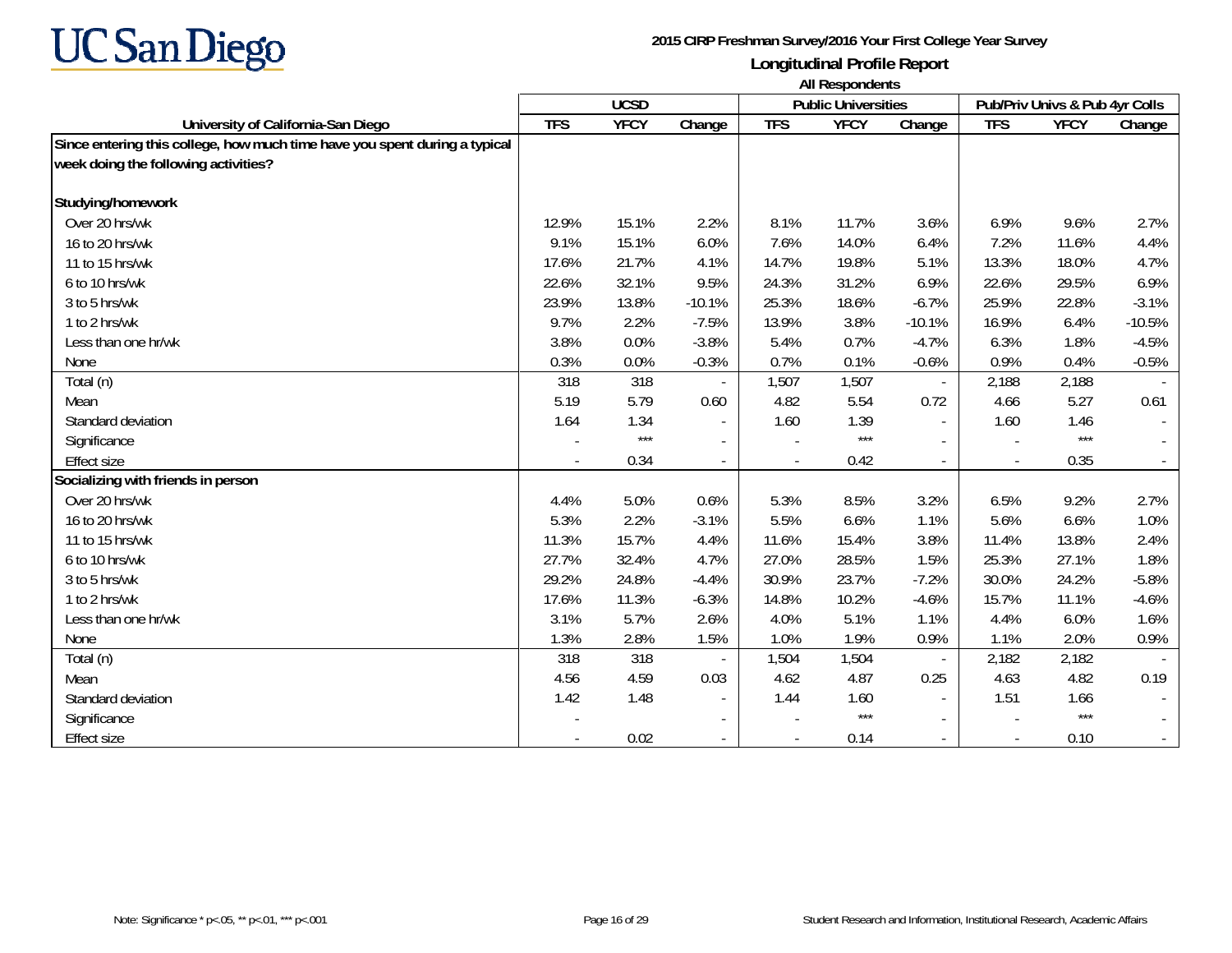

|                                                                            | All Respondents |             |                          |            |                            |                          |            |                                |          |
|----------------------------------------------------------------------------|-----------------|-------------|--------------------------|------------|----------------------------|--------------------------|------------|--------------------------------|----------|
|                                                                            |                 | <b>UCSD</b> |                          |            | <b>Public Universities</b> |                          |            | Pub/Priv Univs & Pub 4yr Colls |          |
| University of California-San Diego                                         | <b>TFS</b>      | <b>YFCY</b> | Change                   | <b>TFS</b> | <b>YFCY</b>                | Change                   | <b>TFS</b> | <b>YFCY</b>                    | Change   |
| Since entering this college, how much time have you spent during a typical |                 |             |                          |            |                            |                          |            |                                |          |
| week doing the following activities?                                       |                 |             |                          |            |                            |                          |            |                                |          |
| Studying/homework                                                          |                 |             |                          |            |                            |                          |            |                                |          |
| Over 20 hrs/wk                                                             | 12.9%           | 15.1%       | 2.2%                     | 8.1%       | 11.7%                      | 3.6%                     | 6.9%       | 9.6%                           | 2.7%     |
| 16 to 20 hrs/wk                                                            | 9.1%            | 15.1%       | 6.0%                     | 7.6%       | 14.0%                      | 6.4%                     | 7.2%       | 11.6%                          | 4.4%     |
| 11 to 15 hrs/wk                                                            | 17.6%           | 21.7%       | 4.1%                     | 14.7%      | 19.8%                      | 5.1%                     | 13.3%      | 18.0%                          | 4.7%     |
| 6 to 10 hrs/wk                                                             | 22.6%           | 32.1%       | 9.5%                     | 24.3%      | 31.2%                      | 6.9%                     | 22.6%      | 29.5%                          | 6.9%     |
| 3 to 5 hrs/wk                                                              | 23.9%           | 13.8%       | $-10.1%$                 | 25.3%      | 18.6%                      | $-6.7%$                  | 25.9%      | 22.8%                          | $-3.1%$  |
| 1 to 2 hrs/wk                                                              | 9.7%            | 2.2%        | $-7.5%$                  | 13.9%      | 3.8%                       | $-10.1%$                 | 16.9%      | 6.4%                           | $-10.5%$ |
| Less than one hr/wk                                                        | 3.8%            | 0.0%        | $-3.8%$                  | 5.4%       | 0.7%                       | $-4.7%$                  | 6.3%       | 1.8%                           | $-4.5%$  |
| None                                                                       | 0.3%            | 0.0%        | $-0.3%$                  | 0.7%       | 0.1%                       | $-0.6%$                  | 0.9%       | 0.4%                           | $-0.5%$  |
| Total (n)                                                                  | 318             | 318         |                          | 1,507      | 1,507                      | $\overline{\phantom{a}}$ | 2,188      | 2,188                          |          |
| Mean                                                                       | 5.19            | 5.79        | 0.60                     | 4.82       | 5.54                       | 0.72                     | 4.66       | 5.27                           | 0.61     |
| Standard deviation                                                         | 1.64            | 1.34        | $\overline{\phantom{a}}$ | 1.60       | 1.39                       |                          | 1.60       | 1.46                           |          |
| Significance                                                               |                 | $***$       | $\overline{\phantom{a}}$ |            | $***$                      |                          |            | $***$                          |          |
| <b>Effect size</b>                                                         |                 | 0.34        |                          |            | 0.42                       |                          |            | 0.35                           |          |
| Socializing with friends in person                                         |                 |             |                          |            |                            |                          |            |                                |          |
| Over 20 hrs/wk                                                             | 4.4%            | 5.0%        | 0.6%                     | 5.3%       | 8.5%                       | 3.2%                     | 6.5%       | 9.2%                           | 2.7%     |
| 16 to 20 hrs/wk                                                            | 5.3%            | 2.2%        | $-3.1%$                  | 5.5%       | 6.6%                       | 1.1%                     | 5.6%       | 6.6%                           | 1.0%     |
| 11 to 15 hrs/wk                                                            | 11.3%           | 15.7%       | 4.4%                     | 11.6%      | 15.4%                      | 3.8%                     | 11.4%      | 13.8%                          | 2.4%     |
| 6 to 10 hrs/wk                                                             | 27.7%           | 32.4%       | 4.7%                     | 27.0%      | 28.5%                      | 1.5%                     | 25.3%      | 27.1%                          | 1.8%     |
| 3 to 5 hrs/wk                                                              | 29.2%           | 24.8%       | $-4.4%$                  | 30.9%      | 23.7%                      | $-7.2%$                  | 30.0%      | 24.2%                          | $-5.8%$  |
| 1 to 2 hrs/wk                                                              | 17.6%           | 11.3%       | $-6.3%$                  | 14.8%      | 10.2%                      | $-4.6%$                  | 15.7%      | 11.1%                          | $-4.6%$  |
| Less than one hr/wk                                                        | 3.1%            | 5.7%        | 2.6%                     | 4.0%       | 5.1%                       | 1.1%                     | 4.4%       | 6.0%                           | 1.6%     |
| None                                                                       | 1.3%            | 2.8%        | 1.5%                     | 1.0%       | 1.9%                       | 0.9%                     | 1.1%       | 2.0%                           | 0.9%     |
| Total (n)                                                                  | 318             | 318         |                          | 1,504      | 1,504                      | $\overline{\phantom{a}}$ | 2,182      | 2,182                          |          |
| Mean                                                                       | 4.56            | 4.59        | 0.03                     | 4.62       | 4.87                       | 0.25                     | 4.63       | 4.82                           | 0.19     |
| Standard deviation                                                         | 1.42            | 1.48        | $\overline{\phantom{a}}$ | 1.44       | 1.60                       | $\sim$                   | 1.51       | 1.66                           |          |
| Significance                                                               |                 |             | $\overline{\phantom{a}}$ |            | $***$                      |                          |            | $***$                          |          |
| <b>Effect size</b>                                                         |                 | 0.02        |                          |            | 0.14                       |                          |            | 0.10                           |          |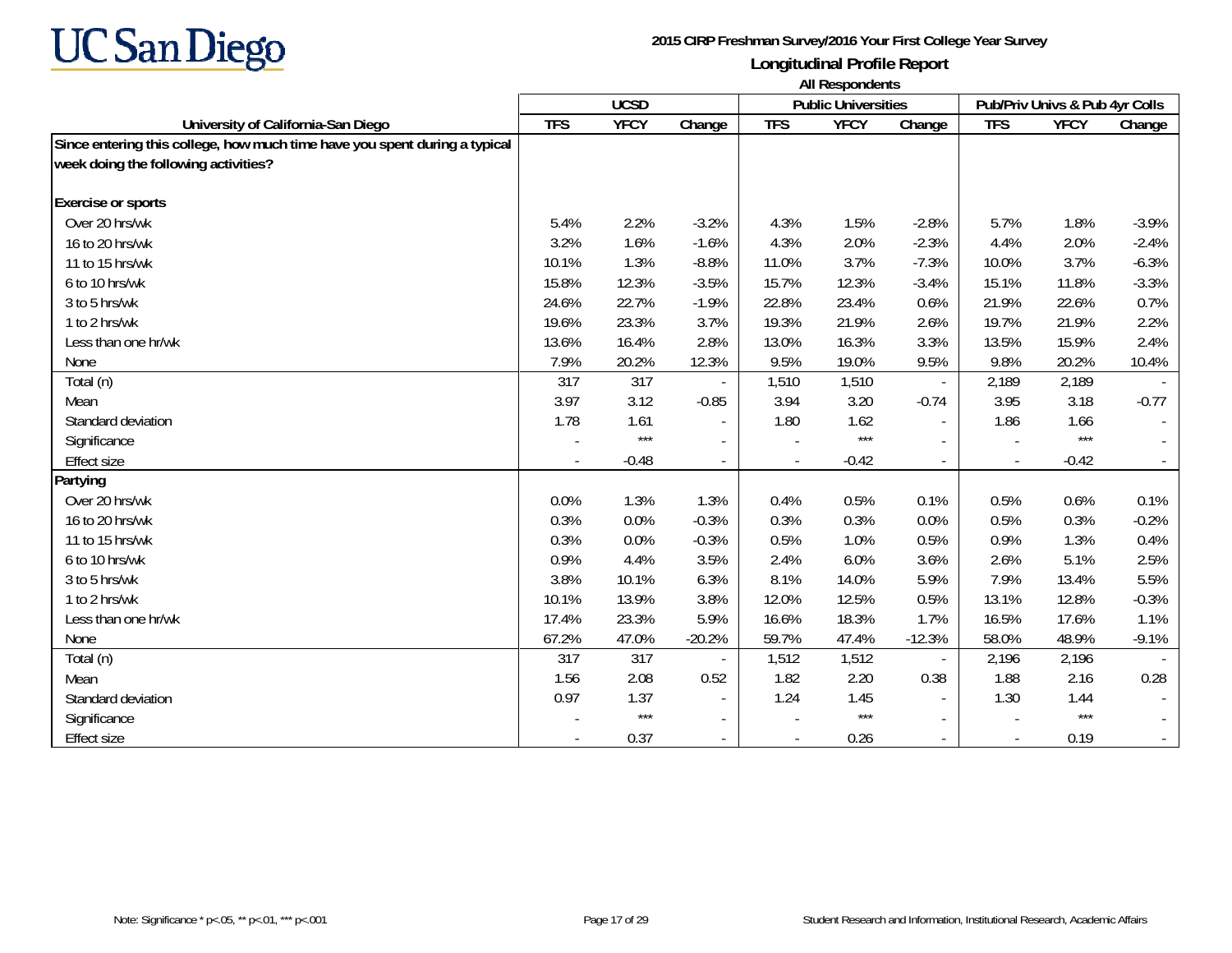

|                                                                            | All Respondents |             |                          |            |                            |                          |            |                                |         |
|----------------------------------------------------------------------------|-----------------|-------------|--------------------------|------------|----------------------------|--------------------------|------------|--------------------------------|---------|
|                                                                            |                 | <b>UCSD</b> |                          |            | <b>Public Universities</b> |                          |            | Pub/Priv Univs & Pub 4yr Colls |         |
| University of California-San Diego                                         | <b>TFS</b>      | <b>YFCY</b> | Change                   | <b>TFS</b> | <b>YFCY</b>                | Change                   | <b>TFS</b> | <b>YFCY</b>                    | Change  |
| Since entering this college, how much time have you spent during a typical |                 |             |                          |            |                            |                          |            |                                |         |
| week doing the following activities?                                       |                 |             |                          |            |                            |                          |            |                                |         |
| <b>Exercise or sports</b>                                                  |                 |             |                          |            |                            |                          |            |                                |         |
| Over 20 hrs/wk                                                             | 5.4%            | 2.2%        | $-3.2%$                  | 4.3%       | 1.5%                       | $-2.8%$                  | 5.7%       | 1.8%                           | $-3.9%$ |
| 16 to 20 hrs/wk                                                            | 3.2%            | 1.6%        | $-1.6%$                  | 4.3%       | 2.0%                       | $-2.3%$                  | 4.4%       | 2.0%                           | $-2.4%$ |
| 11 to 15 hrs/wk                                                            | 10.1%           | 1.3%        | $-8.8%$                  | 11.0%      | 3.7%                       | $-7.3%$                  | 10.0%      | 3.7%                           | $-6.3%$ |
| 6 to 10 hrs/wk                                                             | 15.8%           | 12.3%       | $-3.5%$                  | 15.7%      | 12.3%                      | $-3.4%$                  | 15.1%      | 11.8%                          | $-3.3%$ |
| 3 to 5 hrs/wk                                                              | 24.6%           | 22.7%       | $-1.9%$                  | 22.8%      | 23.4%                      | 0.6%                     | 21.9%      | 22.6%                          | 0.7%    |
| 1 to 2 hrs/wk                                                              | 19.6%           | 23.3%       | 3.7%                     | 19.3%      | 21.9%                      | 2.6%                     | 19.7%      | 21.9%                          | 2.2%    |
| Less than one hr/wk                                                        | 13.6%           | 16.4%       | 2.8%                     | 13.0%      | 16.3%                      | 3.3%                     | 13.5%      | 15.9%                          | 2.4%    |
| None                                                                       | 7.9%            | 20.2%       | 12.3%                    | 9.5%       | 19.0%                      | 9.5%                     | 9.8%       | 20.2%                          | 10.4%   |
| Total (n)                                                                  | 317             | 317         |                          | 1,510      | 1,510                      | $\blacksquare$           | 2,189      | 2,189                          |         |
| Mean                                                                       | 3.97            | 3.12        | $-0.85$                  | 3.94       | 3.20                       | $-0.74$                  | 3.95       | 3.18                           | $-0.77$ |
| Standard deviation                                                         | 1.78            | 1.61        |                          | 1.80       | 1.62                       | $\sim$                   | 1.86       | 1.66                           |         |
| Significance                                                               |                 | $***$       | $\overline{\phantom{a}}$ |            | $***$                      |                          |            | $***$                          |         |
| <b>Effect size</b>                                                         |                 | $-0.48$     |                          |            | $-0.42$                    | $\overline{a}$           |            | $-0.42$                        |         |
| Partying                                                                   |                 |             |                          |            |                            |                          |            |                                |         |
| Over 20 hrs/wk                                                             | 0.0%            | 1.3%        | 1.3%                     | 0.4%       | 0.5%                       | 0.1%                     | 0.5%       | 0.6%                           | 0.1%    |
| 16 to 20 hrs/wk                                                            | 0.3%            | 0.0%        | $-0.3%$                  | 0.3%       | 0.3%                       | 0.0%                     | 0.5%       | 0.3%                           | $-0.2%$ |
| 11 to 15 hrs/wk                                                            | 0.3%            | 0.0%        | $-0.3%$                  | 0.5%       | 1.0%                       | 0.5%                     | 0.9%       | 1.3%                           | 0.4%    |
| 6 to 10 hrs/wk                                                             | 0.9%            | 4.4%        | 3.5%                     | 2.4%       | 6.0%                       | 3.6%                     | 2.6%       | 5.1%                           | 2.5%    |
| 3 to 5 hrs/wk                                                              | 3.8%            | 10.1%       | 6.3%                     | 8.1%       | 14.0%                      | 5.9%                     | 7.9%       | 13.4%                          | 5.5%    |
| 1 to 2 hrs/wk                                                              | 10.1%           | 13.9%       | 3.8%                     | 12.0%      | 12.5%                      | 0.5%                     | 13.1%      | 12.8%                          | $-0.3%$ |
| Less than one hr/wk                                                        | 17.4%           | 23.3%       | 5.9%                     | 16.6%      | 18.3%                      | 1.7%                     | 16.5%      | 17.6%                          | 1.1%    |
| None                                                                       | 67.2%           | 47.0%       | $-20.2%$                 | 59.7%      | 47.4%                      | $-12.3%$                 | 58.0%      | 48.9%                          | $-9.1%$ |
| Total (n)                                                                  | 317             | 317         |                          | 1,512      | 1,512                      | $\blacksquare$           | 2,196      | 2,196                          |         |
| Mean                                                                       | 1.56            | 2.08        | 0.52                     | 1.82       | 2.20                       | 0.38                     | 1.88       | 2.16                           | 0.28    |
| Standard deviation                                                         | 0.97            | 1.37        |                          | 1.24       | 1.45                       | $\overline{\phantom{a}}$ | 1.30       | 1.44                           |         |
| Significance                                                               |                 | $***$       | $\blacksquare$           |            | $***$                      |                          |            | $***$                          |         |
| <b>Effect size</b>                                                         |                 | 0.37        |                          |            | 0.26                       |                          |            | 0.19                           |         |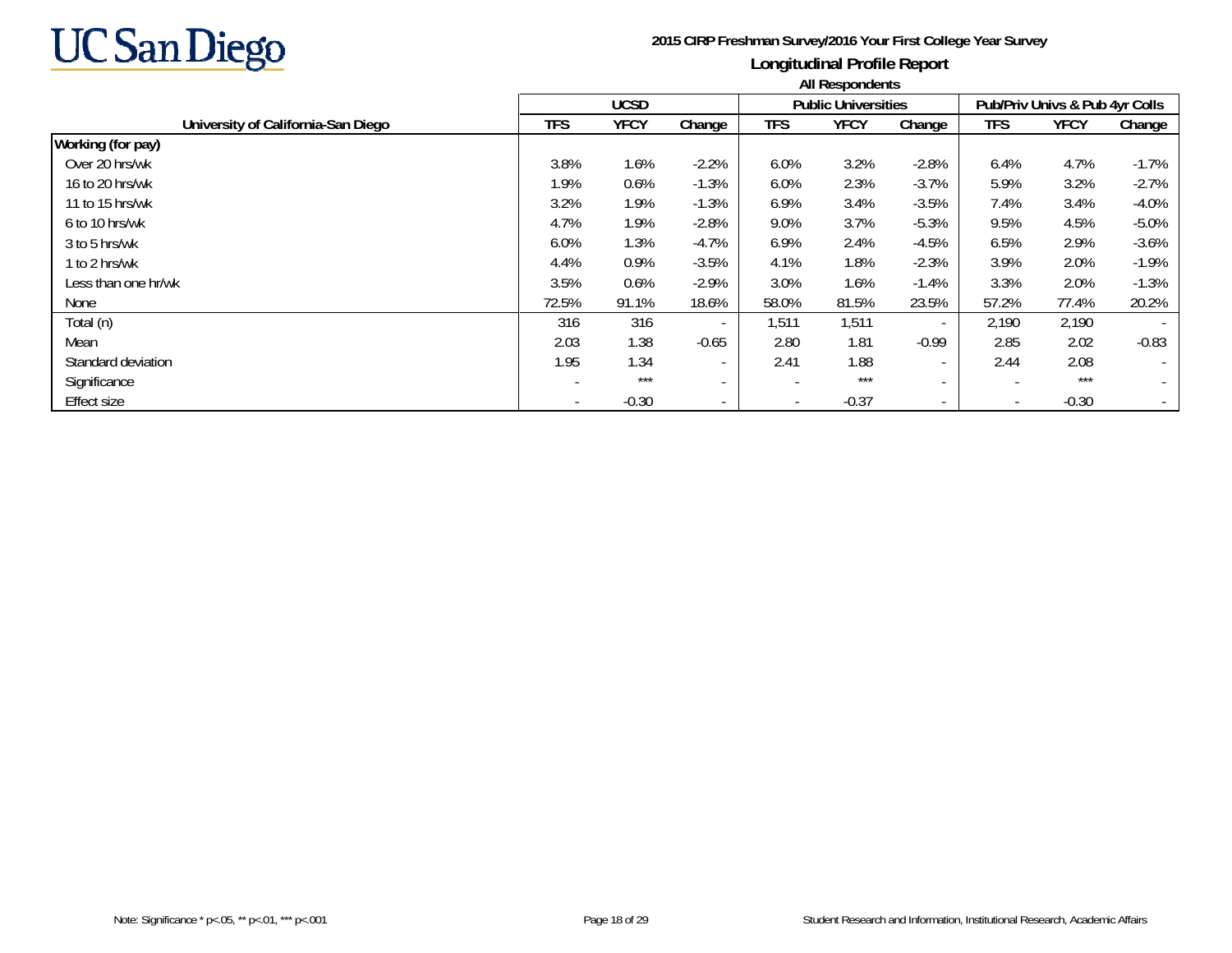

|                                    | All Respondents |             |                          |                          |                            |                          |                          |                                |                          |  |
|------------------------------------|-----------------|-------------|--------------------------|--------------------------|----------------------------|--------------------------|--------------------------|--------------------------------|--------------------------|--|
|                                    |                 | <b>UCSD</b> |                          |                          | <b>Public Universities</b> |                          |                          | Pub/Priv Univs & Pub 4yr Colls |                          |  |
| University of California-San Diego | <b>TFS</b>      | <b>YFCY</b> | Change                   | TFS                      | <b>YFCY</b>                | Change                   | <b>TFS</b>               | <b>YFCY</b>                    | Change                   |  |
| Working (for pay)                  |                 |             |                          |                          |                            |                          |                          |                                |                          |  |
| Over 20 hrs/wk                     | 3.8%            | 1.6%        | $-2.2%$                  | 6.0%                     | 3.2%                       | $-2.8%$                  | 6.4%                     | 4.7%                           | $-1.7%$                  |  |
| 16 to 20 hrs/wk                    | 1.9%            | 0.6%        | $-1.3%$                  | 6.0%                     | 2.3%                       | $-3.7%$                  | 5.9%                     | 3.2%                           | $-2.7%$                  |  |
| 11 to 15 hrs/wk                    | 3.2%            | 1.9%        | $-1.3%$                  | 6.9%                     | 3.4%                       | $-3.5%$                  | 7.4%                     | 3.4%                           | $-4.0%$                  |  |
| 6 to 10 hrs/wk                     | 4.7%            | 1.9%        | $-2.8%$                  | 9.0%                     | 3.7%                       | $-5.3%$                  | 9.5%                     | 4.5%                           | $-5.0%$                  |  |
| 3 to 5 hrs/wk                      | 6.0%            | 1.3%        | $-4.7%$                  | 6.9%                     | 2.4%                       | $-4.5%$                  | 6.5%                     | 2.9%                           | $-3.6%$                  |  |
| 1 to 2 hrs/wk                      | 4.4%            | 0.9%        | $-3.5%$                  | 4.1%                     | 1.8%                       | $-2.3%$                  | 3.9%                     | 2.0%                           | $-1.9%$                  |  |
| Less than one hr/wk                | 3.5%            | 0.6%        | $-2.9%$                  | 3.0%                     | 1.6%                       | $-1.4%$                  | 3.3%                     | 2.0%                           | $-1.3%$                  |  |
| None                               | 72.5%           | 91.1%       | 18.6%                    | 58.0%                    | 81.5%                      | 23.5%                    | 57.2%                    | 77.4%                          | 20.2%                    |  |
| Total (n)                          | 316             | 316         |                          | 1,511                    | 1,511                      | $\sim$                   | 2,190                    | 2,190                          |                          |  |
| Mean                               | 2.03            | 1.38        | $-0.65$                  | 2.80                     | 1.81                       | $-0.99$                  | 2.85                     | 2.02                           | $-0.83$                  |  |
| Standard deviation                 | 1.95            | 1.34        | $\overline{\phantom{a}}$ | 2.41                     | 1.88                       | $\sim$                   | 2.44                     | 2.08                           | $\overline{\phantom{a}}$ |  |
| Significance                       |                 | $***$       | $\overline{\phantom{a}}$ |                          | ***                        | $\overline{\phantom{a}}$ | ٠                        | $***$                          |                          |  |
| <b>Effect size</b>                 |                 | $-0.30$     | $\overline{\phantom{a}}$ | $\overline{\phantom{0}}$ | $-0.37$                    | $\sim$                   | $\overline{\phantom{a}}$ | $-0.30$                        |                          |  |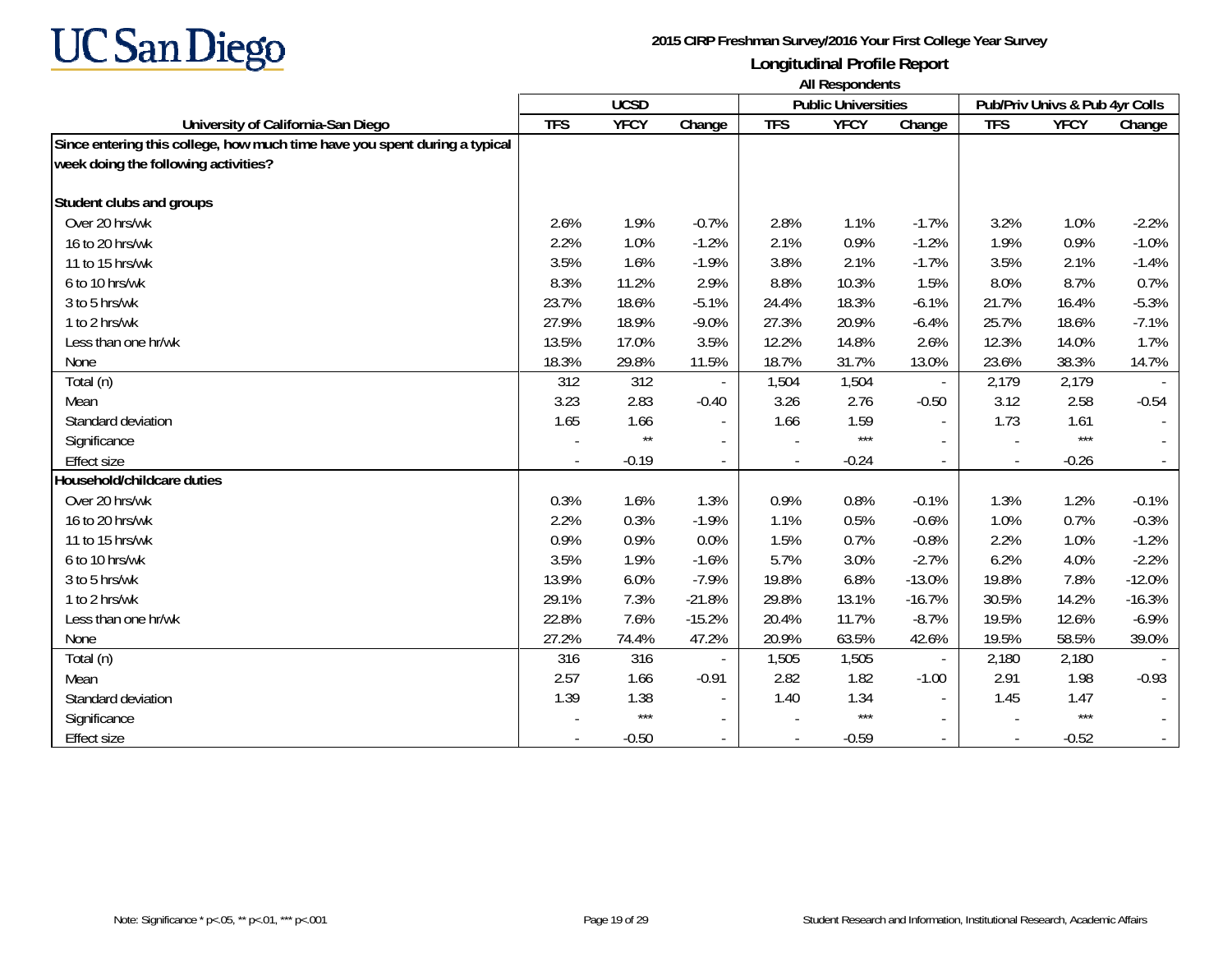

|                                                                            | All Respondents |                 |                          |            |                            |                          |                                |             |          |
|----------------------------------------------------------------------------|-----------------|-----------------|--------------------------|------------|----------------------------|--------------------------|--------------------------------|-------------|----------|
|                                                                            |                 | <b>UCSD</b>     |                          |            | <b>Public Universities</b> |                          | Pub/Priv Univs & Pub 4yr Colls |             |          |
| University of California-San Diego                                         | <b>TFS</b>      | <b>YFCY</b>     | Change                   | <b>TFS</b> | <b>YFCY</b>                | Change                   | <b>TFS</b>                     | <b>YFCY</b> | Change   |
| Since entering this college, how much time have you spent during a typical |                 |                 |                          |            |                            |                          |                                |             |          |
| week doing the following activities?                                       |                 |                 |                          |            |                            |                          |                                |             |          |
| Student clubs and groups                                                   |                 |                 |                          |            |                            |                          |                                |             |          |
| Over 20 hrs/wk                                                             | 2.6%            | 1.9%            | $-0.7%$                  | 2.8%       | 1.1%                       | $-1.7%$                  | 3.2%                           | 1.0%        | $-2.2%$  |
| 16 to 20 hrs/wk                                                            | 2.2%            | 1.0%            | $-1.2%$                  | 2.1%       | 0.9%                       | $-1.2%$                  | 1.9%                           | 0.9%        | $-1.0%$  |
| 11 to 15 hrs/wk                                                            | 3.5%            | 1.6%            | $-1.9%$                  | 3.8%       | 2.1%                       | $-1.7%$                  | 3.5%                           | 2.1%        | $-1.4%$  |
| 6 to 10 hrs/wk                                                             | 8.3%            | 11.2%           | 2.9%                     | 8.8%       | 10.3%                      | 1.5%                     | 8.0%                           | 8.7%        | 0.7%     |
| 3 to 5 hrs/wk                                                              | 23.7%           | 18.6%           | $-5.1%$                  | 24.4%      | 18.3%                      | $-6.1%$                  | 21.7%                          | 16.4%       | $-5.3%$  |
| 1 to 2 hrs/wk                                                              | 27.9%           | 18.9%           | $-9.0%$                  | 27.3%      | 20.9%                      | $-6.4%$                  | 25.7%                          | 18.6%       | $-7.1%$  |
| Less than one hr/wk                                                        | 13.5%           | 17.0%           | 3.5%                     | 12.2%      | 14.8%                      | 2.6%                     | 12.3%                          | 14.0%       | 1.7%     |
| None                                                                       | 18.3%           | 29.8%           | 11.5%                    | 18.7%      | 31.7%                      | 13.0%                    | 23.6%                          | 38.3%       | 14.7%    |
| Total (n)                                                                  | 312             | 312             |                          | 1,504      | 1,504                      | $\overline{\phantom{a}}$ | 2,179                          | 2,179       |          |
| Mean                                                                       | 3.23            | 2.83            | $-0.40$                  | 3.26       | 2.76                       | $-0.50$                  | 3.12                           | 2.58        | $-0.54$  |
| Standard deviation                                                         | 1.65            | 1.66            |                          | 1.66       | 1.59                       | $\sim$                   | 1.73                           | 1.61        |          |
| Significance                                                               |                 | $^{\star\star}$ | $\overline{a}$           |            | $***$                      |                          |                                | $***$       |          |
| <b>Effect size</b>                                                         |                 | $-0.19$         |                          |            | $-0.24$                    |                          |                                | $-0.26$     |          |
| Household/childcare duties                                                 |                 |                 |                          |            |                            |                          |                                |             |          |
| Over 20 hrs/wk                                                             | 0.3%            | 1.6%            | 1.3%                     | 0.9%       | 0.8%                       | $-0.1%$                  | 1.3%                           | 1.2%        | $-0.1%$  |
| 16 to 20 hrs/wk                                                            | 2.2%            | 0.3%            | $-1.9%$                  | 1.1%       | 0.5%                       | $-0.6%$                  | 1.0%                           | 0.7%        | $-0.3%$  |
| 11 to 15 hrs/wk                                                            | 0.9%            | 0.9%            | 0.0%                     | 1.5%       | 0.7%                       | $-0.8%$                  | 2.2%                           | 1.0%        | $-1.2%$  |
| 6 to 10 hrs/wk                                                             | 3.5%            | 1.9%            | $-1.6%$                  | 5.7%       | 3.0%                       | $-2.7%$                  | 6.2%                           | 4.0%        | $-2.2%$  |
| 3 to 5 hrs/wk                                                              | 13.9%           | 6.0%            | $-7.9%$                  | 19.8%      | 6.8%                       | $-13.0%$                 | 19.8%                          | 7.8%        | $-12.0%$ |
| 1 to 2 hrs/wk                                                              | 29.1%           | 7.3%            | $-21.8%$                 | 29.8%      | 13.1%                      | $-16.7%$                 | 30.5%                          | 14.2%       | $-16.3%$ |
| Less than one hr/wk                                                        | 22.8%           | 7.6%            | $-15.2%$                 | 20.4%      | 11.7%                      | $-8.7%$                  | 19.5%                          | 12.6%       | $-6.9%$  |
| None                                                                       | 27.2%           | 74.4%           | 47.2%                    | 20.9%      | 63.5%                      | 42.6%                    | 19.5%                          | 58.5%       | 39.0%    |
| Total (n)                                                                  | 316             | 316             |                          | 1,505      | 1,505                      | $\overline{\phantom{a}}$ | 2,180                          | 2,180       |          |
| Mean                                                                       | 2.57            | 1.66            | $-0.91$                  | 2.82       | 1.82                       | $-1.00$                  | 2.91                           | 1.98        | $-0.93$  |
| Standard deviation                                                         | 1.39            | 1.38            | $\overline{\phantom{a}}$ | 1.40       | 1.34                       | $\sim$                   | 1.45                           | 1.47        |          |
| Significance                                                               |                 | $***$           | $\blacksquare$           |            | $***$                      |                          |                                | $***$       |          |
| <b>Effect size</b>                                                         |                 | $-0.50$         |                          |            | $-0.59$                    |                          |                                | $-0.52$     |          |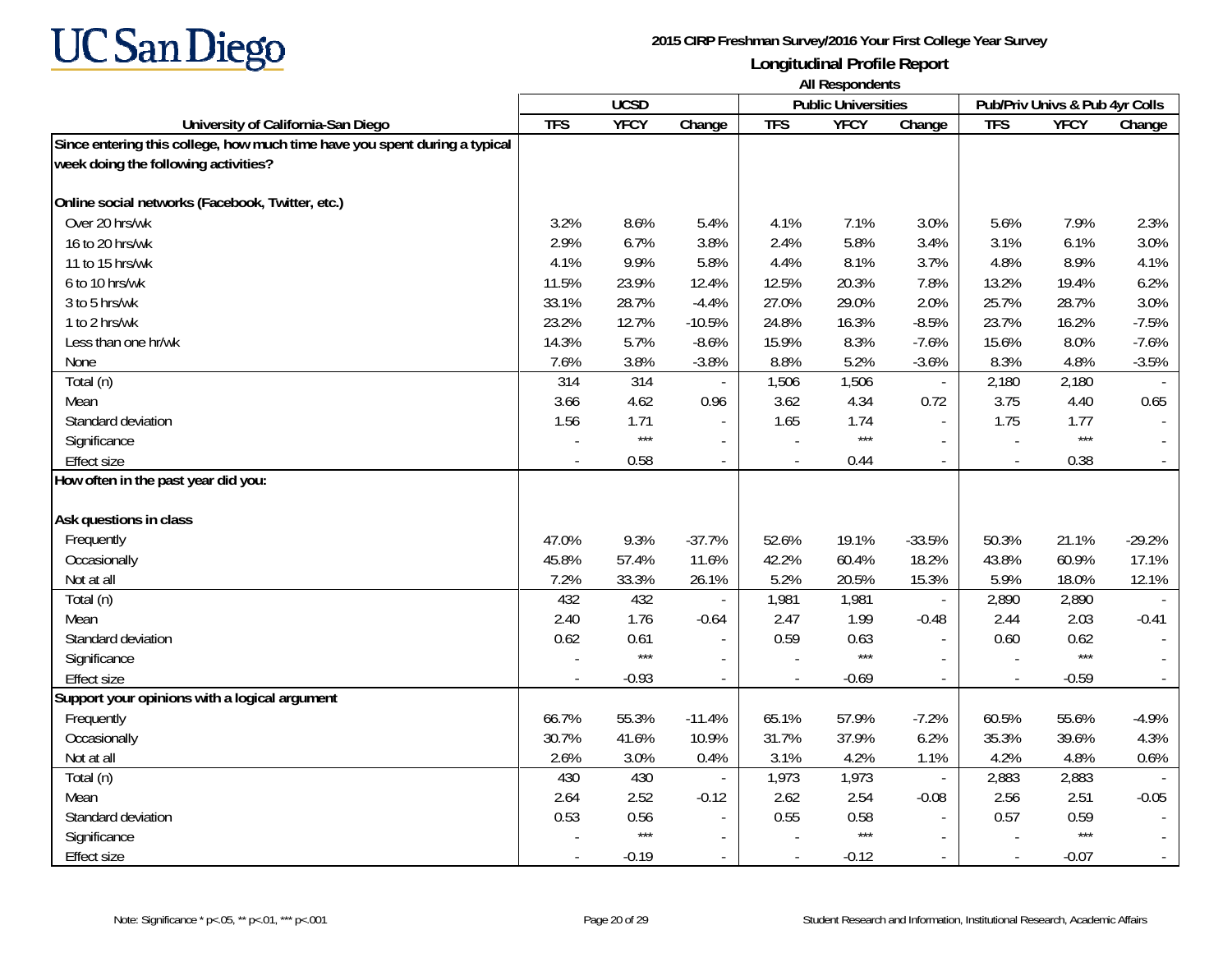

|                                                                                                                    | <b>All Respondents</b> |             |                          |            |                            |                             |                |                                |          |
|--------------------------------------------------------------------------------------------------------------------|------------------------|-------------|--------------------------|------------|----------------------------|-----------------------------|----------------|--------------------------------|----------|
|                                                                                                                    |                        | <b>UCSD</b> |                          |            | <b>Public Universities</b> |                             |                | Pub/Priv Univs & Pub 4yr Colls |          |
| University of California-San Diego                                                                                 | <b>TFS</b>             | <b>YFCY</b> | Change                   | <b>TFS</b> | <b>YFCY</b>                | Change                      | <b>TFS</b>     | <b>YFCY</b>                    | Change   |
| Since entering this college, how much time have you spent during a typical<br>week doing the following activities? |                        |             |                          |            |                            |                             |                |                                |          |
| Online social networks (Facebook, Twitter, etc.)                                                                   |                        |             |                          |            |                            |                             |                |                                |          |
| Over 20 hrs/wk                                                                                                     | 3.2%                   | 8.6%        | 5.4%                     | 4.1%       | 7.1%                       | 3.0%                        | 5.6%           | 7.9%                           | 2.3%     |
| 16 to 20 hrs/wk                                                                                                    | 2.9%                   | 6.7%        | 3.8%                     | 2.4%       | 5.8%                       | 3.4%                        | 3.1%           | 6.1%                           | 3.0%     |
| 11 to 15 hrs/wk                                                                                                    | 4.1%                   | 9.9%        | 5.8%                     | 4.4%       | 8.1%                       | 3.7%                        | 4.8%           | 8.9%                           | 4.1%     |
| 6 to 10 hrs/wk                                                                                                     | 11.5%                  | 23.9%       | 12.4%                    | 12.5%      | 20.3%                      | 7.8%                        | 13.2%          | 19.4%                          | 6.2%     |
| 3 to 5 hrs/wk                                                                                                      | 33.1%                  | 28.7%       | $-4.4%$                  | 27.0%      | 29.0%                      | 2.0%                        | 25.7%          | 28.7%                          | 3.0%     |
| 1 to 2 hrs/wk                                                                                                      | 23.2%                  | 12.7%       | $-10.5%$                 | 24.8%      | 16.3%                      | $-8.5%$                     | 23.7%          | 16.2%                          | $-7.5%$  |
| Less than one hr/wk                                                                                                | 14.3%                  | 5.7%        | $-8.6%$                  | 15.9%      | 8.3%                       | $-7.6%$                     | 15.6%          | 8.0%                           | $-7.6%$  |
| None                                                                                                               | 7.6%                   | 3.8%        | $-3.8%$                  | 8.8%       | 5.2%                       | $-3.6%$                     | 8.3%           | 4.8%                           | $-3.5%$  |
| Total (n)                                                                                                          | 314                    | 314         |                          | 1,506      | 1,506                      | $\overline{\phantom{a}}$    | 2,180          | 2,180                          |          |
| Mean                                                                                                               | 3.66                   | 4.62        | 0.96                     | 3.62       | 4.34                       | 0.72                        | 3.75           | 4.40                           | 0.65     |
| Standard deviation                                                                                                 | 1.56                   | 1.71        | $\blacksquare$           | 1.65       | 1.74                       | $\mathcal{L}_{\mathcal{A}}$ | 1.75           | 1.77                           |          |
| Significance                                                                                                       |                        | $***$       | $\overline{\phantom{a}}$ |            | $***$                      | $\sim$                      |                | $***$                          |          |
| <b>Effect size</b>                                                                                                 |                        | 0.58        | $\sim$                   | $\sim$     | 0.44                       | $\omega$                    | $\overline{a}$ | 0.38                           |          |
| How often in the past year did you:                                                                                |                        |             |                          |            |                            |                             |                |                                |          |
| Ask questions in class                                                                                             |                        |             |                          |            |                            |                             |                |                                |          |
| Frequently                                                                                                         | 47.0%                  | 9.3%        | $-37.7%$                 | 52.6%      | 19.1%                      | $-33.5%$                    | 50.3%          | 21.1%                          | $-29.2%$ |
| Occasionally                                                                                                       | 45.8%                  | 57.4%       | 11.6%                    | 42.2%      | 60.4%                      | 18.2%                       | 43.8%          | 60.9%                          | 17.1%    |
| Not at all                                                                                                         | 7.2%                   | 33.3%       | 26.1%                    | 5.2%       | 20.5%                      | 15.3%                       | 5.9%           | 18.0%                          | 12.1%    |
| Total (n)                                                                                                          | 432                    | 432         |                          | 1,981      | 1,981                      | $\mathcal{L}_{\mathcal{A}}$ | 2,890          | 2,890                          |          |
| Mean                                                                                                               | 2.40                   | 1.76        | $-0.64$                  | 2.47       | 1.99                       | $-0.48$                     | 2.44           | 2.03                           | $-0.41$  |
| Standard deviation                                                                                                 | 0.62                   | 0.61        |                          | 0.59       | 0.63                       | $\sim$                      | 0.60           | 0.62                           |          |
| Significance                                                                                                       |                        | $***$       |                          |            | $***$                      |                             |                | $***$                          |          |
| <b>Effect size</b>                                                                                                 |                        | $-0.93$     | $\blacksquare$           | $\sim$     | $-0.69$                    | $\mathbb{L}$                |                | $-0.59$                        |          |
| Support your opinions with a logical argument                                                                      |                        |             |                          |            |                            |                             |                |                                |          |
| Frequently                                                                                                         | 66.7%                  | 55.3%       | $-11.4%$                 | 65.1%      | 57.9%                      | $-7.2%$                     | 60.5%          | 55.6%                          | $-4.9%$  |
| Occasionally                                                                                                       | 30.7%                  | 41.6%       | 10.9%                    | 31.7%      | 37.9%                      | 6.2%                        | 35.3%          | 39.6%                          | 4.3%     |
| Not at all                                                                                                         | 2.6%                   | 3.0%        | 0.4%                     | 3.1%       | 4.2%                       | 1.1%                        | 4.2%           | 4.8%                           | 0.6%     |
| Total (n)                                                                                                          | 430                    | 430         | $\blacksquare$           | 1,973      | 1,973                      | $\overline{\phantom{a}}$    | 2,883          | 2,883                          |          |
| Mean                                                                                                               | 2.64                   | 2.52        | $-0.12$                  | 2.62       | 2.54                       | $-0.08$                     | 2.56           | 2.51                           | $-0.05$  |
| Standard deviation                                                                                                 | 0.53                   | 0.56        | $\overline{\phantom{a}}$ | 0.55       | 0.58                       |                             | 0.57           | 0.59                           |          |
| Significance                                                                                                       |                        | $***$       | $\sim$                   |            | $***$                      |                             |                | $***$                          |          |
| Effect size                                                                                                        |                        | $-0.19$     | $\overline{\phantom{a}}$ |            | $-0.12$                    |                             |                | $-0.07$                        |          |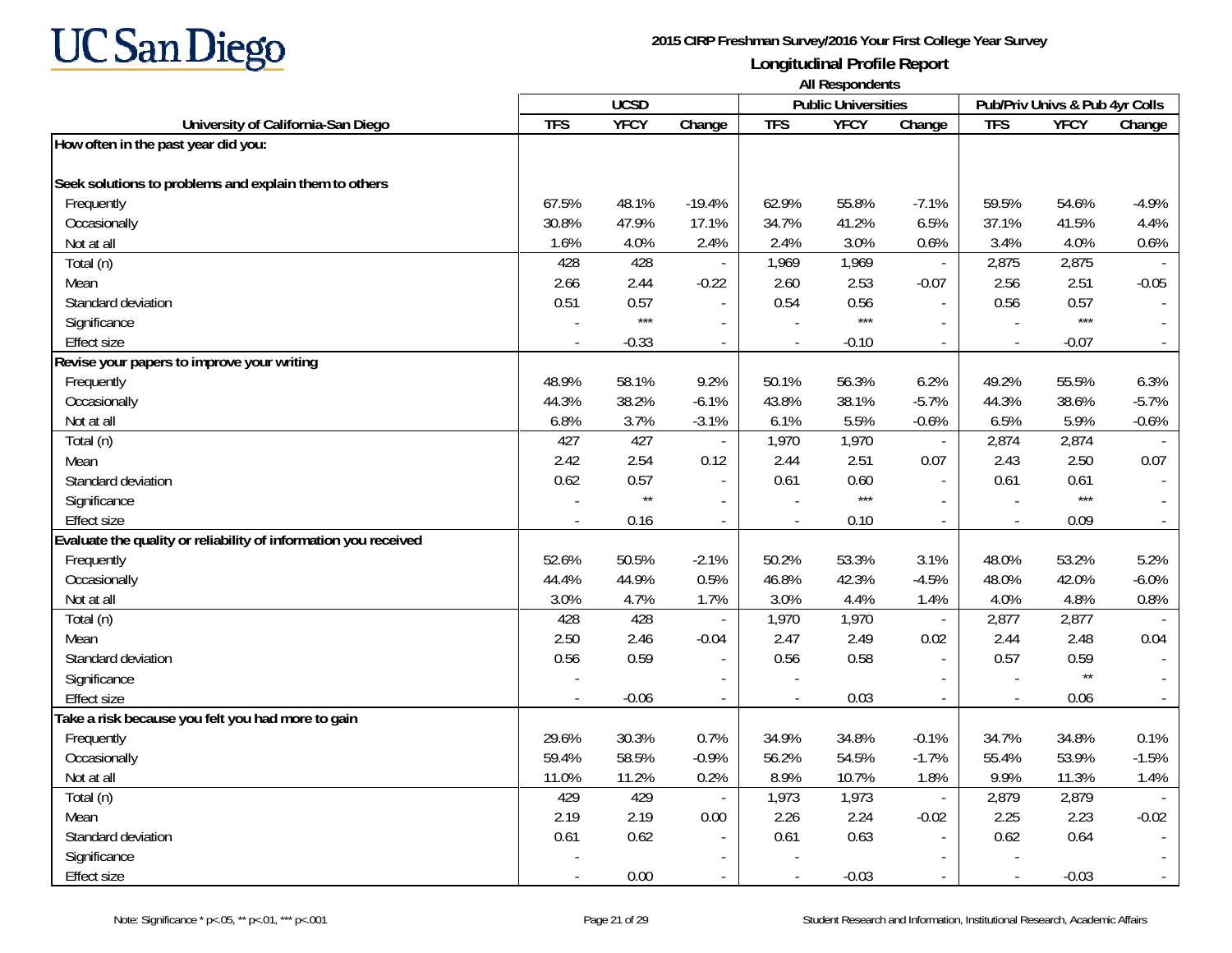

|                                                                 | <b>All Respondents</b>   |                 |                          |                |                            |                          |                                |              |          |
|-----------------------------------------------------------------|--------------------------|-----------------|--------------------------|----------------|----------------------------|--------------------------|--------------------------------|--------------|----------|
|                                                                 |                          | <b>UCSD</b>     |                          |                | <b>Public Universities</b> |                          | Pub/Priv Univs & Pub 4yr Colls |              |          |
| University of California-San Diego                              | <b>TFS</b>               | <b>YFCY</b>     | Change                   | <b>TFS</b>     | <b>YFCY</b>                | Change                   | <b>TFS</b>                     | <b>YFCY</b>  | Change   |
| How often in the past year did you:                             |                          |                 |                          |                |                            |                          |                                |              |          |
| Seek solutions to problems and explain them to others           |                          |                 |                          |                |                            |                          |                                |              |          |
| Frequently                                                      | 67.5%                    | 48.1%           | $-19.4%$                 | 62.9%          | 55.8%                      | $-7.1%$                  | 59.5%                          | 54.6%        | $-4.9%$  |
| Occasionally                                                    | 30.8%                    | 47.9%           | 17.1%                    | 34.7%          | 41.2%                      | 6.5%                     | 37.1%                          | 41.5%        | 4.4%     |
| Not at all                                                      | 1.6%                     | 4.0%            | 2.4%                     | 2.4%           | 3.0%                       | 0.6%                     | 3.4%                           | 4.0%         | 0.6%     |
| Total (n)                                                       | 428                      | 428             |                          | 1,969          | 1,969                      | $\sim$                   | 2,875                          | 2,875        |          |
| Mean                                                            | 2.66                     | 2.44            | $-0.22$                  | 2.60           | 2.53                       | $-0.07$                  | 2.56                           | 2.51         | $-0.05$  |
| Standard deviation                                              | 0.51                     | 0.57            |                          | 0.54           | 0.56                       |                          | 0.56                           | 0.57         |          |
| Significance                                                    |                          | $***$           |                          |                | $***$                      |                          |                                | $***$        |          |
| <b>Effect size</b>                                              |                          | $-0.33$         | $\overline{a}$           |                | $-0.10$                    | $\blacksquare$           |                                | $-0.07$      |          |
| Revise your papers to improve your writing                      |                          |                 |                          |                |                            |                          |                                |              |          |
| Frequently                                                      | 48.9%                    | 58.1%           | 9.2%                     | 50.1%          | 56.3%                      | 6.2%                     | 49.2%                          | 55.5%        | 6.3%     |
| Occasionally                                                    | 44.3%                    | 38.2%           | $-6.1%$                  | 43.8%          | 38.1%                      | $-5.7%$                  | 44.3%                          | 38.6%        | $-5.7%$  |
| Not at all                                                      | 6.8%                     | 3.7%            | $-3.1%$                  | 6.1%           | 5.5%                       | $-0.6%$                  | 6.5%                           | 5.9%         | $-0.6%$  |
| Total (n)                                                       | 427                      | 427             |                          | 1,970          | 1,970                      | $\overline{\phantom{a}}$ | 2,874                          | 2,874        |          |
| Mean                                                            | 2.42                     | 2.54            | 0.12                     | 2.44           | 2.51                       | 0.07                     | 2.43                           | 2.50         | 0.07     |
| Standard deviation                                              | 0.62                     | 0.57            | $\sim$                   | 0.61           | 0.60                       | $\sim$                   | 0.61                           | 0.61         |          |
| Significance                                                    |                          | $^{\star\star}$ | $\overline{\phantom{a}}$ |                | $***$                      | $\sim$                   | $\overline{\phantom{a}}$       | $***$        |          |
| <b>Effect size</b>                                              |                          | 0.16            |                          |                | 0.10                       |                          |                                | 0.09         |          |
| Evaluate the quality or reliability of information you received |                          |                 |                          |                |                            |                          |                                |              |          |
| Frequently                                                      | 52.6%                    | 50.5%           | $-2.1%$                  | 50.2%          | 53.3%                      | 3.1%                     | 48.0%                          | 53.2%        | 5.2%     |
| Occasionally                                                    | 44.4%                    | 44.9%           | 0.5%                     | 46.8%          | 42.3%                      | $-4.5%$                  | 48.0%                          | 42.0%        | $-6.0\%$ |
| Not at all                                                      | 3.0%                     | 4.7%            | 1.7%                     | 3.0%           | 4.4%                       | 1.4%                     | 4.0%                           | 4.8%         | 0.8%     |
| Total (n)                                                       | 428                      | 428             |                          | 1,970          | 1,970                      | $\overline{\phantom{a}}$ | 2,877                          | 2,877        |          |
| Mean                                                            | 2.50                     | 2.46            | $-0.04$                  | 2.47           | 2.49                       | 0.02                     | 2.44                           | 2.48         | 0.04     |
| Standard deviation                                              | 0.56                     | 0.59            |                          | 0.56           | 0.58                       |                          | 0.57                           | 0.59         |          |
| Significance                                                    |                          |                 |                          |                |                            |                          |                                | $\star\star$ |          |
| <b>Effect size</b>                                              | $\overline{\phantom{a}}$ | $-0.06$         | $\overline{\phantom{a}}$ | $\overline{a}$ | 0.03                       | $\sim$                   | $\overline{\phantom{a}}$       | 0.06         | $\sim$   |
| Take a risk because you felt you had more to gain               |                          |                 |                          |                |                            |                          |                                |              |          |
| Frequently                                                      | 29.6%                    | 30.3%           | 0.7%                     | 34.9%          | 34.8%                      | $-0.1%$                  | 34.7%                          | 34.8%        | 0.1%     |
| Occasionally                                                    | 59.4%                    | 58.5%           | $-0.9%$                  | 56.2%          | 54.5%                      | $-1.7%$                  | 55.4%                          | 53.9%        | $-1.5%$  |
| Not at all                                                      | 11.0%                    | 11.2%           | 0.2%                     | 8.9%           | 10.7%                      | 1.8%                     | 9.9%                           | 11.3%        | 1.4%     |
| Total (n)                                                       | 429                      | 429             |                          | 1,973          | 1,973                      | $\overline{\phantom{a}}$ | 2,879                          | 2,879        |          |
| Mean                                                            | 2.19                     | 2.19            | 0.00                     | 2.26           | 2.24                       | $-0.02$                  | 2.25                           | 2.23         | $-0.02$  |
| Standard deviation                                              | 0.61                     | 0.62            | $\sim$                   | 0.61           | 0.63                       | $\sim$                   | 0.62                           | 0.64         |          |
| Significance                                                    |                          |                 |                          |                |                            |                          |                                |              |          |
| Effect size                                                     |                          | 0.00            |                          |                | $-0.03$                    | $\mathbf{r}$             | $\overline{\phantom{a}}$       | $-0.03$      |          |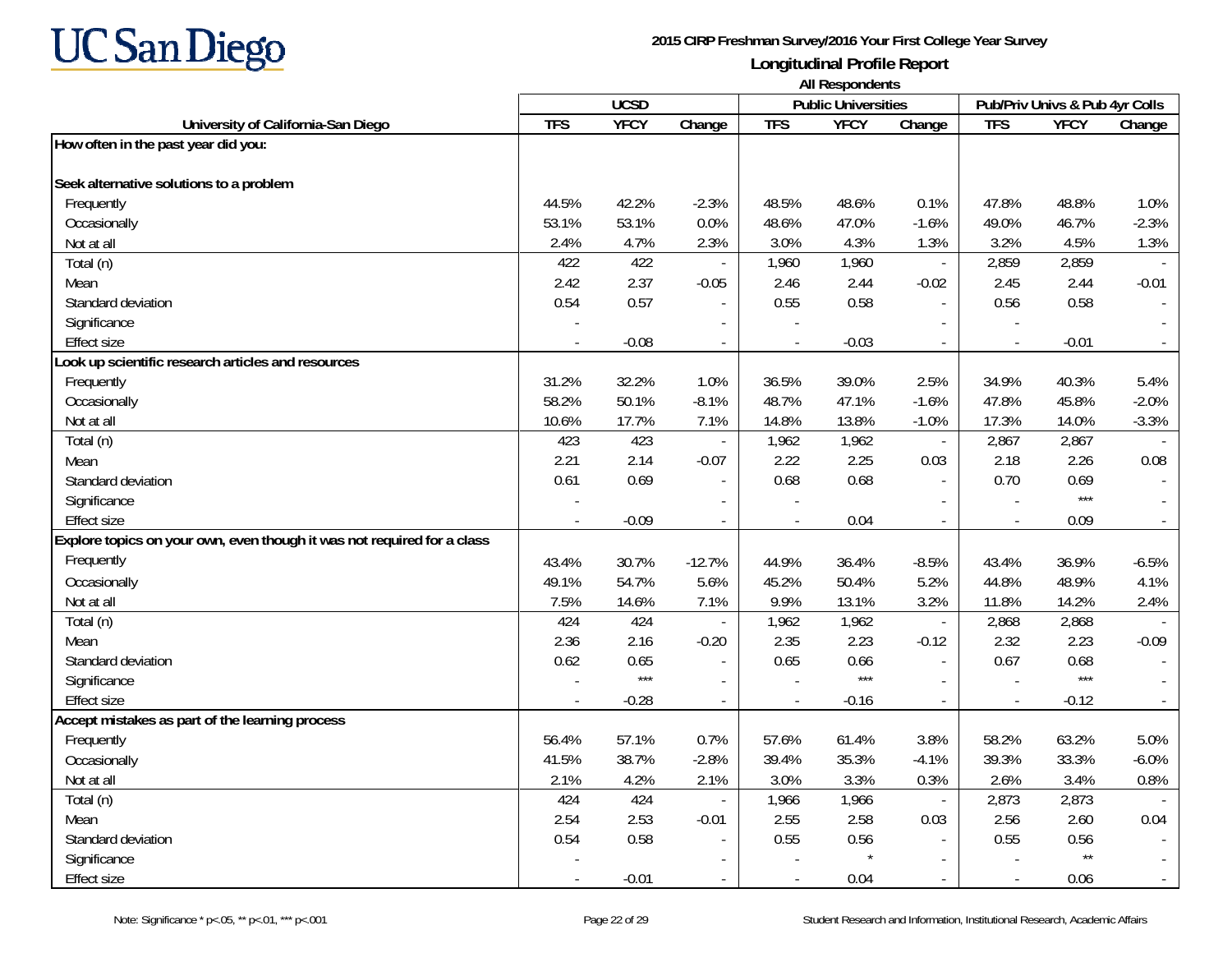

|                                                                         | <b>All Respondents</b> |             |                |            |                            |                          |                |                                |          |
|-------------------------------------------------------------------------|------------------------|-------------|----------------|------------|----------------------------|--------------------------|----------------|--------------------------------|----------|
|                                                                         |                        | <b>UCSD</b> |                |            | <b>Public Universities</b> |                          |                | Pub/Priv Univs & Pub 4yr Colls |          |
| University of California-San Diego                                      | <b>TFS</b>             | <b>YFCY</b> | Change         | <b>TFS</b> | <b>YFCY</b>                | Change                   | <b>TFS</b>     | <b>YFCY</b>                    | Change   |
| How often in the past year did you:                                     |                        |             |                |            |                            |                          |                |                                |          |
| Seek alternative solutions to a problem                                 |                        |             |                |            |                            |                          |                |                                |          |
| Frequently                                                              | 44.5%                  | 42.2%       | $-2.3%$        | 48.5%      | 48.6%                      | 0.1%                     | 47.8%          | 48.8%                          | 1.0%     |
| Occasionally                                                            | 53.1%                  | 53.1%       | 0.0%           | 48.6%      | 47.0%                      | $-1.6%$                  | 49.0%          | 46.7%                          | $-2.3%$  |
| Not at all                                                              | 2.4%                   | 4.7%        | 2.3%           | 3.0%       | 4.3%                       | 1.3%                     | 3.2%           | 4.5%                           | 1.3%     |
| Total (n)                                                               | 422                    | 422         |                | 1,960      | 1,960                      | $\mathbb{Z}^2$           | 2,859          | 2,859                          |          |
| Mean                                                                    | 2.42                   | 2.37        | $-0.05$        | 2.46       | 2.44                       | $-0.02$                  | 2.45           | 2.44                           | $-0.01$  |
| Standard deviation                                                      | 0.54                   | 0.57        |                | 0.55       | 0.58                       | $\sim$                   | 0.56           | 0.58                           |          |
| Significance                                                            |                        |             |                |            |                            |                          |                |                                |          |
| <b>Effect size</b>                                                      |                        | $-0.08$     |                |            | $-0.03$                    |                          |                | $-0.01$                        |          |
| Look up scientific research articles and resources                      |                        |             |                |            |                            |                          |                |                                |          |
| Frequently                                                              | 31.2%                  | 32.2%       | 1.0%           | 36.5%      | 39.0%                      | 2.5%                     | 34.9%          | 40.3%                          | 5.4%     |
| Occasionally                                                            | 58.2%                  | 50.1%       | $-8.1%$        | 48.7%      | 47.1%                      | $-1.6%$                  | 47.8%          | 45.8%                          | $-2.0%$  |
| Not at all                                                              | 10.6%                  | 17.7%       | 7.1%           | 14.8%      | 13.8%                      | $-1.0%$                  | 17.3%          | 14.0%                          | $-3.3%$  |
| Total (n)                                                               | 423                    | 423         |                | 1,962      | 1,962                      | $\blacksquare$           | 2,867          | 2,867                          |          |
| Mean                                                                    | 2.21                   | 2.14        | $-0.07$        | 2.22       | 2.25                       | 0.03                     | 2.18           | 2.26                           | 0.08     |
| Standard deviation                                                      | 0.61                   | 0.69        | $\overline{a}$ | 0.68       | 0.68                       | $\overline{a}$           | 0.70           | 0.69                           |          |
| Significance                                                            |                        |             |                |            |                            |                          |                | $***$                          |          |
| <b>Effect size</b>                                                      |                        | $-0.09$     |                |            | 0.04                       | $\overline{a}$           |                | 0.09                           |          |
| Explore topics on your own, even though it was not required for a class |                        |             |                |            |                            |                          |                |                                |          |
| Frequently                                                              | 43.4%                  | 30.7%       | $-12.7%$       | 44.9%      | 36.4%                      | $-8.5%$                  | 43.4%          | 36.9%                          | $-6.5%$  |
| Occasionally                                                            | 49.1%                  | 54.7%       | 5.6%           | 45.2%      | 50.4%                      | 5.2%                     | 44.8%          | 48.9%                          | 4.1%     |
| Not at all                                                              | 7.5%                   | 14.6%       | 7.1%           | 9.9%       | 13.1%                      | 3.2%                     | 11.8%          | 14.2%                          | 2.4%     |
| Total (n)                                                               | 424                    | 424         | $\blacksquare$ | 1,962      | 1,962                      | $\mathbb{Z}^2$           | 2,868          | 2,868                          |          |
| Mean                                                                    | 2.36                   | 2.16        | $-0.20$        | 2.35       | 2.23                       | $-0.12$                  | 2.32           | 2.23                           | $-0.09$  |
| Standard deviation                                                      | 0.62                   | 0.65        |                | 0.65       | 0.66                       |                          | 0.67           | 0.68                           |          |
| Significance                                                            |                        | $***$       |                |            | $***$                      | $\mathbf{r}$             |                | $***$                          |          |
| <b>Effect size</b>                                                      |                        | $-0.28$     | $\overline{a}$ |            | $-0.16$                    | $\sim$                   | $\overline{a}$ | $-0.12$                        |          |
| Accept mistakes as part of the learning process                         |                        |             |                |            |                            |                          |                |                                |          |
| Frequently                                                              | 56.4%                  | 57.1%       | 0.7%           | 57.6%      | 61.4%                      | 3.8%                     | 58.2%          | 63.2%                          | 5.0%     |
| Occasionally                                                            | 41.5%                  | 38.7%       | $-2.8%$        | 39.4%      | 35.3%                      | $-4.1%$                  | 39.3%          | 33.3%                          | $-6.0\%$ |
| Not at all                                                              | 2.1%                   | 4.2%        | 2.1%           | 3.0%       | 3.3%                       | 0.3%                     | 2.6%           | 3.4%                           | 0.8%     |
| Total (n)                                                               | 424                    | 424         |                | 1,966      | 1,966                      | $\blacksquare$           | 2,873          | 2,873                          |          |
| Mean                                                                    | 2.54                   | 2.53        | $-0.01$        | 2.55       | 2.58                       | 0.03                     | 2.56           | 2.60                           | 0.04     |
| Standard deviation                                                      | 0.54                   | 0.58        | $\blacksquare$ | 0.55       | 0.56                       | $\mathbf{r}$             | 0.55           | 0.56                           |          |
| Significance                                                            |                        |             | $\blacksquare$ |            |                            | $\sim$                   |                | $\star\star$                   |          |
| <b>Effect size</b>                                                      |                        | $-0.01$     | $\blacksquare$ |            | 0.04                       | $\overline{\phantom{a}}$ |                | 0.06                           |          |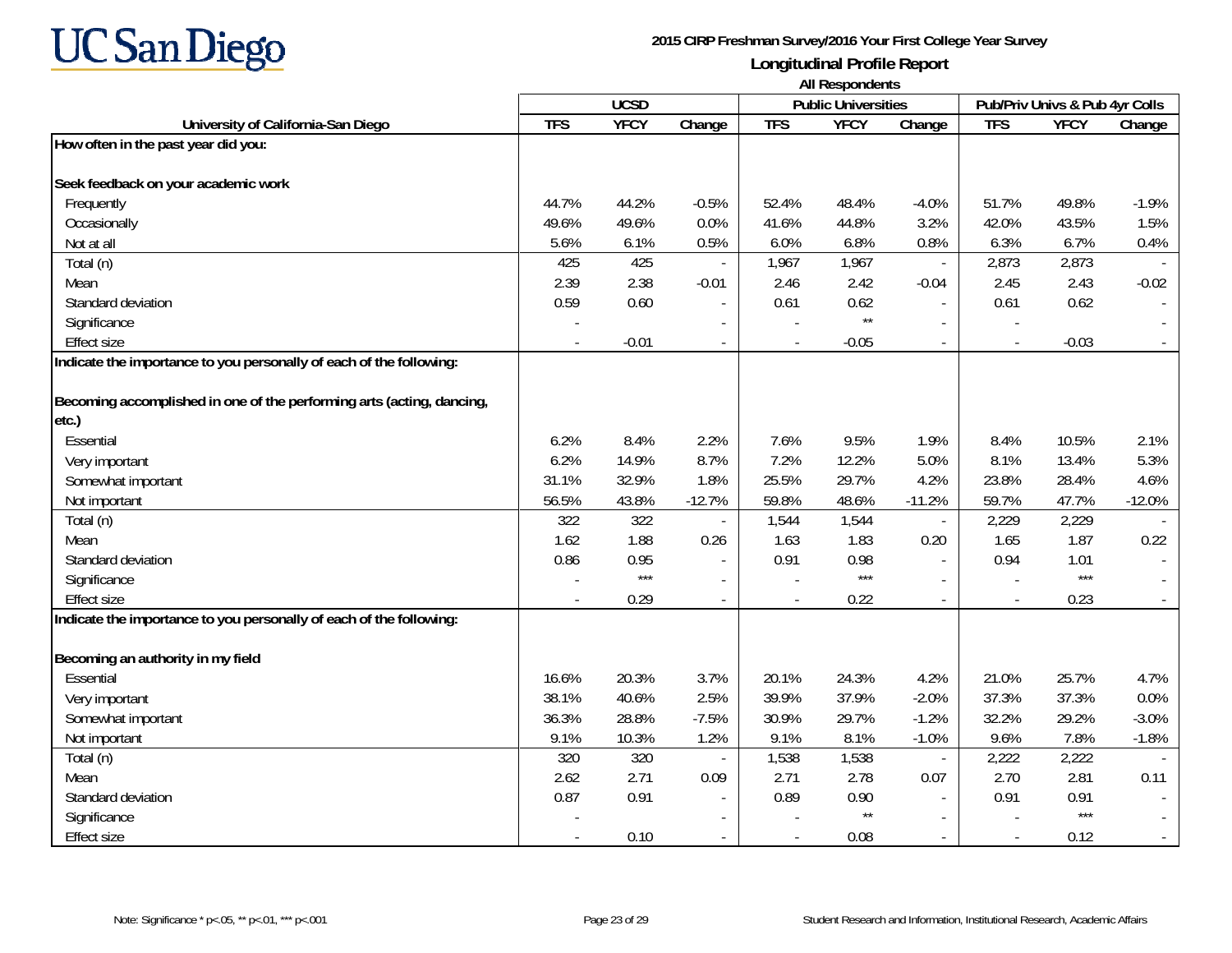

|                                                                       | All Respondents |             |                          |               |                            |                                  |                |                                |                          |
|-----------------------------------------------------------------------|-----------------|-------------|--------------------------|---------------|----------------------------|----------------------------------|----------------|--------------------------------|--------------------------|
|                                                                       |                 | <b>UCSD</b> |                          |               | <b>Public Universities</b> |                                  |                | Pub/Priv Univs & Pub 4yr Colls |                          |
| University of California-San Diego                                    | <b>TFS</b>      | <b>YFCY</b> | Change                   | <b>TFS</b>    | <b>YFCY</b>                | Change                           | <b>TFS</b>     | <b>YFCY</b>                    | Change                   |
| How often in the past year did you:                                   |                 |             |                          |               |                            |                                  |                |                                |                          |
|                                                                       |                 |             |                          |               |                            |                                  |                |                                |                          |
| Seek feedback on your academic work                                   |                 |             |                          |               |                            |                                  |                |                                |                          |
| Frequently                                                            | 44.7%           | 44.2%       | $-0.5%$                  | 52.4%         | 48.4%                      | $-4.0%$                          | 51.7%          | 49.8%                          | $-1.9%$                  |
| Occasionally                                                          | 49.6%           | 49.6%       | 0.0%                     | 41.6%         | 44.8%                      | 3.2%                             | 42.0%          | 43.5%                          | 1.5%                     |
| Not at all                                                            | 5.6%            | 6.1%        | 0.5%                     | 6.0%          | 6.8%                       | 0.8%                             | 6.3%           | 6.7%                           | 0.4%                     |
| Total (n)                                                             | 425             | 425         |                          | 1,967         | 1,967                      | $\sim$                           | 2,873          | 2,873                          |                          |
| Mean                                                                  | 2.39            | 2.38        | $-0.01$                  | 2.46          | 2.42                       | $-0.04$                          | 2.45           | 2.43                           | $-0.02$                  |
| Standard deviation                                                    | 0.59            | 0.60        | $\overline{\phantom{a}}$ | 0.61          | 0.62                       | $\overline{\phantom{a}}$         | 0.61           | 0.62                           |                          |
| Significance                                                          |                 |             |                          |               | $\star\star$               |                                  |                |                                |                          |
| <b>Effect size</b>                                                    |                 | $-0.01$     |                          |               | $-0.05$                    | $\mathbb{L}$                     |                | $-0.03$                        |                          |
| Indicate the importance to you personally of each of the following:   |                 |             |                          |               |                            |                                  |                |                                |                          |
|                                                                       |                 |             |                          |               |                            |                                  |                |                                |                          |
| Becoming accomplished in one of the performing arts (acting, dancing, |                 |             |                          |               |                            |                                  |                |                                |                          |
| etc.)                                                                 |                 |             |                          |               |                            |                                  |                |                                |                          |
| Essential                                                             | 6.2%            | 8.4%        | 2.2%                     | 7.6%          | 9.5%                       | 1.9%                             | 8.4%           | 10.5%                          | 2.1%                     |
| Very important                                                        | 6.2%            | 14.9%       | 8.7%                     | 7.2%          | 12.2%                      | 5.0%                             | 8.1%           | 13.4%                          | 5.3%                     |
| Somewhat important                                                    | 31.1%           | 32.9%       | 1.8%                     | 25.5%         | 29.7%                      | 4.2%                             | 23.8%          | 28.4%                          | 4.6%                     |
| Not important                                                         | 56.5%           | 43.8%       | $-12.7%$                 | 59.8%         | 48.6%                      | $-11.2%$                         | 59.7%          | 47.7%                          | $-12.0%$                 |
| Total (n)                                                             | 322             | 322         |                          | 1,544         | 1,544                      | $\overline{\phantom{a}}$         | 2,229          | 2,229                          |                          |
| Mean                                                                  | 1.62            | 1.88        | 0.26                     | 1.63          | 1.83                       | 0.20                             | 1.65           | 1.87                           | 0.22                     |
| Standard deviation                                                    | 0.86            | 0.95        |                          | 0.91          | 0.98                       |                                  | 0.94           | 1.01                           |                          |
| Significance                                                          |                 | $***$       |                          |               | $***$                      | $\sim$                           |                | $***$                          |                          |
| <b>Effect size</b>                                                    |                 | 0.29        | $\blacksquare$           |               | 0.22                       | $\overline{a}$                   |                | 0.23                           |                          |
| Indicate the importance to you personally of each of the following:   |                 |             |                          |               |                            |                                  |                |                                |                          |
| Becoming an authority in my field                                     |                 |             |                          |               |                            |                                  |                |                                |                          |
| Essential                                                             | 16.6%           | 20.3%       | 3.7%                     | 20.1%         | 24.3%                      | 4.2%                             | 21.0%          | 25.7%                          | 4.7%                     |
| Very important                                                        | 38.1%           | 40.6%       | 2.5%                     | 39.9%         | 37.9%                      | $-2.0%$                          | 37.3%          | 37.3%                          | 0.0%                     |
| Somewhat important                                                    | 36.3%           | 28.8%       | $-7.5%$                  | 30.9%         | 29.7%                      | $-1.2%$                          | 32.2%          | 29.2%                          | $-3.0%$                  |
| Not important                                                         | 9.1%            | 10.3%       | 1.2%                     | 9.1%          | 8.1%                       | $-1.0%$                          | 9.6%           | 7.8%                           | $-1.8%$                  |
|                                                                       | 320             | 320         |                          |               |                            |                                  |                |                                |                          |
| Total (n)                                                             |                 | 2.71        | 0.09                     | 1,538<br>2.71 | 1,538<br>2.78              | $\overline{\phantom{a}}$<br>0.07 | 2,222<br>2.70  | 2,222<br>2.81                  | 0.11                     |
| Mean                                                                  | 2.62            |             |                          |               |                            |                                  |                |                                |                          |
| Standard deviation                                                    | 0.87            | 0.91        |                          | 0.89          | 0.90<br>$\star\star$       |                                  | 0.91           | 0.91<br>$***$                  |                          |
| Significance                                                          |                 |             |                          |               |                            | $\sim$                           |                |                                |                          |
| <b>Effect size</b>                                                    |                 | 0.10        | $\overline{\phantom{a}}$ |               | 0.08                       | $\sim$                           | $\blacksquare$ | 0.12                           | $\overline{\phantom{a}}$ |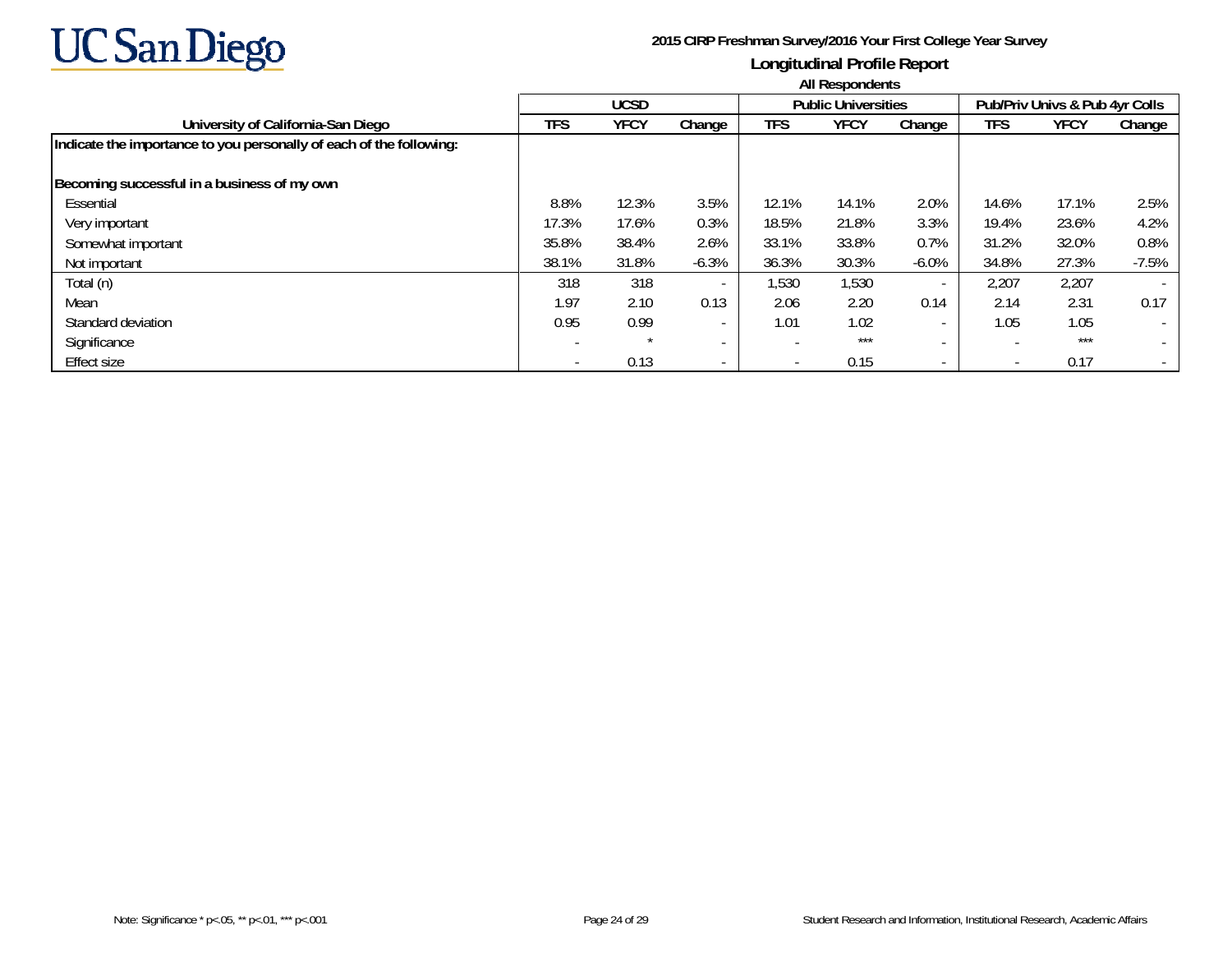

|                                                                     | All Respondents |             |                          |                          |                            |                          |                          |                                |                          |  |  |
|---------------------------------------------------------------------|-----------------|-------------|--------------------------|--------------------------|----------------------------|--------------------------|--------------------------|--------------------------------|--------------------------|--|--|
|                                                                     |                 | <b>UCSD</b> |                          |                          | <b>Public Universities</b> |                          |                          | Pub/Priv Univs & Pub 4yr Colls |                          |  |  |
| University of California-San Diego                                  | TFS             | YFCY        | Change                   | TFS                      | <b>YFCY</b>                | Change                   | TFS                      | YFCY                           | Change                   |  |  |
| Indicate the importance to you personally of each of the following: |                 |             |                          |                          |                            |                          |                          |                                |                          |  |  |
| Becoming successful in a business of my own                         |                 |             |                          |                          |                            |                          |                          |                                |                          |  |  |
| Essential                                                           | 8.8%            | 12.3%       | 3.5%                     | 12.1%                    | 14.1%                      | 2.0%                     | 14.6%                    | 17.1%                          | 2.5%                     |  |  |
| Very important                                                      | 17.3%           | 17.6%       | 0.3%                     | 18.5%                    | 21.8%                      | 3.3%                     | 19.4%                    | 23.6%                          | 4.2%                     |  |  |
| Somewhat important                                                  | 35.8%           | 38.4%       | 2.6%                     | 33.1%                    | 33.8%                      | 0.7%                     | 31.2%                    | 32.0%                          | 0.8%                     |  |  |
| Not important                                                       | 38.1%           | 31.8%       | $-6.3%$                  | 36.3%                    | 30.3%                      | $-6.0\%$                 | 34.8%                    | 27.3%                          | $-7.5%$                  |  |  |
| Total (n)                                                           | 318             | 318         | $\overline{\phantom{a}}$ | 1,530                    | 1,530                      | $\overline{\phantom{a}}$ | 2,207                    | 2,207                          |                          |  |  |
| Mean                                                                | 1.97            | 2.10        | 0.13                     | 2.06                     | 2.20                       | 0.14                     | 2.14                     | 2.31                           | 0.17                     |  |  |
| Standard deviation                                                  | 0.95            | 0.99        | $\overline{\phantom{a}}$ | 1.01                     | 1.02                       | $\overline{\phantom{0}}$ | 1.05                     | 1.05                           | $\overline{\phantom{a}}$ |  |  |
| Significance                                                        |                 |             | $\overline{\phantom{a}}$ | $\overline{\phantom{a}}$ | $***$                      | $\sim$                   |                          | ***                            |                          |  |  |
| <b>Effect size</b>                                                  |                 | 0.13        | $\overline{\phantom{0}}$ | $\overline{\phantom{a}}$ | 0.15                       | $\sim$                   | $\overline{\phantom{0}}$ | 0.17                           |                          |  |  |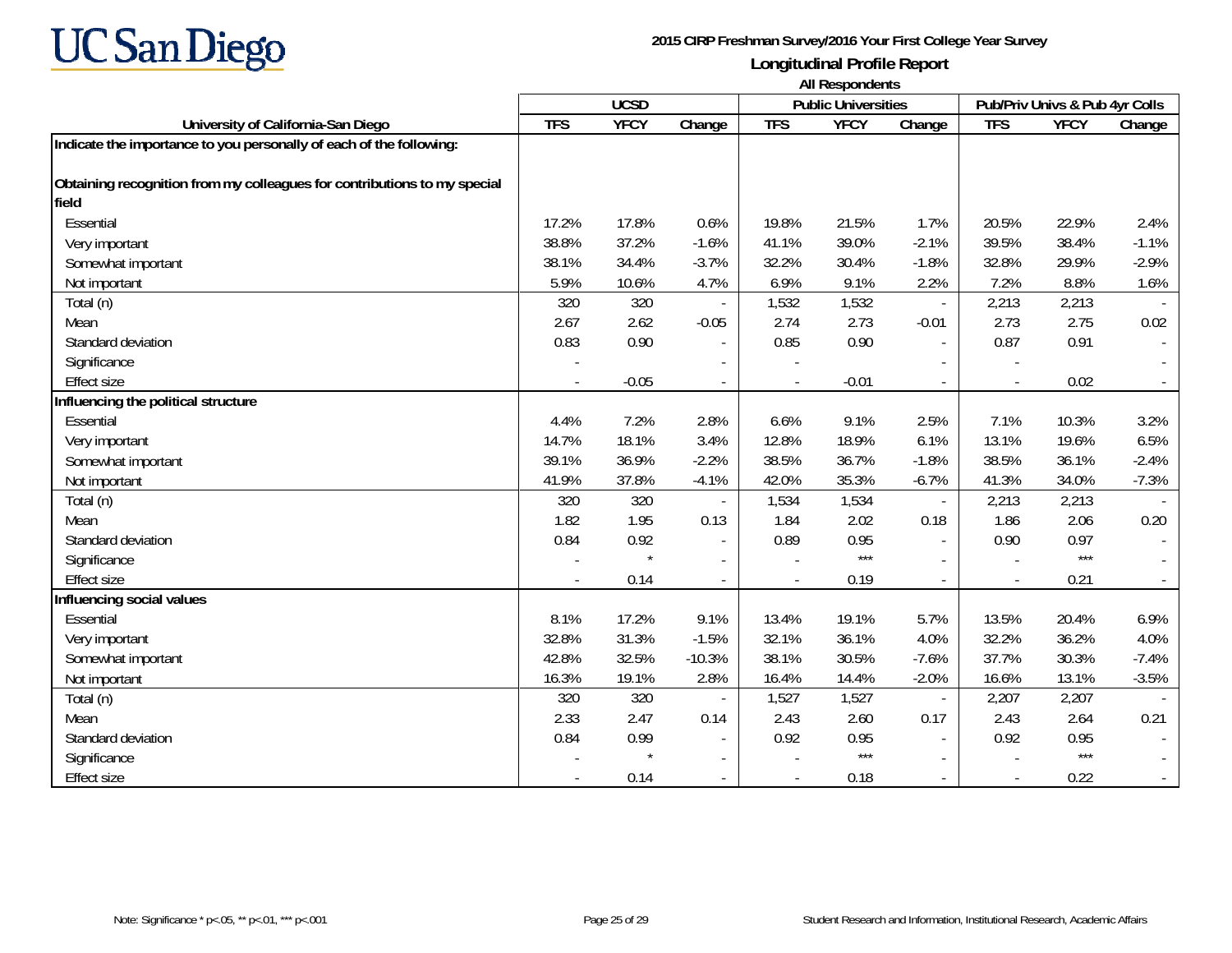

**University of California-San Diego TFS YFCY Change TFS YFCY Change TFS YFCY Change UCSD Public Universities Pub/Priv Univs & Pub 4yr Colls All Respondents Indicate the importance to you personally of each of the following: Obtaining recognition from my colleagues for contributions to my special fieldEssential**  17.2% 17.8% 0.6% 19.8% 21.5% 1.7% 20.5% 22.9% 2.4%Very important 38.8% 37.2% -1.6% 41.1% 39.0% -2.1% 39.5% 38.4% -1.1% Somewhat important 38.1% 34.4% -3.7% 32.2% 30.4% -1.8% 32.8% 29.9% -2.9% Not important 5.9% 10.6% 4.7% 6.9% 9.1% 2.2% 7.2% 8.8% 1.6% Total (n) 320 320 - 1,532 1,532 - 2,213 2,213 - Mean 2.67 2.62 -0.05 2.74 2.73 -0.01 2.73 2.75 0.02 Standard deviation 0.83 0.90 - 0.85 0.90 - 0.87 0.91 - Significance - -- -- - Effect size- 0.02 - 0.05 - 0.01 - 0.01 - 0.02 - 0.02 - 0.02 - 0.02 - 0.02 - 0.02 - 0.02 - 0.02 - 0.02 - 0.02 - 0.02 - 0.02 - 0.02 - 0.02 - 0.02 - 0.02 - 0.02 - 0.02 - 0.02 - 0.02 - 0.02 - 0.02 - 0.02 - 0.02 - 0.02 - 0.02 - 0.02 - 0.0 **Influencing the political structure** Essential 4.4% 7.2% 2.8% 6.6% 9.1% 2.5% 7.1% 10.3% 3.2%Very important 14.7% 18.1% 3.4% 12.8% 18.9% 6.1% 13.1% 19.6% 6.5% Somewhat important 39.1% 36.9% -2.2% 38.5% 36.7% -1.8% 38.5% 36.1% -2.4% Not important 41.9% 37.8% -4.1% 42.0% 35.3% -6.7% 41.3% 34.0% -7.3% Total (n) 320 320 - 1,534 1,534 - 2,213 2,213 - Mean 1.82 1.95 0.13 1.84 2.02 0.18 1.86 2.06 0.20 Standard deviation 0.84 0.92 - 0.89 0.95 - 0.90 0.97 - Significance - \* - - \*\*\* - - \*\*\* - Effect size - 0.14 - - 0.19 - - 0.21 - **Influencing social values** Essential 8.1% 17.2% 9.1% 13.4% 19.1% 5.7% 13.5% 20.4% 6.9%Very important 32.8% 31.3% -1.5% 32.1% 36.1% 4.0% 32.2% 36.2% 4.0% Somewhat important 42.8% 32.5% -10.3% 38.1% 30.5% -7.6% 37.7% 30.3% -7.4% Not important 16.3% 19.1% 2.8% 16.4% 14.4% -2.0% 16.6% 13.1% -3.5% Total (n) 320 320 - 1,527 1,527 - 2,207 2,207 - Mean 2.33 2.47 0.14 2.43 2.60 0.17 2.43 2.64 0.21 Standard deviation0.84 0.99 - | 0.92 0.95 - | 0.92 0.95 - | 0.92 0.95 - | 0.92 0.95 - | 0.92 0.95 - | 0.92 0.95 - | 0.92 0.95 - | Significance - \* - - \*\*\* - - \*\*\* - Effect size- 0.12 - 0.14 - 0.18 - 0.12 - 0.22 - 0.18 - 0.22 - 0.22 - 0.22 - 0.22 - 0.22 - 0.22 - 0.22 - 0.22 - 0.22 - 0.22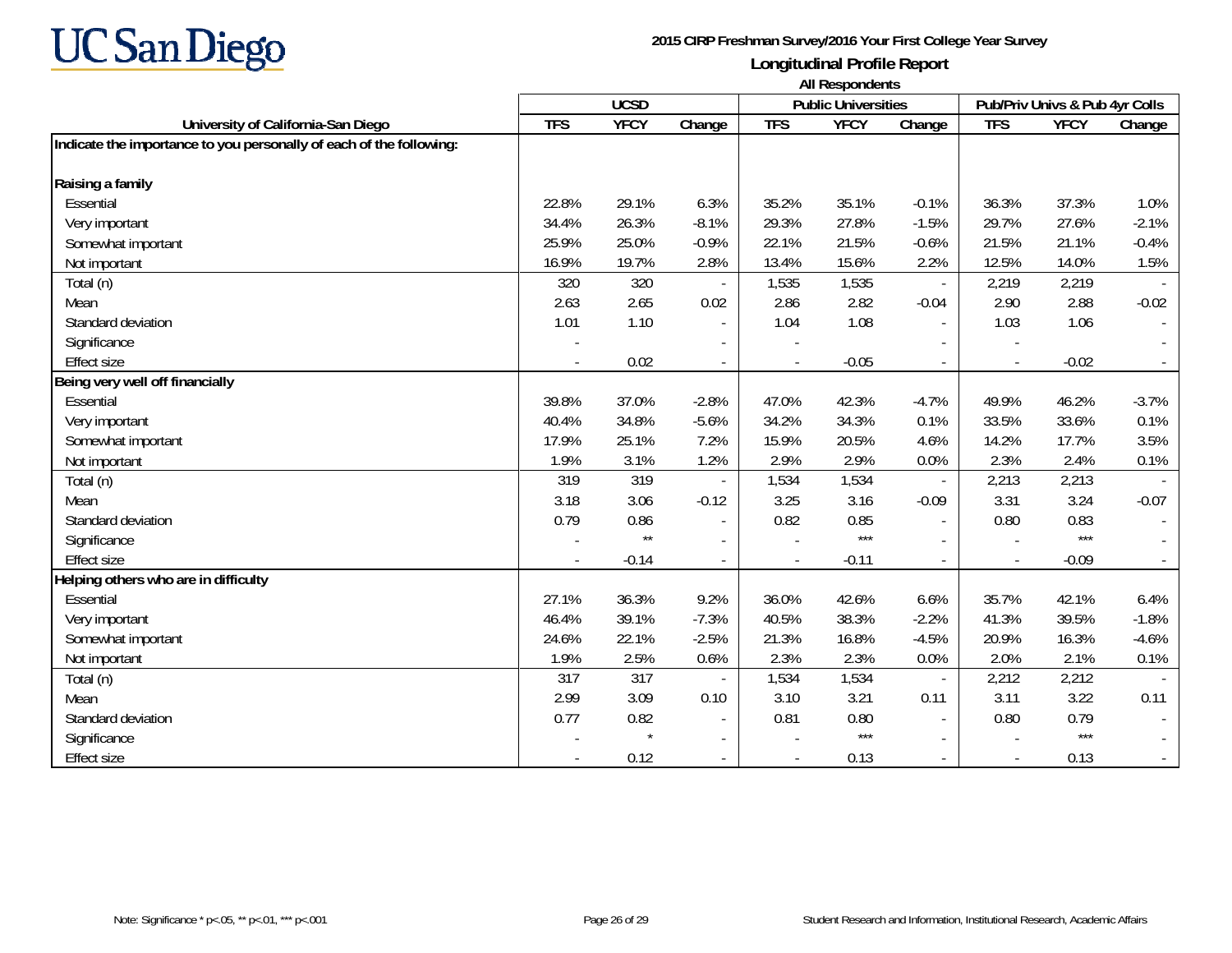

|                                                                     | <b>All Respondents</b> |              |                          |            |                            |                          |                          |                                |         |
|---------------------------------------------------------------------|------------------------|--------------|--------------------------|------------|----------------------------|--------------------------|--------------------------|--------------------------------|---------|
|                                                                     |                        | <b>UCSD</b>  |                          |            | <b>Public Universities</b> |                          |                          | Pub/Priv Univs & Pub 4yr Colls |         |
| University of California-San Diego                                  | <b>TFS</b>             | <b>YFCY</b>  | Change                   | <b>TFS</b> | <b>YFCY</b>                | Change                   | <b>TFS</b>               | <b>YFCY</b>                    | Change  |
| Indicate the importance to you personally of each of the following: |                        |              |                          |            |                            |                          |                          |                                |         |
| Raising a family                                                    |                        |              |                          |            |                            |                          |                          |                                |         |
| Essential                                                           | 22.8%                  | 29.1%        | 6.3%                     | 35.2%      | 35.1%                      | $-0.1%$                  | 36.3%                    | 37.3%                          | 1.0%    |
| Very important                                                      | 34.4%                  | 26.3%        | $-8.1%$                  | 29.3%      | 27.8%                      | $-1.5%$                  | 29.7%                    | 27.6%                          | $-2.1%$ |
| Somewhat important                                                  | 25.9%                  | 25.0%        | $-0.9%$                  | 22.1%      | 21.5%                      | $-0.6%$                  | 21.5%                    | 21.1%                          | $-0.4%$ |
| Not important                                                       | 16.9%                  | 19.7%        | 2.8%                     | 13.4%      | 15.6%                      | 2.2%                     | 12.5%                    | 14.0%                          | 1.5%    |
| Total (n)                                                           | 320                    | 320          |                          | 1,535      | 1,535                      | $\overline{\phantom{a}}$ | 2,219                    | 2,219                          |         |
| Mean                                                                | 2.63                   | 2.65         | 0.02                     | 2.86       | 2.82                       | $-0.04$                  | 2.90                     | 2.88                           | $-0.02$ |
| Standard deviation                                                  | 1.01                   | 1.10         | $\overline{\phantom{a}}$ | 1.04       | 1.08                       | $\sim$                   | 1.03                     | 1.06                           |         |
| Significance                                                        |                        |              |                          |            |                            |                          | $\overline{\phantom{a}}$ |                                |         |
| <b>Effect size</b>                                                  |                        | 0.02         |                          |            | $-0.05$                    | $\sim$                   |                          | $-0.02$                        |         |
| Being very well off financially                                     |                        |              |                          |            |                            |                          |                          |                                |         |
| Essential                                                           | 39.8%                  | 37.0%        | $-2.8%$                  | 47.0%      | 42.3%                      | $-4.7%$                  | 49.9%                    | 46.2%                          | $-3.7%$ |
| Very important                                                      | 40.4%                  | 34.8%        | $-5.6%$                  | 34.2%      | 34.3%                      | 0.1%                     | 33.5%                    | 33.6%                          | 0.1%    |
| Somewhat important                                                  | 17.9%                  | 25.1%        | 7.2%                     | 15.9%      | 20.5%                      | 4.6%                     | 14.2%                    | 17.7%                          | 3.5%    |
| Not important                                                       | 1.9%                   | 3.1%         | 1.2%                     | 2.9%       | 2.9%                       | 0.0%                     | 2.3%                     | 2.4%                           | 0.1%    |
| Total (n)                                                           | 319                    | 319          |                          | 1,534      | 1,534                      | $\overline{\phantom{a}}$ | 2,213                    | 2,213                          |         |
| Mean                                                                | 3.18                   | 3.06         | $-0.12$                  | 3.25       | 3.16                       | $-0.09$                  | 3.31                     | 3.24                           | $-0.07$ |
| Standard deviation                                                  | 0.79                   | 0.86         |                          | 0.82       | 0.85                       |                          | 0.80                     | 0.83                           |         |
| Significance                                                        |                        | $\star\star$ |                          |            | $***$                      |                          |                          | $***$                          |         |
| <b>Effect size</b>                                                  |                        | $-0.14$      |                          |            | $-0.11$                    | $\overline{\phantom{a}}$ | $\overline{\phantom{a}}$ | $-0.09$                        |         |
| Helping others who are in difficulty                                |                        |              |                          |            |                            |                          |                          |                                |         |
| Essential                                                           | 27.1%                  | 36.3%        | 9.2%                     | 36.0%      | 42.6%                      | 6.6%                     | 35.7%                    | 42.1%                          | 6.4%    |
| Very important                                                      | 46.4%                  | 39.1%        | $-7.3%$                  | 40.5%      | 38.3%                      | $-2.2%$                  | 41.3%                    | 39.5%                          | $-1.8%$ |
| Somewhat important                                                  | 24.6%                  | 22.1%        | $-2.5%$                  | 21.3%      | 16.8%                      | $-4.5%$                  | 20.9%                    | 16.3%                          | $-4.6%$ |
| Not important                                                       | 1.9%                   | 2.5%         | 0.6%                     | 2.3%       | 2.3%                       | 0.0%                     | 2.0%                     | 2.1%                           | 0.1%    |
| Total (n)                                                           | 317                    | 317          |                          | 1,534      | 1,534                      | $\sim$                   | 2,212                    | 2,212                          |         |
| Mean                                                                | 2.99                   | 3.09         | 0.10                     | 3.10       | 3.21                       | 0.11                     | 3.11                     | 3.22                           | 0.11    |
| Standard deviation                                                  | 0.77                   | 0.82         | $\blacksquare$           | 0.81       | 0.80                       | $\sim$                   | 0.80                     | 0.79                           |         |
| Significance                                                        |                        |              | $\overline{\phantom{a}}$ |            | $***$                      | $\overline{\phantom{a}}$ |                          | $***$                          |         |
| <b>Effect size</b>                                                  |                        | 0.12         |                          |            | 0.13                       |                          | $\blacksquare$           | 0.13                           |         |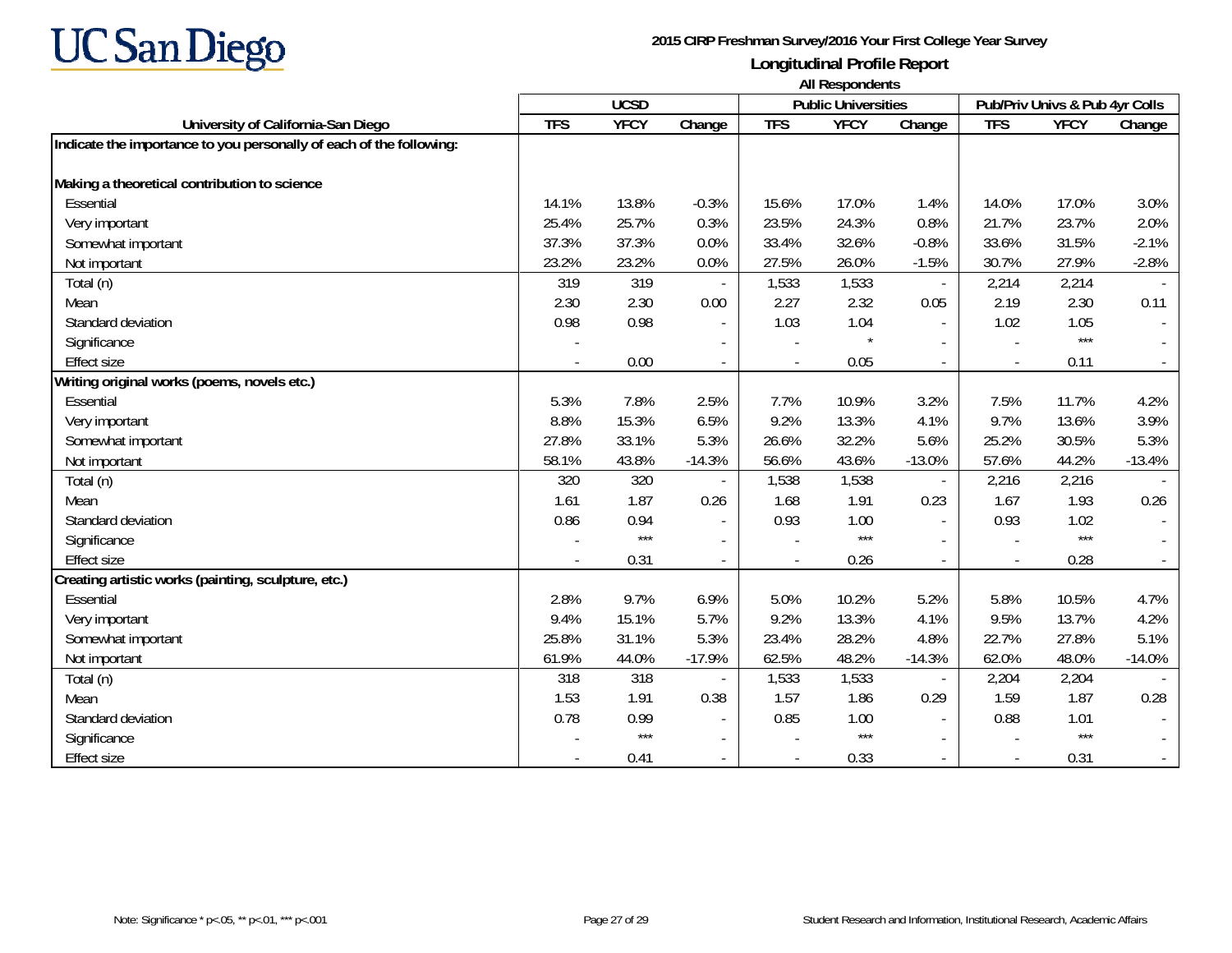

|                                                                     | <b>All Respondents</b> |             |                          |            |                            |                          |                |                                |          |
|---------------------------------------------------------------------|------------------------|-------------|--------------------------|------------|----------------------------|--------------------------|----------------|--------------------------------|----------|
|                                                                     |                        | <b>UCSD</b> |                          |            | <b>Public Universities</b> |                          |                | Pub/Priv Univs & Pub 4yr Colls |          |
| University of California-San Diego                                  | <b>TFS</b>             | <b>YFCY</b> | Change                   | <b>TFS</b> | <b>YFCY</b>                | Change                   | <b>TFS</b>     | <b>YFCY</b>                    | Change   |
| Indicate the importance to you personally of each of the following: |                        |             |                          |            |                            |                          |                |                                |          |
| Making a theoretical contribution to science                        |                        |             |                          |            |                            |                          |                |                                |          |
| Essential                                                           | 14.1%                  | 13.8%       | $-0.3%$                  | 15.6%      | 17.0%                      | 1.4%                     | 14.0%          | 17.0%                          | 3.0%     |
| Very important                                                      | 25.4%                  | 25.7%       | 0.3%                     | 23.5%      | 24.3%                      | 0.8%                     | 21.7%          | 23.7%                          | 2.0%     |
| Somewhat important                                                  | 37.3%                  | 37.3%       | 0.0%                     | 33.4%      | 32.6%                      | $-0.8%$                  | 33.6%          | 31.5%                          | $-2.1%$  |
| Not important                                                       | 23.2%                  | 23.2%       | 0.0%                     | 27.5%      | 26.0%                      | $-1.5%$                  | 30.7%          | 27.9%                          | $-2.8%$  |
| Total (n)                                                           | 319                    | 319         |                          | 1,533      | 1,533                      | $\overline{\phantom{a}}$ | 2,214          | 2,214                          |          |
| Mean                                                                | 2.30                   | 2.30        | 0.00                     | 2.27       | 2.32                       | 0.05                     | 2.19           | 2.30                           | 0.11     |
| Standard deviation                                                  | 0.98                   | 0.98        |                          | 1.03       | 1.04                       | $\sim$                   | 1.02           | 1.05                           |          |
| Significance                                                        |                        |             |                          |            |                            |                          |                | $***$                          |          |
| <b>Effect size</b>                                                  |                        | 0.00        | $\overline{\phantom{a}}$ |            | 0.05                       | $\sim$                   |                | 0.11                           |          |
| Writing original works (poems, novels etc.)                         |                        |             |                          |            |                            |                          |                |                                |          |
| Essential                                                           | 5.3%                   | 7.8%        | 2.5%                     | 7.7%       | 10.9%                      | 3.2%                     | 7.5%           | 11.7%                          | 4.2%     |
| Very important                                                      | 8.8%                   | 15.3%       | 6.5%                     | 9.2%       | 13.3%                      | 4.1%                     | 9.7%           | 13.6%                          | 3.9%     |
| Somewhat important                                                  | 27.8%                  | 33.1%       | 5.3%                     | 26.6%      | 32.2%                      | 5.6%                     | 25.2%          | 30.5%                          | 5.3%     |
| Not important                                                       | 58.1%                  | 43.8%       | $-14.3%$                 | 56.6%      | 43.6%                      | $-13.0%$                 | 57.6%          | 44.2%                          | $-13.4%$ |
| Total (n)                                                           | 320                    | 320         |                          | 1,538      | 1,538                      | $\overline{\phantom{a}}$ | 2,216          | 2,216                          |          |
| Mean                                                                | 1.61                   | 1.87        | 0.26                     | 1.68       | 1.91                       | 0.23                     | 1.67           | 1.93                           | 0.26     |
| Standard deviation                                                  | 0.86                   | 0.94        |                          | 0.93       | 1.00                       |                          | 0.93           | 1.02                           |          |
| Significance                                                        |                        | $***$       |                          |            | $***$                      |                          |                | $***$                          |          |
| <b>Effect size</b>                                                  |                        | 0.31        | $\blacksquare$           |            | 0.26                       | $\sim$                   | $\blacksquare$ | 0.28                           |          |
| Creating artistic works (painting, sculpture, etc.)                 |                        |             |                          |            |                            |                          |                |                                |          |
| Essential                                                           | 2.8%                   | 9.7%        | 6.9%                     | 5.0%       | 10.2%                      | 5.2%                     | 5.8%           | 10.5%                          | 4.7%     |
| Very important                                                      | 9.4%                   | 15.1%       | 5.7%                     | 9.2%       | 13.3%                      | 4.1%                     | 9.5%           | 13.7%                          | 4.2%     |
| Somewhat important                                                  | 25.8%                  | 31.1%       | 5.3%                     | 23.4%      | 28.2%                      | 4.8%                     | 22.7%          | 27.8%                          | 5.1%     |
| Not important                                                       | 61.9%                  | 44.0%       | $-17.9%$                 | 62.5%      | 48.2%                      | $-14.3%$                 | 62.0%          | 48.0%                          | $-14.0%$ |
| Total (n)                                                           | 318                    | 318         |                          | 1,533      | 1,533                      |                          | 2,204          | 2,204                          |          |
| Mean                                                                | 1.53                   | 1.91        | 0.38                     | 1.57       | 1.86                       | 0.29                     | 1.59           | 1.87                           | 0.28     |
| Standard deviation                                                  | 0.78                   | 0.99        | $\blacksquare$           | 0.85       | 1.00                       | $\blacksquare$           | 0.88           | 1.01                           |          |
| Significance                                                        |                        | $***$       | $\overline{\phantom{a}}$ |            | $***$                      | $\overline{\phantom{a}}$ |                | $***$                          |          |
| <b>Effect size</b>                                                  |                        | 0.41        |                          |            | 0.33                       |                          |                | 0.31                           |          |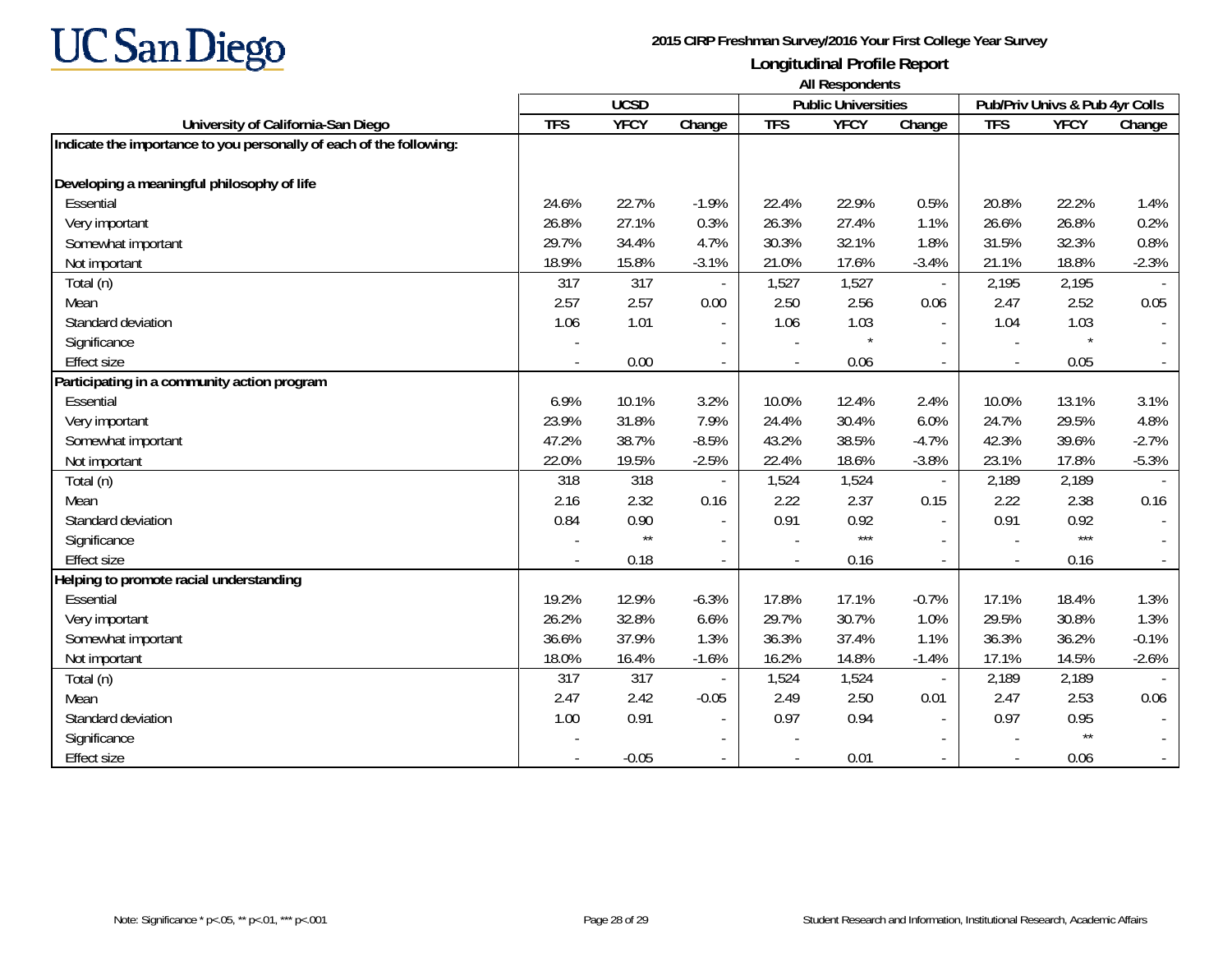

|                                                                     | All Respondents |                 |                          |            |                            |                          |                |                                |         |  |
|---------------------------------------------------------------------|-----------------|-----------------|--------------------------|------------|----------------------------|--------------------------|----------------|--------------------------------|---------|--|
|                                                                     |                 | <b>UCSD</b>     |                          |            | <b>Public Universities</b> |                          |                | Pub/Priv Univs & Pub 4yr Colls |         |  |
| University of California-San Diego                                  | <b>TFS</b>      | <b>YFCY</b>     | Change                   | <b>TFS</b> | <b>YFCY</b>                | Change                   | <b>TFS</b>     | <b>YFCY</b>                    | Change  |  |
| Indicate the importance to you personally of each of the following: |                 |                 |                          |            |                            |                          |                |                                |         |  |
| Developing a meaningful philosophy of life                          |                 |                 |                          |            |                            |                          |                |                                |         |  |
| Essential                                                           | 24.6%           | 22.7%           | $-1.9%$                  | 22.4%      | 22.9%                      | 0.5%                     | 20.8%          | 22.2%                          | 1.4%    |  |
| Very important                                                      | 26.8%           | 27.1%           | 0.3%                     | 26.3%      | 27.4%                      | 1.1%                     | 26.6%          | 26.8%                          | 0.2%    |  |
| Somewhat important                                                  | 29.7%           | 34.4%           | 4.7%                     | 30.3%      | 32.1%                      | 1.8%                     | 31.5%          | 32.3%                          | 0.8%    |  |
| Not important                                                       | 18.9%           | 15.8%           | $-3.1%$                  | 21.0%      | 17.6%                      | $-3.4%$                  | 21.1%          | 18.8%                          | $-2.3%$ |  |
| Total (n)                                                           | 317             | 317             |                          | 1,527      | 1,527                      | $\overline{\phantom{a}}$ | 2,195          | 2,195                          |         |  |
| Mean                                                                | 2.57            | 2.57            | 0.00                     | 2.50       | 2.56                       | 0.06                     | 2.47           | 2.52                           | 0.05    |  |
| Standard deviation                                                  | 1.06            | 1.01            | $\overline{\phantom{a}}$ | 1.06       | 1.03                       |                          | 1.04           | 1.03                           |         |  |
| Significance                                                        |                 |                 |                          |            | $\star$                    |                          | $\overline{a}$ |                                |         |  |
| <b>Effect size</b>                                                  |                 | 0.00            |                          |            | 0.06                       |                          |                | 0.05                           |         |  |
| Participating in a community action program                         |                 |                 |                          |            |                            |                          |                |                                |         |  |
| Essential                                                           | 6.9%            | 10.1%           | 3.2%                     | 10.0%      | 12.4%                      | 2.4%                     | 10.0%          | 13.1%                          | 3.1%    |  |
| Very important                                                      | 23.9%           | 31.8%           | 7.9%                     | 24.4%      | 30.4%                      | 6.0%                     | 24.7%          | 29.5%                          | 4.8%    |  |
| Somewhat important                                                  | 47.2%           | 38.7%           | $-8.5%$                  | 43.2%      | 38.5%                      | $-4.7%$                  | 42.3%          | 39.6%                          | $-2.7%$ |  |
| Not important                                                       | 22.0%           | 19.5%           | $-2.5%$                  | 22.4%      | 18.6%                      | $-3.8%$                  | 23.1%          | 17.8%                          | $-5.3%$ |  |
| Total (n)                                                           | 318             | 318             |                          | 1,524      | 1,524                      | $\overline{\phantom{a}}$ | 2,189          | 2,189                          |         |  |
| Mean                                                                | 2.16            | 2.32            | 0.16                     | 2.22       | 2.37                       | 0.15                     | 2.22           | 2.38                           | 0.16    |  |
| Standard deviation                                                  | 0.84            | 0.90            |                          | 0.91       | 0.92                       |                          | 0.91           | 0.92                           |         |  |
| Significance                                                        |                 | $^{\star\star}$ |                          |            | $***$                      |                          |                | $***$                          |         |  |
| <b>Effect size</b>                                                  |                 | 0.18            |                          |            | 0.16                       |                          | $\overline{a}$ | 0.16                           |         |  |
| Helping to promote racial understanding                             |                 |                 |                          |            |                            |                          |                |                                |         |  |
| Essential                                                           | 19.2%           | 12.9%           | $-6.3%$                  | 17.8%      | 17.1%                      | $-0.7%$                  | 17.1%          | 18.4%                          | 1.3%    |  |
| Very important                                                      | 26.2%           | 32.8%           | 6.6%                     | 29.7%      | 30.7%                      | 1.0%                     | 29.5%          | 30.8%                          | 1.3%    |  |
| Somewhat important                                                  | 36.6%           | 37.9%           | 1.3%                     | 36.3%      | 37.4%                      | 1.1%                     | 36.3%          | 36.2%                          | $-0.1%$ |  |
| Not important                                                       | 18.0%           | 16.4%           | $-1.6%$                  | 16.2%      | 14.8%                      | $-1.4%$                  | 17.1%          | 14.5%                          | $-2.6%$ |  |
| Total (n)                                                           | 317             | 317             |                          | 1,524      | 1,524                      | $\overline{\phantom{a}}$ | 2,189          | 2,189                          |         |  |
| Mean                                                                | 2.47            | 2.42            | $-0.05$                  | 2.49       | 2.50                       | 0.01                     | 2.47           | 2.53                           | 0.06    |  |
| Standard deviation                                                  | 1.00            | 0.91            | $\overline{\phantom{a}}$ | 0.97       | 0.94                       |                          | 0.97           | 0.95                           |         |  |
| Significance                                                        |                 |                 |                          |            |                            | $\overline{\phantom{a}}$ |                | $\star\star$                   |         |  |
| Effect size                                                         |                 | $-0.05$         |                          |            | 0.01                       |                          |                | 0.06                           |         |  |